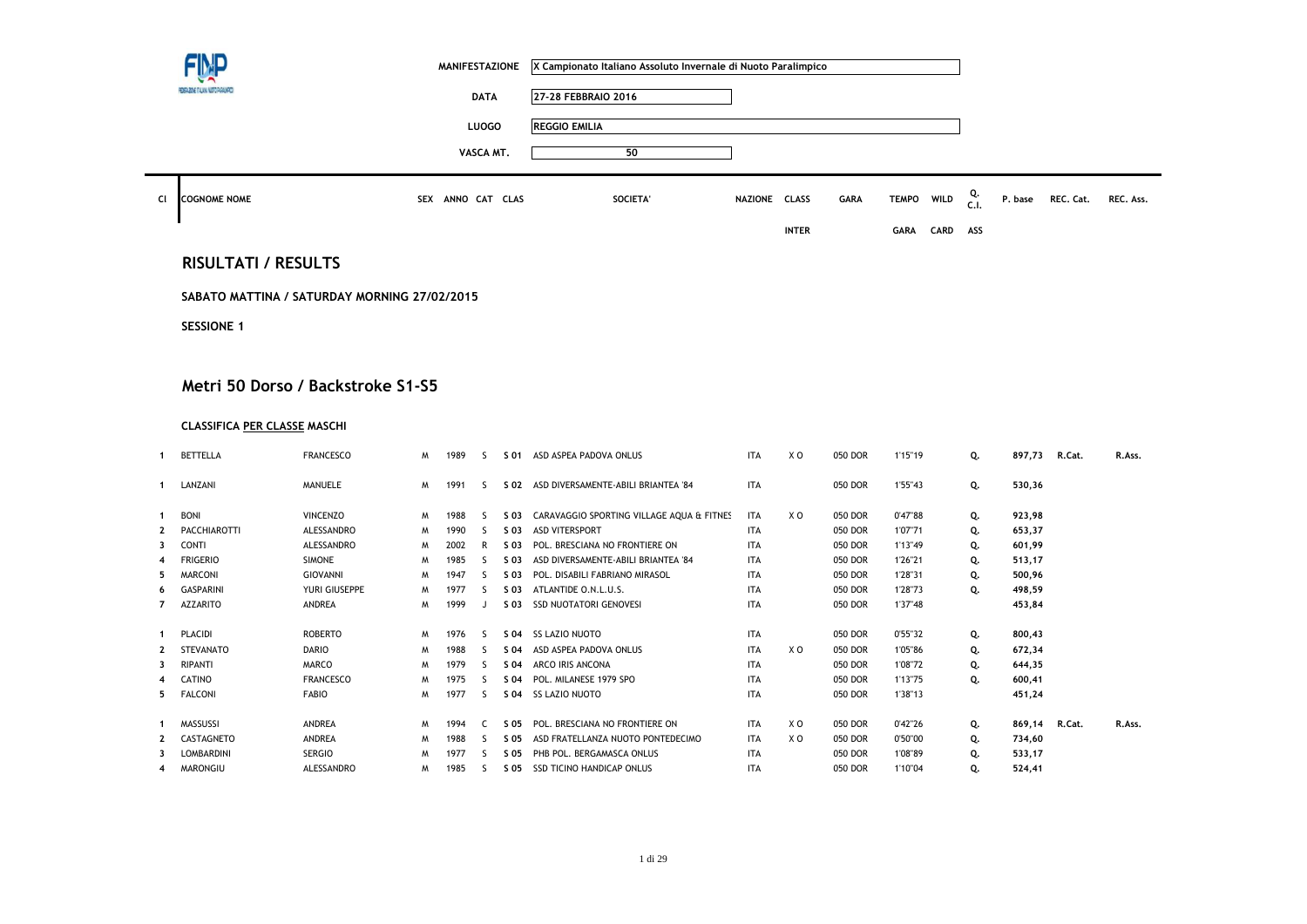|    |                                              | <b>MANIFESTAZIONE</b> | X Campionato Italiano Assoluto Invernale di Nuoto Paralimpico |               |              |             |             |             |            |         |           |           |
|----|----------------------------------------------|-----------------------|---------------------------------------------------------------|---------------|--------------|-------------|-------------|-------------|------------|---------|-----------|-----------|
|    | FEDERATIVE ITALIANA NUETO PARALMPUS          | <b>DATA</b>           | 27-28 FEBBRAIO 2016                                           |               |              |             |             |             |            |         |           |           |
|    |                                              | LUOGO                 | <b>REGGIO EMILIA</b>                                          |               |              |             |             |             |            |         |           |           |
|    |                                              | VASCA MT.             | 50                                                            |               |              |             |             |             |            |         |           |           |
| CI | <b>COGNOME NOME</b>                          | SEX ANNO CAT CLAS     | SOCIETA'                                                      | NAZIONE CLASS |              | <b>GARA</b> | TEMPO WILD  |             | Q.<br>C.I. | P. base | REC. Cat. | REC. Ass. |
|    |                                              |                       |                                                               |               | <b>INTER</b> |             | <b>GARA</b> | <b>CARD</b> | ASS        |         |           |           |
|    | <b>RISULTATI / RESULTS</b>                   |                       |                                                               |               |              |             |             |             |            |         |           |           |
|    | SABATO MATTINA / SATURDAY MORNING 27/02/2015 |                       |                                                               |               |              |             |             |             |            |         |           |           |
|    | <b>SESSIONE 1</b>                            |                       |                                                               |               |              |             |             |             |            |         |           |           |
|    |                                              |                       |                                                               |               |              |             |             |             |            |         |           |           |
|    | Metri 50 Dorso / Backstroke S1-S5            |                       |                                                               |               |              |             |             |             |            |         |           |           |

## **CLASSIFICA PER CLASSE MASCHI**

|    | <b>BETTELLA</b>     | <b>FRANCESCO</b> | W | 1989 | $\varsigma$ | S 01 | ASD ASPEA PADOVA ONLUS                    | <b>ITA</b> | X O | 050 DOR | 1'15"19 | Q. | 897,73 | R.Cat. | R.Ass. |
|----|---------------------|------------------|---|------|-------------|------|-------------------------------------------|------------|-----|---------|---------|----|--------|--------|--------|
|    | LANZANI             | MANUELE          | M | 1991 | S.          | S 02 | ASD DIVERSAMENTE-ABILI BRIANTEA '84       | <b>ITA</b> |     | 050 DOR | 1'55"43 | Q. | 530,36 |        |        |
|    | <b>BONI</b>         | <b>VINCENZO</b>  | M | 1988 | -S          | S 03 | CARAVAGGIO SPORTING VILLAGE AQUA & FITNES | <b>ITA</b> | X O | 050 DOR | 0'47"88 | Q. | 923,98 |        |        |
|    | <b>PACCHIAROTTI</b> | ALESSANDRO       | M | 1990 | S           | S 03 | <b>ASD VITERSPORT</b>                     | <b>ITA</b> |     | 050 DOR | 1'07"71 | Q. | 653,37 |        |        |
| 3  | <b>CONTI</b>        | ALESSANDRO       | M | 2002 | R           | S 03 | POL. BRESCIANA NO FRONTIERE ON            | <b>ITA</b> |     | 050 DOR | 1'13"49 | Q. | 601,99 |        |        |
|    | <b>FRIGERIO</b>     | <b>SIMONE</b>    | M | 1985 | ς           | S 03 | ASD DIVERSAMENTE-ABILI BRIANTEA '84       | <b>ITA</b> |     | 050 DOR | 1'26"21 | Q. | 513,17 |        |        |
| 5  | <b>MARCONI</b>      | <b>GIOVANNI</b>  | M | 1947 |             | S 03 | POL. DISABILI FABRIANO MIRASOL            | <b>ITA</b> |     | 050 DOR | 1'28"31 | Q. | 500,96 |        |        |
| 6  | <b>GASPARINI</b>    | YURI GIUSEPPE    | M | 1977 | ς           | S 03 | ATLANTIDE O.N.L.U.S.                      | <b>ITA</b> |     | 050 DOR | 1'28"73 | Q. | 498,59 |        |        |
|    | AZZARITO            | <b>ANDREA</b>    | W | 1999 |             | S 03 | <b>SSD NUOTATORI GENOVESI</b>             | <b>ITA</b> |     | 050 DOR | 1'37"48 |    | 453,84 |        |        |
|    | PLACIDI             | <b>ROBERTO</b>   | M | 1976 | -S          | S 04 | <b>SS LAZIO NUOTO</b>                     | <b>ITA</b> |     | 050 DOR | 0'55"32 | Q. | 800,43 |        |        |
|    | <b>STEVANATO</b>    | <b>DARIO</b>     | M | 1988 | 5           | S 04 | ASD ASPEA PADOVA ONLUS                    | <b>ITA</b> | X O | 050 DOR | 1'05"86 | Q. | 672,34 |        |        |
| 3  | <b>RIPANTI</b>      | <b>MARCO</b>     | M | 1979 | ς.          | S 04 | ARCO IRIS ANCONA                          | <b>ITA</b> |     | 050 DOR | 1'08"72 | Q. | 644,35 |        |        |
| 4  | CATINO              | <b>FRANCESCO</b> | M | 1975 | ς           | S 04 | POL. MILANESE 1979 SPO                    | <b>ITA</b> |     | 050 DOR | 1'13"75 | Q. | 600,41 |        |        |
| 5. | <b>FALCONI</b>      | <b>FABIO</b>     | M | 1977 | ς           | S 04 | <b>SS LAZIO NUOTO</b>                     | <b>ITA</b> |     | 050 DOR | 1'38"13 |    | 451,24 |        |        |
|    |                     |                  |   |      |             |      |                                           |            |     |         |         |    |        |        |        |
|    | <b>MASSUSSI</b>     | <b>ANDREA</b>    | M | 1994 |             | S 05 | POL. BRESCIANA NO FRONTIERE ON            | <b>ITA</b> | X O | 050 DOR | 0'42"26 | Q. | 869,14 | R.Cat. | R.Ass. |
|    | CASTAGNETO          | <b>ANDREA</b>    | M | 1988 | 5           | S 05 | ASD FRATELLANZA NUOTO PONTEDECIMO         | <b>ITA</b> | X O | 050 DOR | 0'50"00 | Q. | 734,60 |        |        |
| 3  | <b>LOMBARDINI</b>   | <b>SERGIO</b>    | M | 1977 | S           | S 05 | PHB POL. BERGAMASCA ONLUS                 | <b>ITA</b> |     | 050 DOR | 1'08"89 | Q. | 533,17 |        |        |
|    | <b>MARONGIU</b>     | ALESSANDRO       | м | 1985 | s           | S 05 | <b>SSD TICINO HANDICAP ONLUS</b>          | <b>ITA</b> |     | 050 DOR | 1'10"04 | Q. | 524,41 |        |        |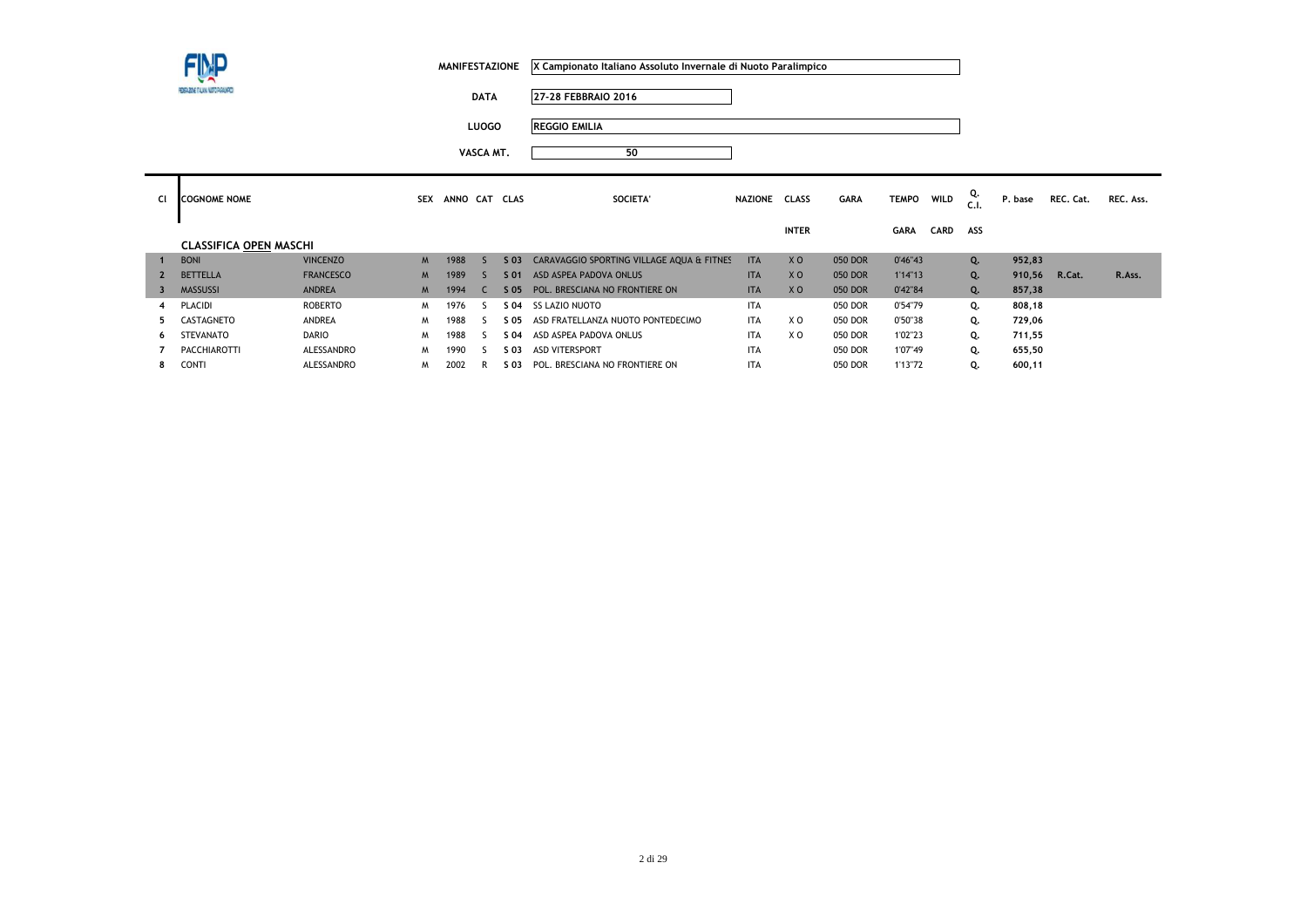**DATA 27-28 FEBBRAIO 2016**

**LUOGO REGGIO EMILIA**

| CI                      | <b>COGNOME NOME</b>           |                  | <b>SEX</b> | ANNO CAT CLAS |   |        | SOCIETA'                                  | NAZIONE    | <b>CLASS</b>   | <b>GARA</b> | <b>TEMPO</b> | <b>WILD</b> | Q.  | P. base | REC. Cat. | REC. Ass. |
|-------------------------|-------------------------------|------------------|------------|---------------|---|--------|-------------------------------------------|------------|----------------|-------------|--------------|-------------|-----|---------|-----------|-----------|
|                         |                               |                  |            |               |   |        |                                           |            | <b>INTER</b>   |             | <b>GARA</b>  | <b>CARD</b> | ASS |         |           |           |
|                         | <b>CLASSIFICA OPEN MASCHI</b> |                  |            |               |   |        |                                           |            |                |             |              |             |     |         |           |           |
|                         | <b>BONI</b>                   | <b>VINCENZO</b>  | M          | 1988          |   | $S$ 03 | CARAVAGGIO SPORTING VILLAGE AQUA & FITNES | <b>ITA</b> | X <sub>O</sub> | 050 DOR     | 0'46"43      |             | Q.  | 952,83  |           |           |
|                         | <b>BETTELLA</b>               | <b>FRANCESCO</b> | M          | 1989          |   | S 01   | ASD ASPEA PADOVA ONLUS                    | <b>ITA</b> | X <sub>O</sub> | 050 DOR     | 1'14"13      |             | Q.  | 910,56  | R.Cat.    | R.Ass.    |
| $\overline{\mathbf{3}}$ | <b>MASSUSSI</b>               | <b>ANDREA</b>    | <b>M</b>   | 1994          | C | $S$ 05 | POL. BRESCIANA NO FRONTIERE ON            | <b>ITA</b> | X <sub>O</sub> | 050 DOR     | 0'42"84      |             | Q.  | 857,38  |           |           |
|                         | <b>PLACIDI</b>                | <b>ROBERTO</b>   | M          | 1976          |   |        | S 04 SS LAZIO NUOTO                       | <b>ITA</b> |                | 050 DOR     | 0'54"79      |             | Q.  | 808,18  |           |           |
|                         | CASTAGNETO                    | ANDREA           | M          | 1988          |   | S 05   | ASD FRATELLANZA NUOTO PONTEDECIMO         | <b>ITA</b> | X O            | 050 DOR     | 0'50"38      |             | Q.  | 729,06  |           |           |
| 6                       | STEVANATO                     | <b>DARIO</b>     | M          | 1988          |   | S 04   | ASD ASPEA PADOVA ONLUS                    | <b>ITA</b> | X O            | 050 DOR     | 1'02"23      |             | Q.  | 711,55  |           |           |
|                         | <b>PACCHIAROTTI</b>           | ALESSANDRO       | M          | 1990          |   | S 03   | <b>ASD VITERSPORT</b>                     | <b>ITA</b> |                | 050 DOR     | 1'07"49      |             | Q.  | 655,50  |           |           |
| 8                       | <b>CONTI</b>                  | ALESSANDRO       | M          | 2002          | R | S 03   | POL. BRESCIANA NO FRONTIERE ON            | <b>ITA</b> |                | 050 DOR     | 1'13"72      |             | Q.  | 600,11  |           |           |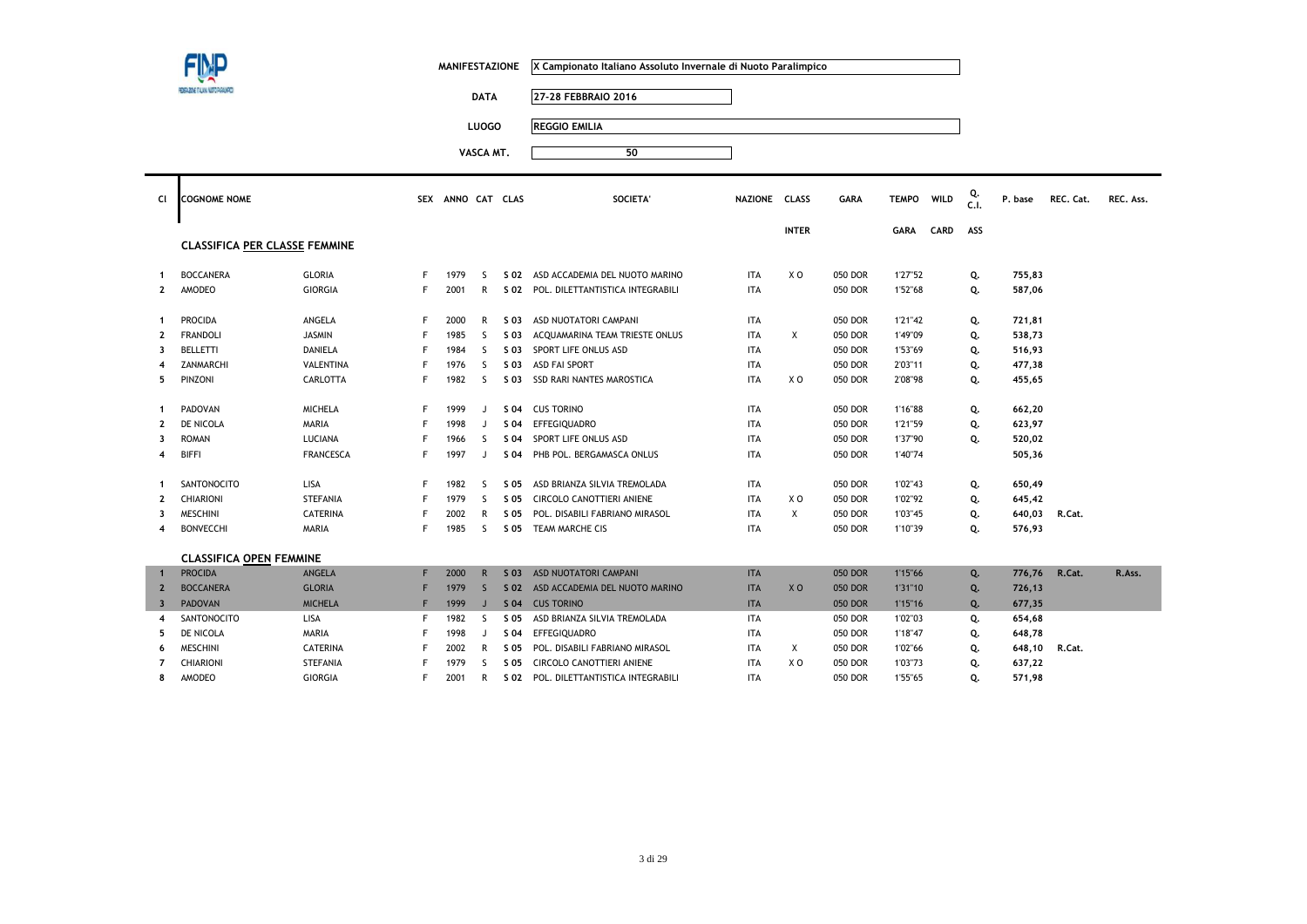|                         |                                      |                  |    | <b>MANIFESTAZIONE</b> |              |                 | X Campionato Italiano Assoluto Invernale di Nuoto Paralimpico |               |                |                |              |             |            |         |           |           |
|-------------------------|--------------------------------------|------------------|----|-----------------------|--------------|-----------------|---------------------------------------------------------------|---------------|----------------|----------------|--------------|-------------|------------|---------|-----------|-----------|
|                         | EDECADNE ITALIANA NEETO PAGALMPET    |                  |    |                       | <b>DATA</b>  |                 | 27-28 FEBBRAIO 2016                                           |               |                |                |              |             |            |         |           |           |
|                         |                                      |                  |    |                       | <b>LUOGO</b> |                 | <b>REGGIO EMILIA</b>                                          |               |                |                |              |             |            |         |           |           |
|                         |                                      |                  |    |                       |              |                 |                                                               |               |                |                |              |             |            |         |           |           |
|                         |                                      |                  |    |                       | VASCA MT.    |                 | 50                                                            |               |                |                |              |             |            |         |           |           |
| Cl                      | <b>COGNOME NOME</b>                  |                  |    | SEX ANNO CAT CLAS     |              |                 | SOCIETA'                                                      | NAZIONE CLASS |                | <b>GARA</b>    | <b>TEMPO</b> | <b>WILD</b> | Q.<br>C.1. | P. base | REC. Cat. | REC. Ass. |
|                         |                                      |                  |    |                       |              |                 |                                                               |               | <b>INTER</b>   |                | <b>GARA</b>  | CARD        | ASS        |         |           |           |
|                         | <b>CLASSIFICA PER CLASSE FEMMINE</b> |                  |    |                       |              |                 |                                                               |               |                |                |              |             |            |         |           |           |
| -1                      | <b>BOCCANERA</b>                     | GLORIA           | F. | 1979                  | -S           | S 02            | ASD ACCADEMIA DEL NUOTO MARINO                                | ITA           | X O            | 050 DOR        | 1'27"52      |             | Q.         | 755,83  |           |           |
| $\mathbf{2}$            | AMODEO                               | <b>GIORGIA</b>   | F. | 2001                  | R            |                 | S 02 POL. DILETTANTISTICA INTEGRABILI                         | <b>ITA</b>    |                | 050 DOR        | 1'52"68      |             | Q.         | 587,06  |           |           |
| -1                      | <b>PROCIDA</b>                       | ANGELA           | F  | 2000                  | R            | S 03            | ASD NUOTATORI CAMPANI                                         | ITA           |                | 050 DOR        | 1'21"42      |             | Q.         | 721,81  |           |           |
| $\mathbf{2}$            | <b>FRANDOLI</b>                      | <b>JASMIN</b>    | F  | 1985                  | <sub>S</sub> | S 03            | ACQUAMARINA TEAM TRIESTE ONLUS                                | ITA           | Χ              | 050 DOR        | 1'49"09      |             | Q.         | 538,73  |           |           |
| 3                       | <b>BELLETTI</b>                      | <b>DANIELA</b>   | F  | 1984                  | S.           | S 03            | SPORT LIFE ONLUS ASD                                          | <b>ITA</b>    |                | 050 DOR        | 1'53"69      |             | Q.         | 516,93  |           |           |
|                         | ZANMARCHI                            | VALENTINA        |    | 1976                  | <sub>S</sub> | S 03            | <b>ASD FAI SPORT</b>                                          | <b>ITA</b>    |                | 050 DOR        | 2'03"11      |             | Q.         | 477,38  |           |           |
| 5                       | PINZONI                              | CARLOTTA         | F  | 1982                  | <sub>S</sub> |                 | S 03 SSD RARI NANTES MAROSTICA                                | <b>ITA</b>    | X O            | 050 DOR        | 2'08"98      |             | Q.         | 455,65  |           |           |
| -1                      | PADOVAN                              | <b>MICHELA</b>   | F  | 1999                  | J            | S 04            | <b>CUS TORINO</b>                                             | ITA           |                | 050 DOR        | 1'16"88      |             | Q.         | 662,20  |           |           |
| $\overline{\mathbf{z}}$ | DE NICOLA                            | MARIA            |    | 1998                  | J            | S 04            | <b>EFFEGIQUADRO</b>                                           | <b>ITA</b>    |                | 050 DOR        | 1'21"59      |             | Q.         | 623,97  |           |           |
| 3                       | <b>ROMAN</b>                         | LUCIANA          |    | 1966                  | S            | S 04            | SPORT LIFE ONLUS ASD                                          | <b>ITA</b>    |                | 050 DOR        | 1'37"90      |             | Q.         | 520,02  |           |           |
| 4                       | <b>BIFFI</b>                         | <b>FRANCESCA</b> | F  | 1997                  | J            | S 04            | PHB POL. BERGAMASCA ONLUS                                     | <b>ITA</b>    |                | 050 DOR        | 1'40"74      |             |            | 505,36  |           |           |
|                         | SANTONOCITO                          | LISA             |    | 1982                  | <sub>S</sub> | S 05            | ASD BRIANZA SILVIA TREMOLADA                                  | ITA           |                | 050 DOR        | 1'02"43      |             | Q.         | 650,49  |           |           |
| 2                       | CHIARIONI                            | <b>STEFANIA</b>  |    | 1979                  | S.           | S 05            | CIRCOLO CANOTTIERI ANIENE                                     | <b>ITA</b>    | X O            | 050 DOR        | 1'02"92      |             | Q.         | 645,42  |           |           |
| 3                       | <b>MESCHINI</b>                      | <b>CATERINA</b>  |    | 2002                  | $\mathsf{R}$ | S 05            | POL. DISABILI FABRIANO MIRASOL                                | ITA           | X              | 050 DOR        | 1'03"45      |             | Q.         | 640,03  | R.Cat.    |           |
| 4                       | <b>BONVECCHI</b>                     | <b>MARIA</b>     | F  | 1985                  | S.           | S 05            | TEAM MARCHE CIS                                               | <b>ITA</b>    |                | 050 DOR        | 1'10"39      |             | Q.         | 576,93  |           |           |
|                         | <b>CLASSIFICA OPEN FEMMINE</b>       |                  |    |                       |              |                 |                                                               |               |                |                |              |             |            |         |           |           |
|                         | <b>PROCIDA</b>                       | ANGELA           | F. | 2000                  | $\mathsf{R}$ | $S$ 03          | ASD NUOTATORI CAMPANI                                         | <b>ITA</b>    |                | 050 DOR        | 1'15"66      |             | Q.         | 776,76  | R.Cat.    | R.Ass.    |
| $\overline{2}$          | <b>BOCCANERA</b>                     | <b>GLORIA</b>    |    | 1979                  | $\mathsf{S}$ | S <sub>02</sub> | ASD ACCADEMIA DEL NUOTO MARINO                                | <b>ITA</b>    | X <sub>0</sub> | <b>050 DOR</b> | 1'31"10      |             | Q.         | 726,13  |           |           |
| $\overline{\mathbf{3}}$ | <b>PADOVAN</b>                       | <b>MICHELA</b>   | F  | 1999                  | $\mathsf{J}$ | S <sub>04</sub> | <b>CUS TORINO</b>                                             | <b>ITA</b>    |                | 050 DOR        | 1'15"16      |             | Q.         | 677,35  |           |           |
| 4                       | SANTONOCITO                          | LISA             | F  | 1982                  | S            | S 05            | ASD BRIANZA SILVIA TREMOLADA                                  | ITA           |                | 050 DOR        | 1'02"03      |             | Q.         | 654,68  |           |           |
| 5                       | DE NICOLA                            | MARIA            |    | 1998                  | J            | S 04            | EFFEGIQUADRO                                                  | ITA           |                | 050 DOR        | 1'18"47      |             | Q.         | 648,78  |           |           |
| 6                       | <b>MESCHINI</b>                      | CATERINA         |    | 2002                  | R            | S 05            | POL. DISABILI FABRIANO MIRASOL                                | ITA           | Χ              | 050 DOR        | 1'02"66      |             | Q.         | 648,10  | R.Cat.    |           |
| $\overline{7}$          | CHIARIONI                            | <b>STEFANIA</b>  | F  | 1979                  | <sub>S</sub> | S 05            | CIRCOLO CANOTTIERI ANIENE                                     | <b>ITA</b>    | X O            | 050 DOR        | 1'03"73      |             | Q.         | 637,22  |           |           |
| 8                       | AMODEO                               | <b>GIORGIA</b>   |    | 2001                  | $\mathsf{R}$ |                 | S 02 POL. DILETTANTISTICA INTEGRABILI                         | <b>ITA</b>    |                | 050 DOR        | 1'55"65      |             | 0.         | 571.98  |           |           |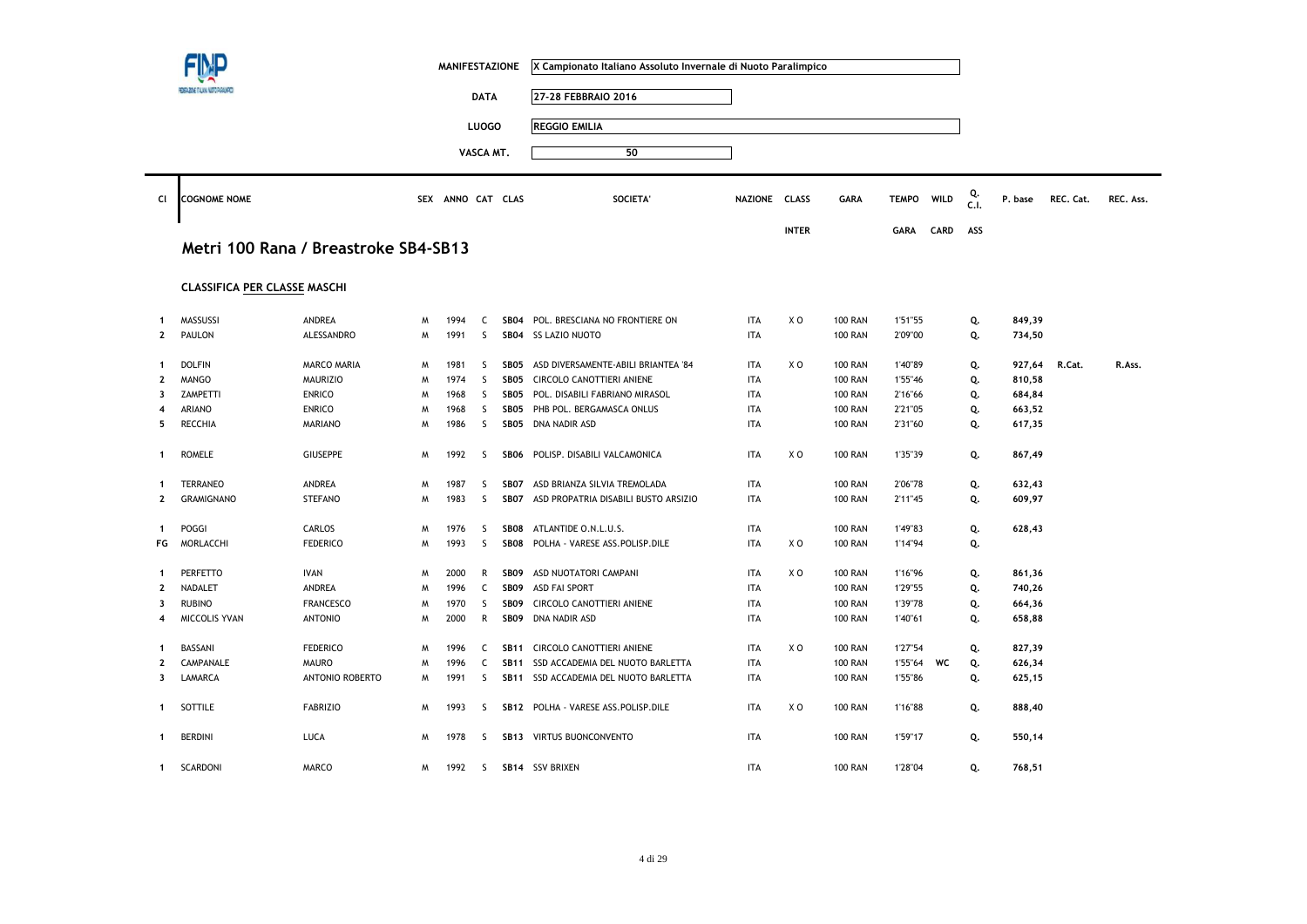|              |                                     |                                      |   | <b>MANIFESTAZIONE</b> |              |                  | X Campionato Italiano Assoluto Invernale di Nuoto Paralimpico |               |                |                |              |             |            |         |           |           |
|--------------|-------------------------------------|--------------------------------------|---|-----------------------|--------------|------------------|---------------------------------------------------------------|---------------|----------------|----------------|--------------|-------------|------------|---------|-----------|-----------|
|              |                                     |                                      |   |                       | <b>DATA</b>  |                  | 27-28 FEBBRAIO 2016                                           |               |                |                |              |             |            |         |           |           |
|              |                                     |                                      |   |                       | <b>LUOGO</b> |                  | <b>REGGIO EMILIA</b>                                          |               |                |                |              |             |            |         |           |           |
|              |                                     |                                      |   |                       |              |                  |                                                               |               |                |                |              |             |            |         |           |           |
|              |                                     |                                      |   |                       | VASCA MT.    |                  | 50                                                            |               |                |                |              |             |            |         |           |           |
| Cl           | <b>COGNOME NOME</b>                 |                                      |   | SEX ANNO CAT CLAS     |              |                  | <b>SOCIETA</b>                                                | NAZIONE CLASS |                | <b>GARA</b>    | <b>TEMPO</b> | WILD        | Q.<br>C.I. | P. base | REC. Cat. | REC. Ass. |
|              |                                     |                                      |   |                       |              |                  |                                                               |               | <b>INTER</b>   |                | <b>GARA</b>  | <b>CARD</b> | ASS        |         |           |           |
|              |                                     | Metri 100 Rana / Breastroke SB4-SB13 |   |                       |              |                  |                                                               |               |                |                |              |             |            |         |           |           |
|              | <b>CLASSIFICA PER CLASSE MASCHI</b> |                                      |   |                       |              |                  |                                                               |               |                |                |              |             |            |         |           |           |
| -1           | MASSUSSI                            | ANDREA                               | M | 1994                  | C            | SB04             | POL. BRESCIANA NO FRONTIERE ON                                | ITA           | X <sub>0</sub> | <b>100 RAN</b> | 1'51"55      |             | Q.         | 849,39  |           |           |
| $\mathbf{2}$ | PAULON                              | ALESSANDRO                           | M | 1991                  | S            |                  | SB04 SS LAZIO NUOTO                                           | ITA           |                | <b>100 RAN</b> | 2'09"00      |             | Q.         | 734,50  |           |           |
| 1            | <b>DOLFIN</b>                       | MARCO MARIA                          | M | 1981                  | S            | SB05             | ASD DIVERSAMENTE-ABILI BRIANTEA '84                           | <b>ITA</b>    | X <sub>0</sub> | <b>100 RAN</b> | 1'40"89      |             | Q.         | 927,64  | R.Cat.    | R.Ass.    |
| 2            | <b>MANGO</b>                        | <b>MAURIZIO</b>                      | M | 1974                  | S            | SB05             | CIRCOLO CANOTTIERI ANIENE                                     | <b>ITA</b>    |                | <b>100 RAN</b> | 1'55"46      |             | Q.         | 810,58  |           |           |
| 3            | ZAMPETTI                            | <b>ENRICO</b>                        | M | 1968                  | S            | SB05             | POL. DISABILI FABRIANO MIRASOL                                | <b>ITA</b>    |                | <b>100 RAN</b> | 2'16"66      |             | Q.         | 684,84  |           |           |
| 4            | <b>ARIANO</b>                       | <b>ENRICO</b>                        | M | 1968                  | <sub>S</sub> | SB05             | PHB POL. BERGAMASCA ONLUS                                     | <b>ITA</b>    |                | <b>100 RAN</b> | 2'21"05      |             | Q.         | 663,52  |           |           |
| 5            | RECCHIA                             | <b>MARIANO</b>                       | M | 1986                  | S            |                  | SB05 DNA NADIR ASD                                            | <b>ITA</b>    |                | <b>100 RAN</b> | 2'31"60      |             | Q.         | 617,35  |           |           |
| -1           | <b>ROMELE</b>                       | <b>GIUSEPPE</b>                      | M | 1992                  | S.           |                  | SB06 POLISP, DISABILI VALCAMONICA                             | <b>ITA</b>    | X O            | <b>100 RAN</b> | 1'35"39      |             | Q.         | 867,49  |           |           |
| -1           | TERRANEO                            | ANDREA                               | M | 1987                  | S            | SB07             | ASD BRIANZA SILVIA TREMOLADA                                  | <b>ITA</b>    |                | <b>100 RAN</b> | 2'06"78      |             | Q.         | 632,43  |           |           |
| 2            | <b>GRAMIGNANO</b>                   | <b>STEFANO</b>                       | M | 1983                  | S            |                  | SB07 ASD PROPATRIA DISABILI BUSTO ARSIZIO                     | <b>ITA</b>    |                | <b>100 RAN</b> | 2'11"45      |             | Q.         | 609,97  |           |           |
| $\mathbf{1}$ | POGGI                               | CARLOS                               | M | 1976                  | S            | SB08             | ATLANTIDE O.N.L.U.S.                                          | ITA           |                | <b>100 RAN</b> | 1'49"83      |             | Q.         | 628,43  |           |           |
| FG           | MORLACCHI                           | <b>FEDERICO</b>                      | M | 1993                  | $\mathsf{S}$ | SB08             | POLHA - VARESE ASS.POLISP.DILE                                | <b>ITA</b>    | X <sub>0</sub> | <b>100 RAN</b> | 1'14"94      |             | Q.         |         |           |           |
|              |                                     |                                      |   |                       |              |                  |                                                               |               |                |                |              |             |            |         |           |           |
| -1           | PERFETTO                            | <b>IVAN</b>                          | M | 2000                  | R            | SB <sub>09</sub> | ASD NUOTATORI CAMPANI                                         | ITA           | X <sub>0</sub> | <b>100 RAN</b> | 1'16"96      |             | Q.         | 861,36  |           |           |
| $\mathbf{2}$ | NADALET                             | ANDREA                               | M | 1996                  | C            | SB <sub>09</sub> | <b>ASD FAI SPORT</b>                                          | ITA           |                | <b>100 RAN</b> | 1'29"55      |             | Q.         | 740,26  |           |           |
| 3            | <b>RUBINO</b>                       | <b>FRANCESCO</b>                     | M | 1970                  | S            | SB09             | CIRCOLO CANOTTIERI ANIENE                                     | <b>ITA</b>    |                | <b>100 RAN</b> | 1'39"78      |             | Q.         | 664,36  |           |           |
| 4            | MICCOLIS YVAN                       | <b>ANTONIO</b>                       | M | 2000                  | R            | SB09             | DNA NADIR ASD                                                 | ITA           |                | <b>100 RAN</b> | 1'40"61      |             | Q.         | 658,88  |           |           |
| 1            | BASSANI                             | <b>FEDERICO</b>                      | M | 1996                  | C            |                  | SB11 CIRCOLO CANOTTIERI ANIENE                                | <b>ITA</b>    | X <sub>0</sub> | <b>100 RAN</b> | 1'27"54      |             | Q.         | 827,39  |           |           |
| 2            | CAMPANALE                           | <b>MAURO</b>                         | M | 1996                  | C            |                  | SB11 SSD ACCADEMIA DEL NUOTO BARLETTA                         | <b>ITA</b>    |                | <b>100 RAN</b> | 1'55"64      | WC          | Q.         | 626,34  |           |           |
| 3            | LAMARCA                             | <b>ANTONIO ROBERTO</b>               | M | 1991                  | S.           |                  | SB11 SSD ACCADEMIA DEL NUOTO BARLETTA                         | <b>ITA</b>    |                | <b>100 RAN</b> | 1'55"86      |             | Q.         | 625,15  |           |           |
| -1           | SOTTILE                             | <b>FABRIZIO</b>                      | M | 1993                  | S.           |                  | SB12 POLHA - VARESE ASS.POLISP.DILE                           | <b>ITA</b>    | X O            | <b>100 RAN</b> | 1'16"88      |             | Q.         | 888,40  |           |           |
| 1            | <b>BERDINI</b>                      | LUCA                                 | M | 1978                  | S            |                  | SB13 VIRTUS BUONCONVENTO                                      | ITA           |                | <b>100 RAN</b> | 1'59"17      |             | Q.         | 550,14  |           |           |
| $\mathbf{1}$ | SCARDONI                            | <b>MARCO</b>                         | M | 1992                  | S.           |                  | SB14 SSV BRIXEN                                               | <b>ITA</b>    |                | <b>100 RAN</b> | 1'28"04      |             | Q.         | 768,51  |           |           |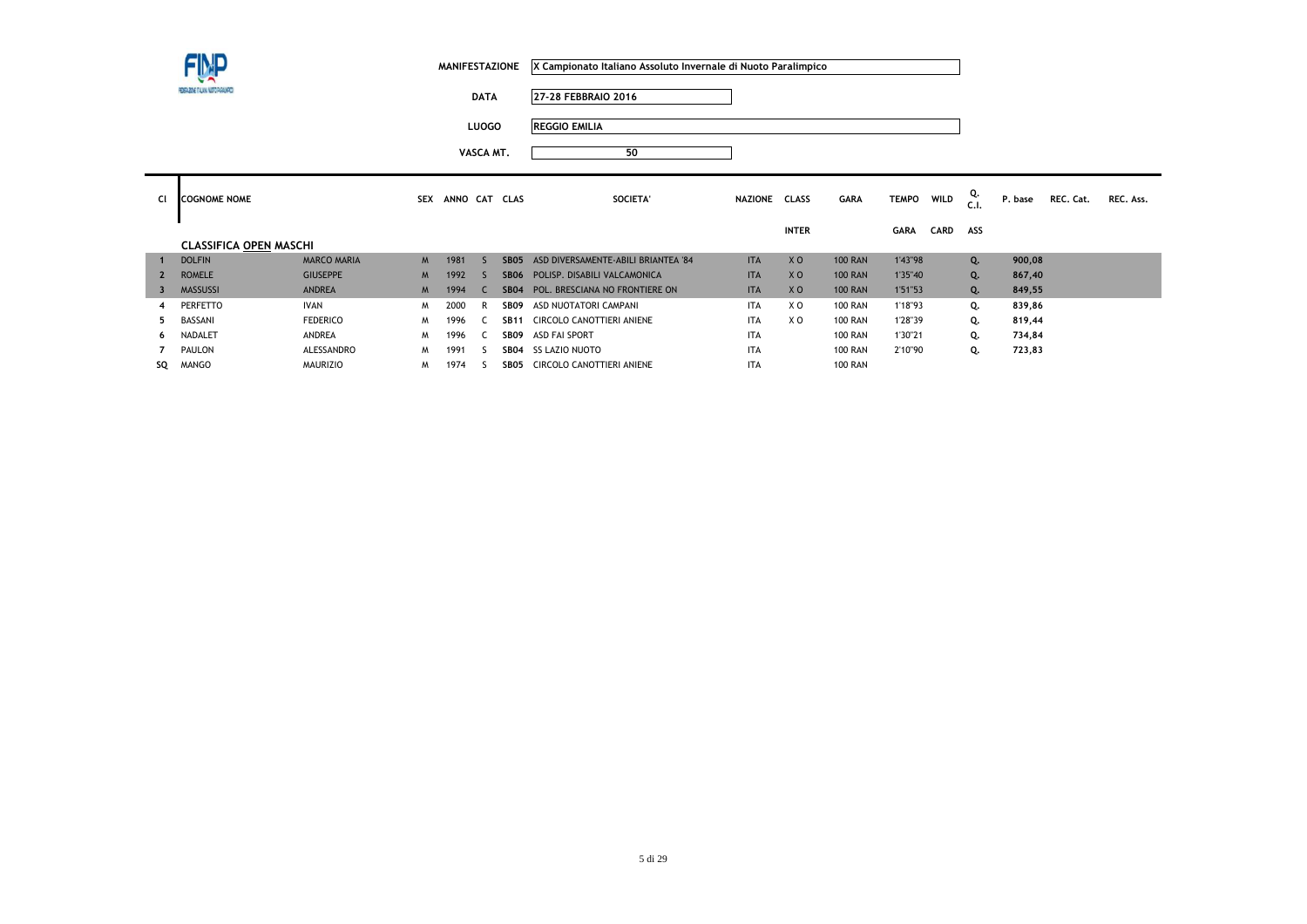**DATA 27-28 FEBBRAIO 2016**

**LUOGO REGGIO EMILIA**

| Cl  | <b>COGNOME NOME</b>           |                    | <b>SEX</b> | ANNO CAT CLAS |                  | SOCIETA'                            | NAZIONE    | <b>CLASS</b>   | <b>GARA</b>    | <b>TEMPO</b> | <b>WILD</b> | Q.<br>C.1. | P. base | REC. Cat. | REC. Ass. |
|-----|-------------------------------|--------------------|------------|---------------|------------------|-------------------------------------|------------|----------------|----------------|--------------|-------------|------------|---------|-----------|-----------|
|     |                               |                    |            |               |                  |                                     |            | <b>INTER</b>   |                | <b>GARA</b>  | CARD        | ASS        |         |           |           |
|     | <b>CLASSIFICA OPEN MASCHI</b> |                    |            |               |                  |                                     |            |                |                |              |             |            |         |           |           |
| च । | <b>DOLFIN</b>                 | <b>MARCO MARIA</b> | M          | 1981          | SB <sub>05</sub> | ASD DIVERSAMENTE-ABILI BRIANTEA '84 | <b>ITA</b> | X <sub>O</sub> | <b>100 RAN</b> | 1'43"98      |             | Q.         | 900,08  |           |           |
|     | <b>ROMELE</b>                 | <b>GIUSEPPE</b>    | M          | 1992          | <b>SB06</b>      | POLISP. DISABILI VALCAMONICA        | <b>ITA</b> | X <sub>O</sub> | <b>100 RAN</b> | 1'35"40      |             | Q.         | 867,40  |           |           |
| 3   | <b>MASSUSSI</b>               | <b>ANDREA</b>      | M          | 1994          | <b>SB04</b>      | POL. BRESCIANA NO FRONTIERE ON      | <b>ITA</b> | X <sub>0</sub> | <b>100 RAN</b> | 1'51"53      |             | Q.         | 849,55  |           |           |
| 4   | <b>PERFETTO</b>               | <b>IVAN</b>        | M          | 2000          | SB <sub>09</sub> | ASD NUOTATORI CAMPANI               | <b>ITA</b> | X <sub>0</sub> | <b>100 RAN</b> | 1'18"93      |             | Q.         | 839,86  |           |           |
|     | BASSANI                       | <b>FEDERICO</b>    | M          | 1996          | <b>SB11</b>      | CIRCOLO CANOTTIERI ANIENE           | <b>ITA</b> | X <sub>O</sub> | <b>100 RAN</b> | 1'28"39      |             | Q.         | 819,44  |           |           |
| 6.  | <b>NADALET</b>                | ANDREA             | M          | 1996          | SB09             | ASD FAI SPORT                       | <b>ITA</b> |                | <b>100 RAN</b> | 1'30"21      |             | Q.         | 734,84  |           |           |
|     | PAULON                        | ALESSANDRO         | M          | 1991          | <b>SB04</b>      | SS LAZIO NUOTO                      | <b>ITA</b> |                | <b>100 RAN</b> | 2'10"90      |             | Q.         | 723,83  |           |           |
| SQ  | MANGO                         | <b>MAURIZIO</b>    | M          | 1974          | SB05             | CIRCOLO CANOTTIERI ANIENE           | <b>ITA</b> |                | <b>100 RAN</b> |              |             |            |         |           |           |
|     |                               |                    |            |               |                  |                                     |            |                |                |              |             |            |         |           |           |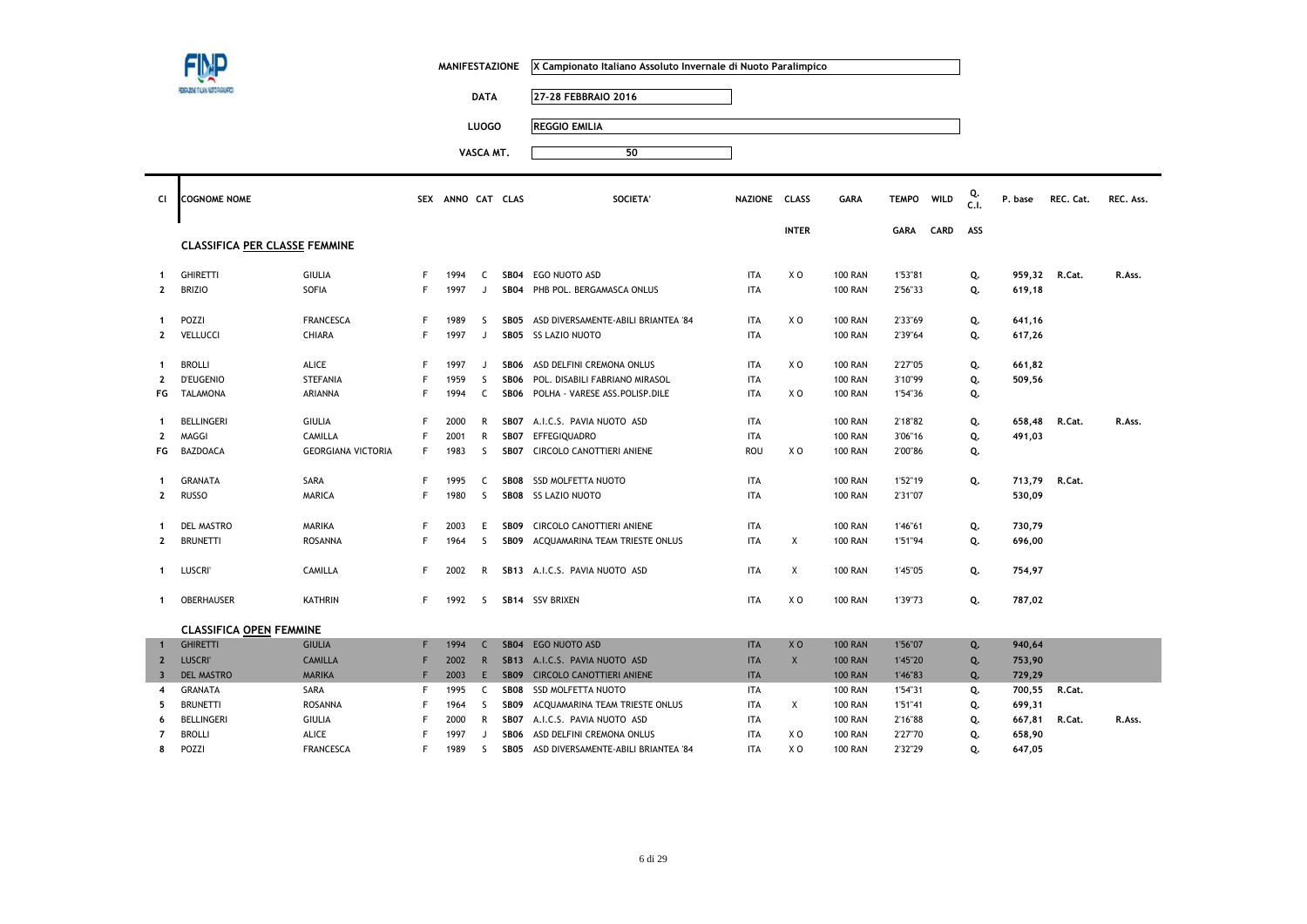|                         |                                      |                           |            | <b>MANIFESTAZIONE</b> |                |                  | X Campionato Italiano Assoluto Invernale di Nuoto Paralimpico |               |                |                |              |      |            |         |           |           |
|-------------------------|--------------------------------------|---------------------------|------------|-----------------------|----------------|------------------|---------------------------------------------------------------|---------------|----------------|----------------|--------------|------|------------|---------|-----------|-----------|
|                         | ZOVE TALANA NUTO PAR                 |                           |            |                       | <b>DATA</b>    |                  | 27-28 FEBBRAIO 2016                                           |               |                |                |              |      |            |         |           |           |
|                         |                                      |                           |            |                       | <b>LUOGO</b>   |                  | <b>REGGIO EMILIA</b>                                          |               |                |                |              |      |            |         |           |           |
|                         |                                      |                           |            |                       |                |                  |                                                               |               |                |                |              |      |            |         |           |           |
|                         |                                      |                           |            |                       | VASCA MT.      |                  | 50                                                            |               |                |                |              |      |            |         |           |           |
| CI                      | <b>COGNOME NOME</b>                  |                           | <b>SEX</b> | ANNO CAT CLAS         |                |                  | <b>SOCIETA</b>                                                | NAZIONE CLASS |                | <b>GARA</b>    | <b>TEMPO</b> | WILD | Q.<br>C.I. | P. base | REC. Cat. | REC. Ass. |
|                         | <b>CLASSIFICA PER CLASSE FEMMINE</b> |                           |            |                       |                |                  |                                                               |               | <b>INTER</b>   |                | <b>GARA</b>  | CARD | ASS        |         |           |           |
| $\mathbf 1$             | <b>GHIRETTI</b>                      | <b>GIULIA</b>             | F          | 1994                  | C              | SB04             | EGO NUOTO ASD                                                 | <b>ITA</b>    | XO             | <b>100 RAN</b> | 1'53"81      |      | Q.         | 959,32  | R.Cat.    | R.Ass.    |
| $\mathbf{2}$            | <b>BRIZIO</b>                        | SOFIA                     | F          | 1997                  | $\mathbf{J}$   | SB04             | PHB POL. BERGAMASCA ONLUS                                     | <b>ITA</b>    |                | <b>100 RAN</b> | 2'56"33      |      | Q.         | 619,18  |           |           |
| 1                       | POZZI                                | <b>FRANCESCA</b>          | F          | 1989                  | S              |                  | SB05 ASD DIVERSAMENTE-ABILI BRIANTEA '84                      | <b>ITA</b>    | XO             | <b>100 RAN</b> | 2'33"69      |      | Q.         | 641,16  |           |           |
| $\mathbf{2}$            | VELLUCCI                             | <b>CHIARA</b>             | F          | 1997                  | $\overline{1}$ |                  | SB05 SS LAZIO NUOTO                                           | <b>ITA</b>    |                | <b>100 RAN</b> | 2'39"64      |      | Q.         | 617,26  |           |           |
| 1                       | <b>BROLLI</b>                        | <b>ALICE</b>              | F          | 1997                  | $\overline{1}$ | SB06             | ASD DELFINI CREMONA ONLUS                                     | <b>ITA</b>    | X <sub>0</sub> | <b>100 RAN</b> | 2'27"05      |      | Q.         | 661,82  |           |           |
| $\mathbf{2}$            | <b>D'EUGENIO</b>                     | <b>STEFANIA</b>           | F          | 1959                  | S              | <b>SB06</b>      | POL. DISABILI FABRIANO MIRASOL                                | <b>ITA</b>    |                | <b>100 RAN</b> | 3'10"99      |      | Q.         | 509,56  |           |           |
| FG                      | <b>TALAMONA</b>                      | ARIANNA                   | F          | 1994                  | C              | SB06             | POLHA - VARESE ASS.POLISP.DILE                                | <b>ITA</b>    | X O            | <b>100 RAN</b> | 1'54"36      |      | Q.         |         |           |           |
| $\mathbf{1}$            | BELLINGERI                           | <b>GIULIA</b>             | F          | 2000                  | R              |                  | SB07 A.I.C.S. PAVIA NUOTO ASD                                 | <b>ITA</b>    |                | <b>100 RAN</b> | 2'18"82      |      | Q.         | 658,48  | R.Cat.    | R.Ass.    |
| 2                       | MAGGI                                | CAMILLA                   | F          | 2001                  | $\mathsf{R}$   | SB07             | EFFEGIQUADRO                                                  | <b>ITA</b>    |                | <b>100 RAN</b> | 3'06"16      |      | Q.         | 491,03  |           |           |
| FG                      | <b>BAZDOACA</b>                      | <b>GEORGIANA VICTORIA</b> | F          | 1983                  | S              | SB07             | CIRCOLO CANOTTIERI ANIENE                                     | ROU           | X O            | <b>100 RAN</b> | 2'00"86      |      | Q.         |         |           |           |
| 1                       | <b>GRANATA</b>                       | SARA                      | F          | 1995                  | C              | <b>SB08</b>      | SSD MOLFETTA NUOTO                                            | <b>ITA</b>    |                | <b>100 RAN</b> | 1'52"19      |      | Q.         | 713,79  | R.Cat.    |           |
| $\mathbf{2}$            | <b>RUSSO</b>                         | <b>MARICA</b>             | F          | 1980                  | <sub>S</sub>   |                  | SB08 SS LAZIO NUOTO                                           | <b>ITA</b>    |                | <b>100 RAN</b> | 2'31"07      |      |            | 530,09  |           |           |
| $\mathbf 1$             | <b>DEL MASTRO</b>                    | MARIKA                    | F.         | 2003                  | E              | SB <sub>09</sub> | CIRCOLO CANOTTIERI ANIENE                                     | <b>ITA</b>    |                | <b>100 RAN</b> | 1'46"61      |      | Q.         | 730,79  |           |           |
| 2                       | <b>BRUNETTI</b>                      | <b>ROSANNA</b>            | F          | 1964                  | S              | SB09             | ACQUAMARINA TEAM TRIESTE ONLUS                                | <b>ITA</b>    | X              | <b>100 RAN</b> | 1'51"94      |      | Q.         | 696,00  |           |           |
| $\mathbf{1}$            | LUSCRI                               | CAMILLA                   | F.         | 2002                  | R              |                  | SB13 A.I.C.S. PAVIA NUOTO ASD                                 | <b>ITA</b>    | Χ              | <b>100 RAN</b> | 1'45"05      |      | Q.         | 754,97  |           |           |
| $\mathbf{1}$            | OBERHAUSER                           | <b>KATHRIN</b>            | F          | 1992                  | S              |                  | SB14 SSV BRIXEN                                               | <b>ITA</b>    | X <sub>0</sub> | <b>100 RAN</b> | 1'39"73      |      | Q.         | 787,02  |           |           |
|                         | <b>CLASSIFICA OPEN FEMMINE</b>       |                           |            |                       |                |                  |                                                               |               |                |                |              |      |            |         |           |           |
| $\mathbf{1}$            | <b>GHIRETTI</b>                      | <b>GIULIA</b>             | F          | 1994                  | $\mathsf{C}$   |                  | SB04 EGO NUOTO ASD                                            | <b>ITA</b>    | X <sub>O</sub> | <b>100 RAN</b> | 1'56"07      |      | Q.         | 940,64  |           |           |
| $\overline{2}$          | <b>LUSCRI</b>                        | <b>CAMILLA</b>            | F          | 2002                  | $\mathsf{R}$   |                  | SB13 A.I.C.S. PAVIA NUOTO ASD                                 | <b>ITA</b>    | X              | <b>100 RAN</b> | 1'45"20      |      | Q.         | 753,90  |           |           |
| $\overline{\mathbf{3}}$ | <b>DEL MASTRO</b>                    | <b>MARIKA</b>             | F          | 2003                  | E.             |                  | SB09 CIRCOLO CANOTTIERI ANIENE                                | <b>ITA</b>    |                | <b>100 RAN</b> | 1'46"83      |      | Q.         | 729,29  |           |           |
| 4                       | <b>GRANATA</b>                       | SARA                      | F          | 1995                  | C              | SB08             | <b>SSD MOLFETTA NUOTO</b>                                     | <b>ITA</b>    |                | <b>100 RAN</b> | 1'54"31      |      | Q.         | 700,55  | R.Cat.    |           |
| 5                       | <b>BRUNETTI</b>                      | <b>ROSANNA</b>            | F          | 1964                  | S              | SB <sub>09</sub> | ACQUAMARINA TEAM TRIESTE ONLUS                                | <b>ITA</b>    | X              | <b>100 RAN</b> | 1'51"41      |      | Q.         | 699,31  |           |           |
| 6                       | <b>BELLINGERI</b>                    | <b>GIULIA</b>             |            | 2000                  | R              | SB07             | A.I.C.S. PAVIA NUOTO ASD                                      | <b>ITA</b>    |                | <b>100 RAN</b> | 2'16"88      |      | Q.         | 667,81  | R.Cat.    | R.Ass.    |
| $\overline{7}$          | <b>BROLLI</b>                        | <b>ALICE</b>              | F          | 1997                  | $\mathbf{J}$   | SB06             | ASD DELFINI CREMONA ONLUS                                     | <b>ITA</b>    | X <sub>0</sub> | <b>100 RAN</b> | 2'27"70      |      | Q.         | 658,90  |           |           |

POZZI FRANCESCA <sup>F</sup> <sup>1989</sup> <sup>S</sup> **SB05** ASD DIVERSAMENTE-ABILI BRIANTEA '84 ITA X O 100 RAN 2'32"29 **Q. 647,05** 

**8**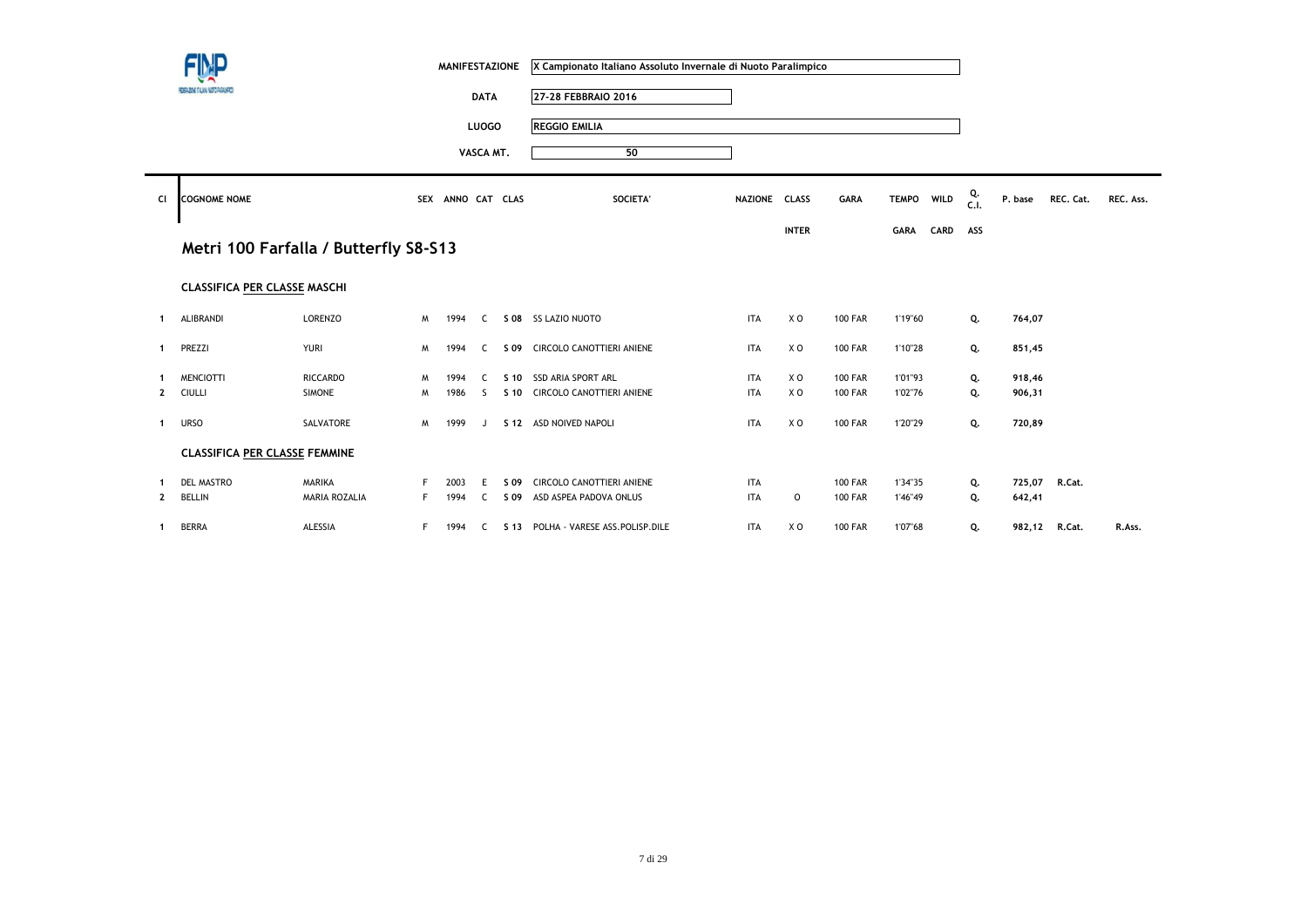|                | FINP                                  |                                       |    | <b>MANIFESTAZIONE</b> |              |      | X Campionato Italiano Assoluto Invernale di Nuoto Paralimpico |               |              |                |             |      |            |         |           |           |
|----------------|---------------------------------------|---------------------------------------|----|-----------------------|--------------|------|---------------------------------------------------------------|---------------|--------------|----------------|-------------|------|------------|---------|-----------|-----------|
|                | FEDERAZIONE ITALIANA NUOTO PARALMPIED |                                       |    |                       | <b>DATA</b>  |      | 27-28 FEBBRAIO 2016                                           |               |              |                |             |      |            |         |           |           |
|                |                                       |                                       |    |                       | <b>LUOGO</b> |      | <b>REGGIO EMILIA</b>                                          |               |              |                |             |      |            |         |           |           |
|                |                                       |                                       |    |                       | VASCA MT.    |      | 50                                                            |               |              |                |             |      |            |         |           |           |
| CI             | <b>COGNOME NOME</b>                   |                                       |    | SEX ANNO CAT CLAS     |              |      | <b>SOCIETA</b>                                                | NAZIONE CLASS |              | <b>GARA</b>    | TEMPO WILD  |      | Q.<br>C.I. | P. base | REC. Cat. | REC. Ass. |
|                |                                       |                                       |    |                       |              |      |                                                               |               | <b>INTER</b> |                | <b>GARA</b> | CARD | ASS        |         |           |           |
|                |                                       | Metri 100 Farfalla / Butterfly S8-S13 |    |                       |              |      |                                                               |               |              |                |             |      |            |         |           |           |
|                | <b>CLASSIFICA PER CLASSE MASCHI</b>   |                                       |    |                       |              |      |                                                               |               |              |                |             |      |            |         |           |           |
| $\mathbf 1$    | ALIBRANDI                             | <b>LORENZO</b>                        | M  | 1994                  | C            |      | S 08 SS LAZIO NUOTO                                           | <b>ITA</b>    | X O          | <b>100 FAR</b> | 1'19"60     |      | Q.         | 764,07  |           |           |
| 1              | PREZZI                                | <b>YURI</b>                           | M  | 1994                  | C            |      | S 09 CIRCOLO CANOTTIERI ANIENE                                | <b>ITA</b>    | X O          | <b>100 FAR</b> | 1'10"28     |      | Q.         | 851,45  |           |           |
|                | <b>MENCIOTTI</b>                      | <b>RICCARDO</b>                       | M  | 1994                  | C.           |      | S 10 SSD ARIA SPORT ARL                                       | <b>ITA</b>    | X O          | <b>100 FAR</b> | 1'01"93     |      | Q.         | 918,46  |           |           |
| 2              | CIULLI                                | <b>SIMONE</b>                         | M  | 1986                  | <sub>S</sub> |      | S 10 CIRCOLO CANOTTIERI ANIENE                                | <b>ITA</b>    | X O          | <b>100 FAR</b> | 1'02"76     |      | Q.         | 906,31  |           |           |
| 1              | <b>URSO</b>                           | SALVATORE                             | M  | 1999                  | $\perp$      |      | S 12 ASD NOIVED NAPOLI                                        | <b>ITA</b>    | X O          | <b>100 FAR</b> | 1'20"29     |      | Q.         | 720,89  |           |           |
|                | <b>CLASSIFICA PER CLASSE FEMMINE</b>  |                                       |    |                       |              |      |                                                               |               |              |                |             |      |            |         |           |           |
|                | <b>DEL MASTRO</b>                     | <b>MARIKA</b>                         | F. | 2003                  | E            | S 09 | CIRCOLO CANOTTIERI ANIENE                                     | <b>ITA</b>    |              | <b>100 FAR</b> | 1'34"35     |      | Q.         | 725,07  | R.Cat.    |           |
| $\overline{2}$ | <b>BELLIN</b>                         | MARIA ROZALIA                         | F. | 1994                  | C.           | S 09 | ASD ASPEA PADOVA ONLUS                                        | <b>ITA</b>    | 0            | <b>100 FAR</b> | 1'46"49     |      | Q.         | 642,41  |           |           |
| 1              | <b>BERRA</b>                          | ALESSIA                               | F  | 1994                  | $\mathsf{C}$ |      | S 13 POLHA - VARESE ASS. POLISP. DILE                         | <b>ITA</b>    | X O          | <b>100 FAR</b> | 1'07"68     |      | Q.         | 982,12  | R.Cat.    | R.Ass.    |

**CONTRACTOR**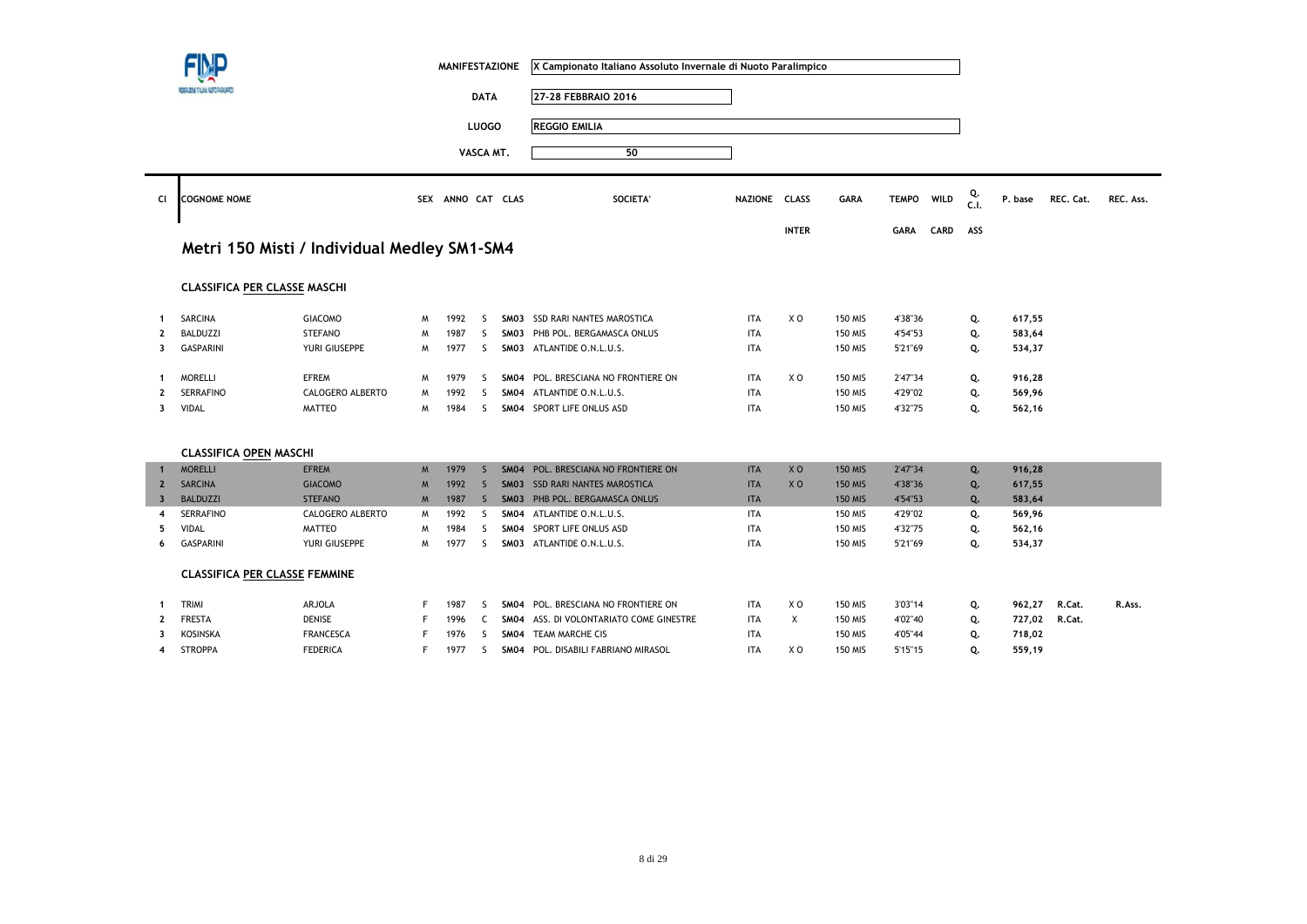|                         |                                       |                                             |   | <b>MANIFESTAZIONE</b> |              |      | X Campionato Italiano Assoluto Invernale di Nuoto Paralimpico |               |                |                |              |      |            |         |           |           |
|-------------------------|---------------------------------------|---------------------------------------------|---|-----------------------|--------------|------|---------------------------------------------------------------|---------------|----------------|----------------|--------------|------|------------|---------|-----------|-----------|
|                         | FEDERAZIONE ITALIANA NUETO PARALMPICO |                                             |   |                       | <b>DATA</b>  |      | 27-28 FEBBRAIO 2016                                           |               |                |                |              |      |            |         |           |           |
|                         |                                       |                                             |   |                       | <b>LUOGO</b> |      | <b>REGGIO EMILIA</b>                                          |               |                |                |              |      |            |         |           |           |
|                         |                                       |                                             |   |                       |              |      |                                                               |               |                |                |              |      |            |         |           |           |
|                         |                                       |                                             |   |                       | VASCA MT.    |      | 50                                                            |               |                |                |              |      |            |         |           |           |
| Cl                      | <b>COGNOME NOME</b>                   |                                             |   | SEX ANNO CAT CLAS     |              |      | <b>SOCIETA</b>                                                | NAZIONE CLASS |                | GARA           | <b>TEMPO</b> | WILD | Q.<br>C.I. | P. base | REC. Cat. | REC. Ass. |
|                         |                                       |                                             |   |                       |              |      |                                                               |               | <b>INTER</b>   |                | GARA         | CARD | ASS        |         |           |           |
|                         |                                       | Metri 150 Misti / Individual Medley SM1-SM4 |   |                       |              |      |                                                               |               |                |                |              |      |            |         |           |           |
|                         | <b>CLASSIFICA PER CLASSE MASCHI</b>   |                                             |   |                       |              |      |                                                               |               |                |                |              |      |            |         |           |           |
| $\mathbf 1$             | SARCINA                               | <b>GIACOMO</b>                              | M | 1992                  | S.           |      | SM03 SSD RARI NANTES MAROSTICA                                | <b>ITA</b>    | X <sub>0</sub> | <b>150 MIS</b> | 4'38"36      |      | Q.         | 617,55  |           |           |
| 2                       | <b>BALDUZZI</b>                       | <b>STEFANO</b>                              | M | 1987                  | S.           |      | SM03 PHB POL. BERGAMASCA ONLUS                                | <b>ITA</b>    |                | <b>150 MIS</b> | 4'54"53      |      | Q.         | 583,64  |           |           |
| 3                       | <b>GASPARINI</b>                      | YURI GIUSEPPE                               | M | 1977                  | S.           |      | SM03 ATLANTIDE O.N.L.U.S.                                     | <b>ITA</b>    |                | 150 MIS        | 5'21"69      |      | Q.         | 534,37  |           |           |
| $\mathbf 1$             | <b>MORELLI</b>                        | <b>EFREM</b>                                | M | 1979                  | S            |      | SM04 POL. BRESCIANA NO FRONTIERE ON                           | <b>ITA</b>    | X O            | 150 MIS        | 2'47"34      |      | Q.         | 916,28  |           |           |
| $\mathbf{2}$            | <b>SERRAFINO</b>                      | CALOGERO ALBERTO                            | M | 1992                  | S.           |      | SM04 ATLANTIDE O.N.L.U.S.                                     | <b>ITA</b>    |                | <b>150 MIS</b> | 4'29"02      |      | Q.         | 569,96  |           |           |
| 3                       | <b>VIDAL</b>                          | <b>MATTEO</b>                               | M | 1984                  | S            |      | SM04 SPORT LIFE ONLUS ASD                                     | <b>ITA</b>    |                | 150 MIS        | 4'32"75      |      | Q.         | 562,16  |           |           |
|                         | <b>CLASSIFICA OPEN MASCHI</b>         |                                             |   |                       |              |      |                                                               |               |                |                |              |      |            |         |           |           |
| $\mathbf{1}$            | <b>MORELLI</b>                        | <b>EFREM</b>                                | M | 1979                  | <sub>S</sub> |      | SM04 POL. BRESCIANA NO FRONTIERE ON                           | <b>ITA</b>    | XO             | <b>150 MIS</b> | 2'47"34      |      | Q.         | 916,28  |           |           |
| $\overline{2}$          | <b>SARCINA</b>                        | <b>GIACOMO</b>                              | M | 1992                  | <sub>S</sub> |      | <b>SMO3 SSD RARI NANTES MAROSTICA</b>                         | <b>ITA</b>    | X <sub>O</sub> | <b>150 MIS</b> | 4'38"36      |      | Q.         | 617,55  |           |           |
| $\overline{\mathbf{3}}$ | <b>BALDUZZI</b>                       | <b>STEFANO</b>                              |   |                       |              |      | SM03 PHB POL. BERGAMASCA ONLUS                                | <b>ITA</b>    |                | <b>150 MIS</b> | 4'54"53      |      | Q.         | 583,64  |           |           |
|                         |                                       |                                             | M | 1987                  | S.           |      |                                                               |               |                |                |              |      |            |         |           |           |
| $\overline{4}$          | <b>SERRAFINO</b>                      | CALOGERO ALBERTO                            | M | 1992                  | S            |      | SM04 ATLANTIDE O.N.L.U.S.                                     | <b>ITA</b>    |                | <b>150 MIS</b> | 4'29"02      |      | Q.         | 569,96  |           |           |
| -5                      | <b>VIDAL</b>                          | MATTEO                                      | M | 1984                  | <sub>S</sub> | SM04 | SPORT LIFE ONLUS ASD                                          | <b>ITA</b>    |                | <b>150 MIS</b> | 4'32"75      |      | Q.         | 562,16  |           |           |
|                         | <b>GASPARINI</b>                      | YURI GIUSEPPE                               | M | 1977                  | S.           |      | SM03 ATLANTIDE O.N.L.U.S.                                     | <b>ITA</b>    |                | <b>150 MIS</b> | 5'21"69      |      | Q.         | 534,37  |           |           |
|                         | <b>CLASSIFICA PER CLASSE FEMMINE</b>  |                                             |   |                       |              |      |                                                               |               |                |                |              |      |            |         |           |           |
| -6<br>-1                | TRIMI                                 | ARJOLA                                      | F | 1987                  | S.           |      | SM04 POL. BRESCIANA NO FRONTIERE ON                           | <b>ITA</b>    | X O            | <b>150 MIS</b> | 3'03"14      |      | Q.         | 962,27  | R.Cat.    | R.Ass.    |
|                         | <b>FRESTA</b>                         | <b>DENISE</b>                               | F | 1996                  | C            |      | SM04 ASS. DI VOLONTARIATO COME GINESTRE                       | <b>ITA</b>    | X              | 150 MIS        | 4'02"40      |      | Q.         | 727,02  | R.Cat.    |           |
| 3                       | KOSINSKA                              | <b>FRANCESCA</b>                            | F | 1976                  | S            |      | SM04 TEAM MARCHE CIS                                          | <b>ITA</b>    |                | <b>150 MIS</b> | 4'05"44      |      | Q.         | 718,02  |           |           |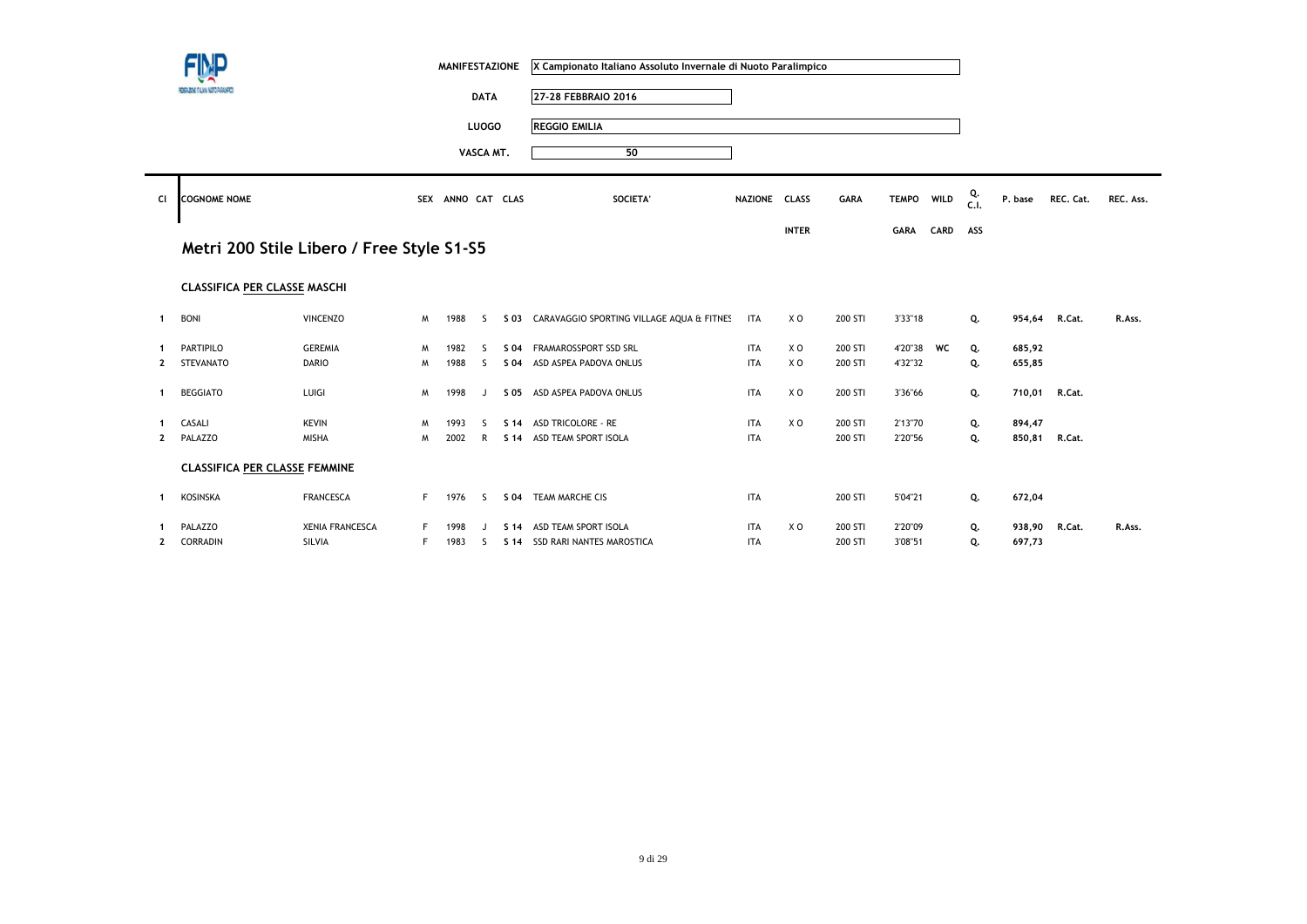|              | FINP                                      |                        |    | <b>MANIFESTAZIONE</b> |              |                 | X Campionato Italiano Assoluto Invernale di Nuoto Paralimpico |               |              |             |              |      |            |         |               |           |
|--------------|-------------------------------------------|------------------------|----|-----------------------|--------------|-----------------|---------------------------------------------------------------|---------------|--------------|-------------|--------------|------|------------|---------|---------------|-----------|
|              | FEDERAZIONE ITALIANA NUETO PARALMPIED     |                        |    |                       | <b>DATA</b>  |                 | 27-28 FEBBRAIO 2016                                           |               |              |             |              |      |            |         |               |           |
|              |                                           |                        |    |                       | <b>LUOGO</b> |                 | <b>REGGIO EMILIA</b>                                          |               |              |             |              |      |            |         |               |           |
|              |                                           |                        |    |                       | VASCA MT.    |                 | 50                                                            |               |              |             |              |      |            |         |               |           |
| CI           | <b>COGNOME NOME</b>                       |                        |    | SEX ANNO CAT CLAS     |              |                 | SOCIETA'                                                      | NAZIONE CLASS |              | <b>GARA</b> | <b>TEMPO</b> | WILD | Q.<br>C.I. | P. base | REC. Cat.     | REC. Ass. |
|              |                                           |                        |    |                       |              |                 |                                                               |               | <b>INTER</b> |             | <b>GARA</b>  | CARD | ASS        |         |               |           |
|              | Metri 200 Stile Libero / Free Style S1-S5 |                        |    |                       |              |                 |                                                               |               |              |             |              |      |            |         |               |           |
|              |                                           |                        |    |                       |              |                 |                                                               |               |              |             |              |      |            |         |               |           |
|              | <b>CLASSIFICA PER CLASSE MASCHI</b>       |                        |    |                       |              |                 |                                                               |               |              |             |              |      |            |         |               |           |
| -1           | <b>BONI</b>                               | <b>VINCENZO</b>        | M  | 1988                  | -S           |                 | S 03 CARAVAGGIO SPORTING VILLAGE AQUA & FITNES                | <b>ITA</b>    | X O          | 200 STI     | 3'33"18      |      | Q.         | 954,64  | R.Cat.        | R.Ass.    |
|              | <b>PARTIPILO</b>                          | <b>GEREMIA</b>         | M  | 1982                  | ς.           | S 04            | FRAMAROSSPORT SSD SRL                                         | <b>ITA</b>    | X O          | 200 STI     | 4'20"38      | WC   | Q.         | 685,92  |               |           |
| $\mathbf{2}$ | <b>STEVANATO</b>                          | <b>DARIO</b>           | M  | 1988                  | -S           | S 04            | ASD ASPEA PADOVA ONLUS                                        | <b>ITA</b>    | XO           | 200 STI     | 4'32"32      |      | Q.         | 655,85  |               |           |
| -1           | <b>BEGGIATO</b>                           | LUIGI                  | M  | 1998                  | J            |                 | S 05 ASD ASPEA PADOVA ONLUS                                   | <b>ITA</b>    | XO           | 200 STI     | 3'36"66      |      | Q.         |         | 710,01 R.Cat. |           |
|              | CASALI                                    | <b>KEVIN</b>           | M  | 1993                  | ς            | S <sub>14</sub> | <b>ASD TRICOLORE - RE</b>                                     | <b>ITA</b>    | XO           | 200 STI     | 2'13"70      |      | Q.         | 894,47  |               |           |
| $\mathbf{2}$ | PALAZZO                                   | MISHA                  | M  | 2002                  | R            | S 14            | ASD TEAM SPORT ISOLA                                          | <b>ITA</b>    |              | 200 STI     | 2'20"56      |      | Q.         | 850,81  | R.Cat.        |           |
|              | <b>CLASSIFICA PER CLASSE FEMMINE</b>      |                        |    |                       |              |                 |                                                               |               |              |             |              |      |            |         |               |           |
|              |                                           |                        |    |                       |              |                 |                                                               |               |              |             |              |      |            |         |               |           |
| -1           | KOSINSKA                                  | <b>FRANCESCA</b>       | F. | 1976                  | S            | S 04            | TEAM MARCHE CIS                                               | <b>ITA</b>    |              | 200 STI     | 5'04"21      |      | Q.         | 672,04  |               |           |
|              | PALAZZO                                   | <b>XENIA FRANCESCA</b> |    | 1998                  |              | S <sub>14</sub> | ASD TEAM SPORT ISOLA                                          | <b>ITA</b>    | XO           | 200 STI     | 2'20"09      |      | Q.         | 938,90  | R.Cat.        | R.Ass.    |
| $\mathbf{2}$ | CORRADIN                                  | SILVIA                 | F. | 1983                  | S.           | S <sub>14</sub> | SSD RARI NANTES MAROSTICA                                     | <b>ITA</b>    |              | 200 STI     | 3'08"51      |      | Q.         | 697,73  |               |           |

 $\sim$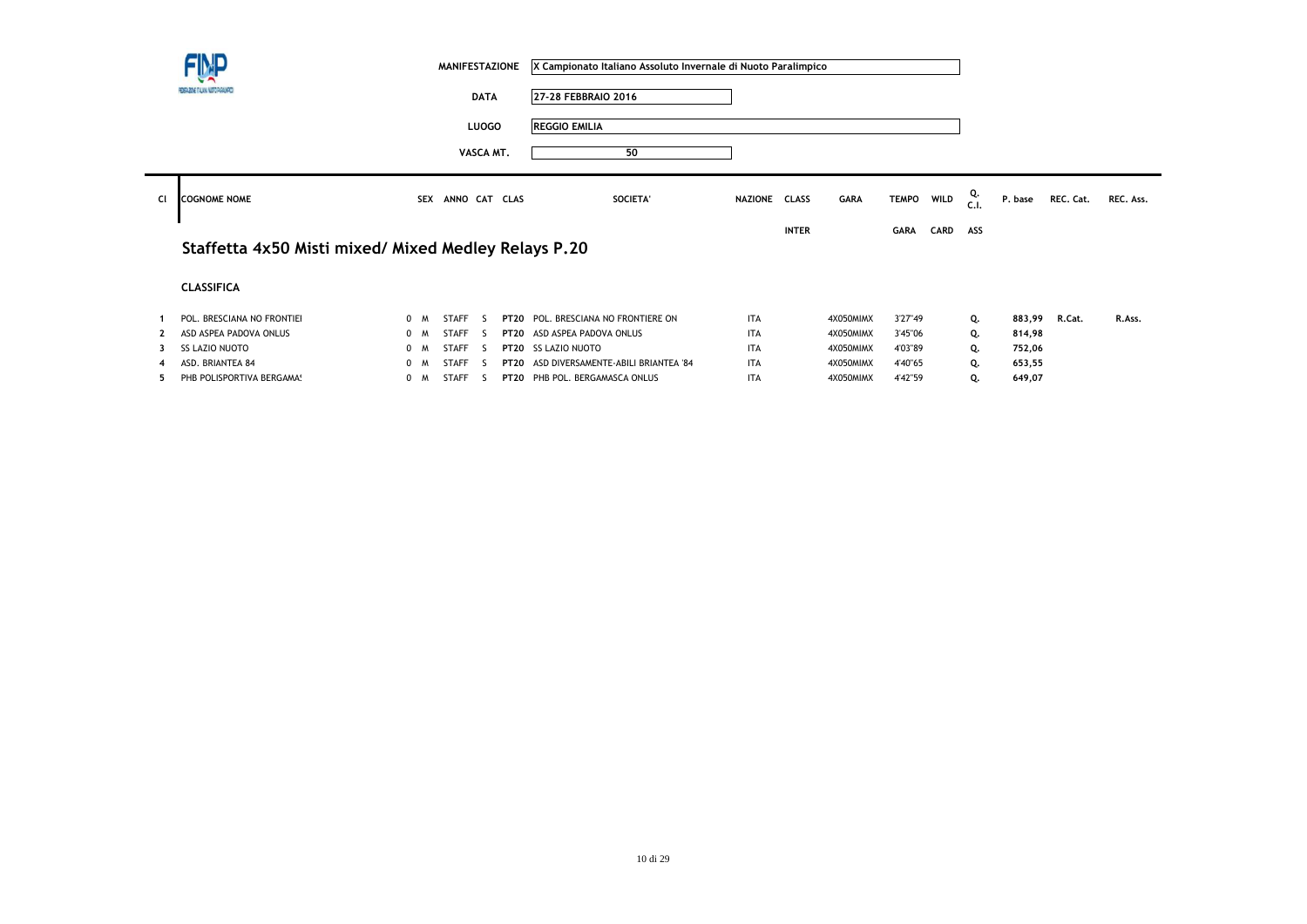|    | FIMP<br><b>MANIFESTAZIONE</b>                        |     |            |               |              |             | X Campionato Italiano Assoluto Invernale di Nuoto Paralimpico |               |              |             |              |             |           |         |           |           |
|----|------------------------------------------------------|-----|------------|---------------|--------------|-------------|---------------------------------------------------------------|---------------|--------------|-------------|--------------|-------------|-----------|---------|-----------|-----------|
|    | FEDERAZIONE ITALIANA NUOTO PARALMPOS                 |     |            |               | <b>DATA</b>  |             | 27-28 FEBBRAIO 2016                                           |               |              |             |              |             |           |         |           |           |
|    |                                                      |     |            |               | <b>LUOGO</b> |             | <b>REGGIO EMILIA</b>                                          |               |              |             |              |             |           |         |           |           |
|    |                                                      |     |            |               | VASCA MT.    |             | 50                                                            |               |              |             |              |             |           |         |           |           |
| CI | <b>COGNOME NOME</b>                                  |     | <b>SEX</b> | ANNO CAT CLAS |              |             | SOCIETA'                                                      | NAZIONE CLASS |              | <b>GARA</b> | <b>TEMPO</b> | WILD        | Q.<br>c.1 | P. base | REC. Cat. | REC. Ass. |
|    |                                                      |     |            |               |              |             |                                                               |               | <b>INTER</b> |             | <b>GARA</b>  | <b>CARD</b> | ASS       |         |           |           |
|    | Staffetta 4x50 Misti mixed/ Mixed Medley Relays P.20 |     |            |               |              |             |                                                               |               |              |             |              |             |           |         |           |           |
|    | <b>CLASSIFICA</b>                                    |     |            |               |              |             |                                                               |               |              |             |              |             |           |         |           |           |
|    | POL. BRESCIANA NO FRONTIEI                           | 0 M |            | <b>STAFF</b>  | $\sim$       | <b>PT20</b> | POL. BRESCIANA NO FRONTIERE ON                                | <b>ITA</b>    |              | 4X050MIMX   | 3'27"49      |             | Q.        | 883,99  | R.Cat.    | R.Ass.    |
|    | ASD ASPEA PADOVA ONLUS                               | 0 M |            | <b>STAFF</b>  | - 5          |             | PT20 ASD ASPEA PADOVA ONLUS                                   | <b>ITA</b>    |              | 4X050MIMX   | 3'45"06      |             | Q.        | 814,98  |           |           |
|    | <b>SS LAZIO NUOTO</b>                                | 0 M |            | <b>STAFF</b>  | -S           | <b>PT20</b> | <b>SS LAZIO NUOTO</b>                                         | <b>ITA</b>    |              | 4X050MIMX   | 4'03"89      |             | Q.        | 752,06  |           |           |
|    | ASD. BRIANTEA 84                                     | 0 M |            | <b>STAFF</b>  | - 5          | <b>PT20</b> | ASD DIVERSAMENTE-ABILI BRIANTEA '84                           | <b>ITA</b>    |              | 4X050MIMX   | 4'40"65      |             | Q.        | 653,55  |           |           |
|    | PHB POLISPORTIVA BERGAMA!                            | 0 M |            | STAFF         | - 5          |             | PT20 PHB POL. BERGAMASCA ONLUS                                | <b>ITA</b>    |              | 4X050MIMX   | 4'42"59      |             | Q.        | 649,07  |           |           |

**Contract Contract**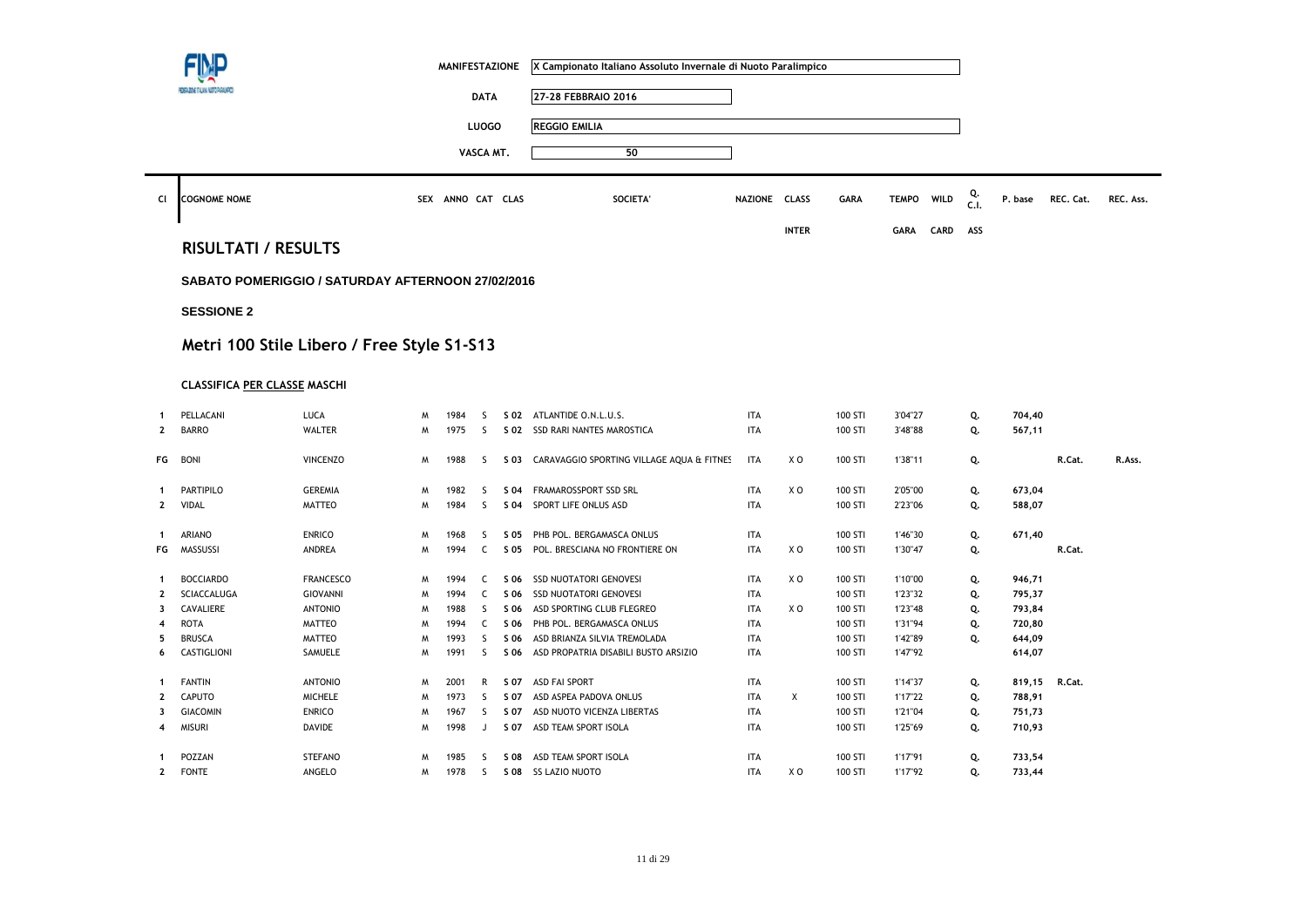|                |                                     |                                                   |        | <b>MANIFESTAZIONE</b> |              |              | X Campionato Italiano Assoluto Invernale di Nuoto Paralimpico |                          |              |                    |                    |      |            |                  |           |           |
|----------------|-------------------------------------|---------------------------------------------------|--------|-----------------------|--------------|--------------|---------------------------------------------------------------|--------------------------|--------------|--------------------|--------------------|------|------------|------------------|-----------|-----------|
|                |                                     |                                                   |        |                       | <b>DATA</b>  |              | 27-28 FEBBRAIO 2016                                           |                          |              |                    |                    |      |            |                  |           |           |
|                |                                     |                                                   |        |                       | <b>LUOGO</b> |              | <b>REGGIO EMILIA</b>                                          |                          |              |                    |                    |      |            |                  |           |           |
|                |                                     |                                                   |        |                       |              |              |                                                               |                          |              |                    |                    |      |            |                  |           |           |
|                |                                     |                                                   |        |                       | VASCA MT.    |              | 50                                                            |                          |              |                    |                    |      |            |                  |           |           |
| CI             | <b>COGNOME NOME</b>                 |                                                   |        | SEX ANNO CAT CLAS     |              |              | SOCIETA'                                                      | NAZIONE CLASS            |              | <b>GARA</b>        | <b>TEMPO</b>       | WILD | Q.<br>C.I. | P. base          | REC. Cat. | REC. Ass. |
|                |                                     |                                                   |        |                       |              |              |                                                               |                          | <b>INTER</b> |                    | <b>GARA</b>        | CARD | ASS        |                  |           |           |
|                | <b>RISULTATI / RESULTS</b>          |                                                   |        |                       |              |              |                                                               |                          |              |                    |                    |      |            |                  |           |           |
|                |                                     | SABATO POMERIGGIO / SATURDAY AFTERNOON 27/02/2016 |        |                       |              |              |                                                               |                          |              |                    |                    |      |            |                  |           |           |
|                | <b>SESSIONE 2</b>                   |                                                   |        |                       |              |              |                                                               |                          |              |                    |                    |      |            |                  |           |           |
|                |                                     |                                                   |        |                       |              |              |                                                               |                          |              |                    |                    |      |            |                  |           |           |
|                |                                     | Metri 100 Stile Libero / Free Style S1-S13        |        |                       |              |              |                                                               |                          |              |                    |                    |      |            |                  |           |           |
|                | <b>CLASSIFICA PER CLASSE MASCHI</b> |                                                   |        |                       |              |              |                                                               |                          |              |                    |                    |      |            |                  |           |           |
|                |                                     |                                                   |        |                       |              |              |                                                               |                          |              |                    |                    |      |            |                  |           |           |
| $\mathbf{1}$   | PELLACANI                           | <b>LUCA</b>                                       | M      | 1984                  | S            |              | S 02 ATLANTIDE O.N.L.U.S.                                     | <b>ITA</b>               |              | 100 STI            | 3'04"27            |      | Q.         | 704,40           |           |           |
| $\mathbf{2}$   | <b>BARRO</b>                        | <b>WALTER</b>                                     | M      | 1975                  | <sub>S</sub> |              | S 02 SSD RARI NANTES MAROSTICA                                | <b>ITA</b>               |              | 100 STI            | 3'48"88            |      | Q.         | 567,11           |           |           |
| FG             | <b>BONI</b>                         | <b>VINCENZO</b>                                   | M      | 1988                  | S            | S 03         | CARAVAGGIO SPORTING VILLAGE AQUA & FITNES                     | <b>ITA</b>               | X O          | 100 STI            | 1'38"11            |      | Q.         |                  | R.Cat.    | R.Ass.    |
| 1              |                                     |                                                   |        |                       |              |              |                                                               |                          |              |                    |                    |      |            |                  |           |           |
| $\mathbf{2}$   | PARTIPILO<br>VIDAL                  | <b>GEREMIA</b><br><b>MATTEO</b>                   | W<br>W | 1982<br>1984          | S.<br>S      | S 04<br>S 04 | FRAMAROSSPORT SSD SRL<br>SPORT LIFE ONLUS ASD                 | <b>ITA</b><br><b>ITA</b> | XO           | 100 STI<br>100 STI | 2'05"00<br>2'23"06 |      | Q.<br>Q.   | 673,04<br>588,07 |           |           |
|                |                                     |                                                   |        |                       |              |              |                                                               |                          |              |                    |                    |      |            |                  |           |           |
| $\mathbf{1}$   | ARIANO                              | <b>ENRICO</b>                                     | M      | 1968                  | S            | S 05         | PHB POL. BERGAMASCA ONLUS                                     | <b>ITA</b>               |              | 100 STI            | 1'46"30            |      | Q.         | 671,40           |           |           |
| FG             | MASSUSSI                            | ANDREA                                            | W      | 1994                  | C            | S 05         | POL. BRESCIANA NO FRONTIERE ON                                | <b>ITA</b>               | XO           | 100 STI            | 1'30"47            |      | Q.         |                  | R.Cat.    |           |
| 1              | <b>BOCCIARDO</b>                    | <b>FRANCESCO</b>                                  | M      | 1994                  | C            | S 06         | <b>SSD NUOTATORI GENOVESI</b>                                 | <b>ITA</b>               | XO           | 100 STI            | 1'10"00            |      | Q.         | 946,71           |           |           |
| $\mathbf{2}$   | SCIACCALUGA                         | GIOVANNI                                          | M      | 1994                  | C            | S 06         | SSD NUOTATORI GENOVESI                                        | <b>ITA</b>               |              | 100 STI            | 1'23"32            |      | Q.         | 795,37           |           |           |
| 3              | CAVALIERE                           | <b>ANTONIO</b>                                    | M      | 1988                  | S            | S 06         | ASD SPORTING CLUB FLEGREO                                     | <b>ITA</b>               | XO           | 100 STI            | 1'23"48            |      | Q.         | 793,84           |           |           |
| 4              | <b>ROTA</b>                         | <b>MATTEO</b>                                     | M      | 1994                  | C            | S 06         | PHB POL. BERGAMASCA ONLUS                                     | <b>ITA</b>               |              | 100 STI            | 1'31"94            |      | Q.         | 720,80           |           |           |
| 5              | <b>BRUSCA</b>                       | MATTEO                                            | W      | 1993                  | S            | S 06         | ASD BRIANZA SILVIA TREMOLADA                                  | <b>ITA</b>               |              | 100 STI            | 1'42"89            |      | Q.         | 644,09           |           |           |
| 6              | CASTIGLIONI                         | SAMUELE                                           | M      | 1991                  | S            | S 06         | ASD PROPATRIA DISABILI BUSTO ARSIZIO                          | <b>ITA</b>               |              | 100 STI            | 1'47"92            |      |            | 614,07           |           |           |
| 1              | <b>FANTIN</b>                       | <b>ANTONIO</b>                                    | M      | 2001                  | R            | S 07         | <b>ASD FAI SPORT</b>                                          | <b>ITA</b>               |              | 100 STI            | 1'14"37            |      | Q.         | 819,15           | R.Cat.    |           |
| $\overline{2}$ | CAPUTO                              | <b>MICHELE</b>                                    | M      | 1973                  | S            | S 07         | ASD ASPEA PADOVA ONLUS                                        | <b>ITA</b>               | X            | 100 STI            | 1'17"22            |      | Q.         | 788,91           |           |           |
| 3              | <b>GIACOMIN</b>                     | <b>ENRICO</b>                                     | M      | 1967                  | S            | S 07         | ASD NUOTO VICENZA LIBERTAS                                    | <b>ITA</b>               |              | 100 STI            | 1'21"04            |      | Q.         | 751,73           |           |           |
| 4              | <b>MISURI</b>                       | <b>DAVIDE</b>                                     | W      | 1998                  | J            | S 07         | ASD TEAM SPORT ISOLA                                          | <b>ITA</b>               |              | 100 STI            | 1'25"69            |      | Q.         | 710,93           |           |           |
|                | POZZAN                              | <b>STEFANO</b>                                    | M      | 1985                  | S            | S 08         | ASD TEAM SPORT ISOLA                                          | <b>ITA</b>               |              | 100 STI            | 1'17"91            |      | Q.         | 733,54           |           |           |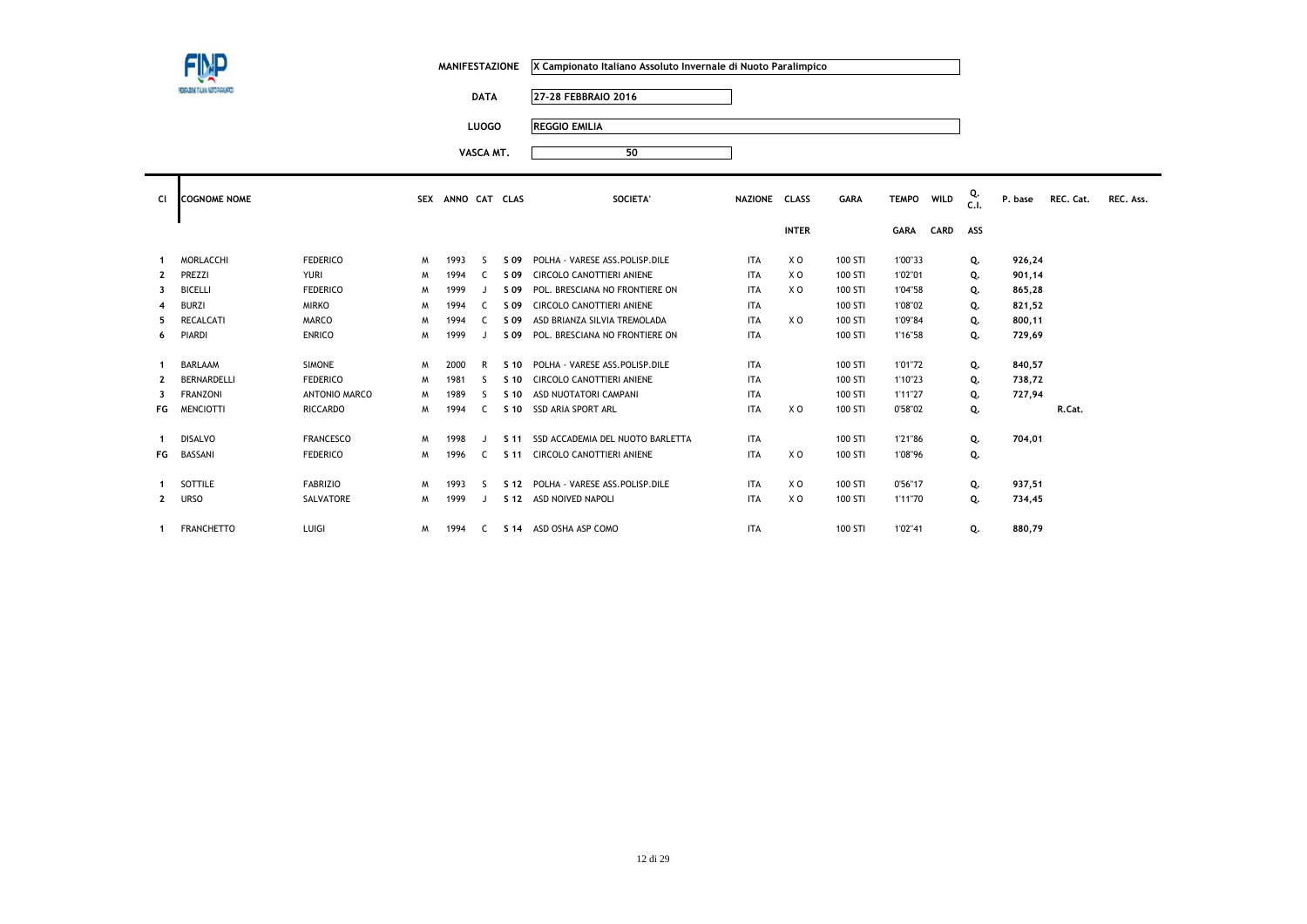| ٠ |
|---|

**DATA 27-28 FEBBRAIO 2016**

**LUOGO REGGIO EMILIA**

| CI.          | <b>COGNOME NOME</b> |                  | <b>SEX</b> | ANNO CAT CLAS |    |                 | SOCIETA'                         | NAZIONE CLASS |              | <b>GARA</b> | <b>TEMPO</b> | <b>WILD</b> | Q.<br>C.1 | P. base | REC. Cat. | REC. Ass. |
|--------------|---------------------|------------------|------------|---------------|----|-----------------|----------------------------------|---------------|--------------|-------------|--------------|-------------|-----------|---------|-----------|-----------|
|              |                     |                  |            |               |    |                 |                                  |               | <b>INTER</b> |             | <b>GARA</b>  | <b>CARD</b> | ASS       |         |           |           |
|              | <b>MORLACCHI</b>    | <b>FEDERICO</b>  | M          | 1993          | ς. | S 09            | POLHA - VARESE ASS.POLISP.DILE   | <b>ITA</b>    | X O          | 100 STI     | 1'00"33      |             | Q.        | 926,24  |           |           |
| $\mathbf{2}$ | PREZZI              | <b>YURI</b>      | M          | 1994          |    | S 09            | CIRCOLO CANOTTIERI ANIENE        | <b>ITA</b>    | X O          | 100 STI     | 1'02"01      |             | Q.        | 901,14  |           |           |
| 3            | <b>BICELLI</b>      | <b>FEDERICO</b>  | M          | 1999          |    | S 09            | POL. BRESCIANA NO FRONTIERE ON   | <b>ITA</b>    | X O          | 100 STI     | 1'04"58      |             | Q.        | 865,28  |           |           |
| 4            | <b>BURZI</b>        | <b>MIRKO</b>     | M          | 1994          | C. | S 09            | CIRCOLO CANOTTIERI ANIENE        | <b>ITA</b>    |              | 100 STI     | 1'08"02      |             | Q.        | 821,52  |           |           |
| 5            | <b>RECALCATI</b>    | <b>MARCO</b>     | M          | 1994          |    | S 09            | ASD BRIANZA SILVIA TREMOLADA     | <b>ITA</b>    | X O          | 100 STI     | 1'09"84      |             | Q.        | 800,11  |           |           |
| 6            | <b>PIARDI</b>       | <b>ENRICO</b>    | M          | 1999          |    | S 09            | POL. BRESCIANA NO FRONTIERE ON   | <b>ITA</b>    |              | 100 STI     | 1'16"58      |             | Q.        | 729,69  |           |           |
|              |                     |                  |            |               |    |                 |                                  |               |              |             |              |             |           |         |           |           |
|              | <b>BARLAAM</b>      | <b>SIMONE</b>    | M          | 2000          | R  | S 10            | POLHA - VARESE ASS POLISP DILE   | <b>ITA</b>    |              | 100 STI     | 1'01"72      |             | Q.        | 840,57  |           |           |
| $\mathbf{2}$ | BERNARDELLI         | <b>FEDERICO</b>  | M          | 1981          | ς. | S 10            | CIRCOLO CANOTTIERI ANIENE        | <b>ITA</b>    |              | 100 STI     | 1'10"23      |             | Q.        | 738,72  |           |           |
| 3            | <b>FRANZONI</b>     | ANTONIO MARCO    | M          | 1989          |    | S 10            | ASD NUOTATORI CAMPANI            | <b>ITA</b>    |              | 100 STI     | 1'11"27      |             | Q.        | 727,94  |           |           |
| FG           | <b>MENCIOTTI</b>    | <b>RICCARDO</b>  | W          | 1994          | C. | S 10            | <b>SSD ARIA SPORT ARL</b>        | <b>ITA</b>    | X O          | 100 STI     | 0'58"02      |             | Q.        |         | R.Cat.    |           |
|              |                     |                  |            |               |    |                 |                                  |               |              |             |              |             |           |         |           |           |
|              | <b>DISALVO</b>      | <b>FRANCESCO</b> | M          | 1998          |    | S 11            | SSD ACCADEMIA DEL NUOTO BARLETTA | <b>ITA</b>    |              | 100 STI     | 1'21"86      |             | Q.        | 704,01  |           |           |
| FG           | BASSANI             | <b>FEDERICO</b>  | M          | 1996          |    | S 11            | <b>CIRCOLO CANOTTIERI ANIENE</b> | <b>ITA</b>    | X O          | 100 STI     | 1'08"96      |             | Q.        |         |           |           |
|              |                     |                  |            |               |    |                 |                                  |               |              |             |              |             |           |         |           |           |
|              | SOTTILE             | <b>FABRIZIO</b>  | M          | 1993          | ς. | S <sub>12</sub> | POLHA - VARESE ASS.POLISP.DILE   | <b>ITA</b>    | X O          | 100 STI     | 0'56"17      |             | Q.        | 937,51  |           |           |
| $\mathbf{2}$ | <b>URSO</b>         | SALVATORE        | M          | 1999          |    | S 12            | ASD NOIVED NAPOLI                | <b>ITA</b>    | X O          | 100 STI     | 1'11"70      |             | Q.        | 734,45  |           |           |
|              |                     |                  |            |               |    |                 |                                  |               |              |             |              |             |           |         |           |           |
|              | <b>FRANCHETTO</b>   | LUIGI            | M          | 1994          | C. |                 | S 14 ASD OSHA ASP COMO           | <b>ITA</b>    |              | 100 STI     | 1'02"41      |             | Q.        | 880,79  |           |           |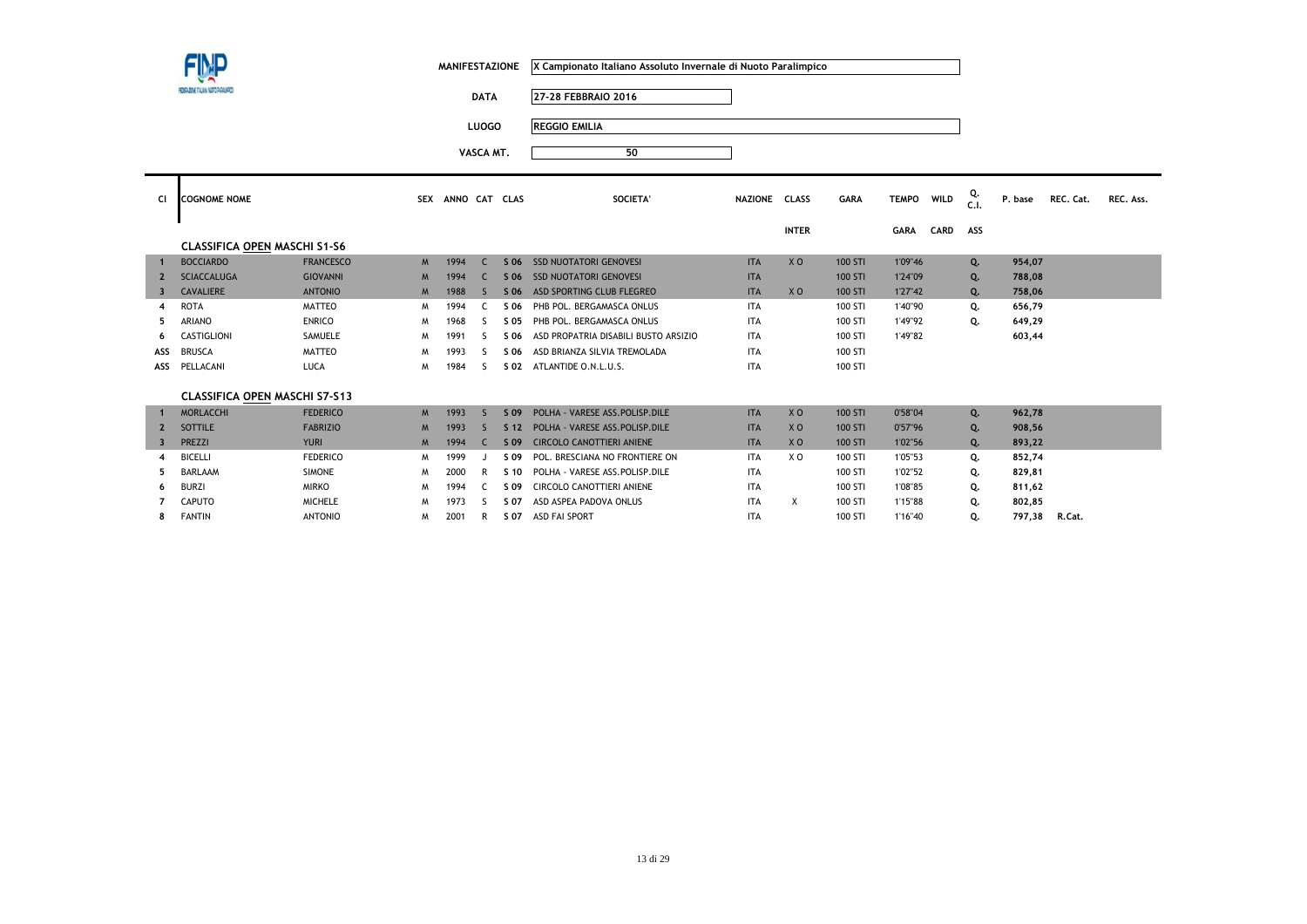**7**

**8**

| MANIFESTAZIONE X Campionato Italiano Assoluto Invernale di Nuoto Paralimpico |
|------------------------------------------------------------------------------|
|                                                                              |

**DATA 27-28 FEBBRAIO 2016**

**LUOGO REGGIO EMILIA**

 $M$  2001 R **S 07** ASD FAI SPORT

**VASCA MT.<sup>50</sup>**

| <b>CI</b>               | <b>COGNOME NOME</b>                  |                  | <b>SEX</b>     | ANNO CAT |              | <b>CLAS</b>     | SOCIETA'                             | NAZIONE CLASS |                | <b>GARA</b> | <b>TEMPO</b> | WILD        | Q.<br>C.1 | P. base | REC. Cat. | REC. Ass. |
|-------------------------|--------------------------------------|------------------|----------------|----------|--------------|-----------------|--------------------------------------|---------------|----------------|-------------|--------------|-------------|-----------|---------|-----------|-----------|
|                         |                                      |                  |                |          |              |                 |                                      |               | <b>INTER</b>   |             | <b>GARA</b>  | <b>CARD</b> | ASS       |         |           |           |
|                         | <b>CLASSIFICA OPEN MASCHI S1-S6</b>  |                  |                |          |              |                 |                                      |               |                |             |              |             |           |         |           |           |
|                         | <b>BOCCIARDO</b>                     | <b>FRANCESCO</b> | M              | 1994     | $\epsilon$   | S 06            | <b>SSD NUOTATORI GENOVESI</b>        | <b>ITA</b>    | X <sub>0</sub> | 100 STI     | 1'09"46      |             | Q.        | 954,07  |           |           |
|                         | <b>SCIACCALUGA</b>                   | <b>GIOVANNI</b>  | M              | 1994     | C.           | S 06            | <b>SSD NUOTATORI GENOVESI</b>        | <b>ITA</b>    |                | 100 STI     | 1'24"09      |             | Q.        | 788,08  |           |           |
|                         | <b>CAVALIERE</b>                     | <b>ANTONIO</b>   | M              | 1988     | <sub>S</sub> | S 06            | ASD SPORTING CLUB FLEGREO            | <b>ITA</b>    | X <sub>0</sub> | 100 STI     | 1'27"42      |             | Q.        | 758,06  |           |           |
| 4                       | <b>ROTA</b>                          | <b>MATTEO</b>    | M              | 1994     |              | \$ 06           | PHB POL. BERGAMASCA ONLUS            | <b>ITA</b>    |                | 100 STI     | 1'40"90      |             | Q.        | 656,79  |           |           |
|                         | <b>ARIANO</b>                        | <b>ENRICO</b>    | M              | 1968     | -S           | S 05            | PHB POL. BERGAMASCA ONLUS            | <b>ITA</b>    |                | 100 STI     | 1'49"92      |             | Q.        | 649,29  |           |           |
| 6                       | CASTIGLIONI                          | SAMUELE          | M              | 1991     | `            | S 06            | ASD PROPATRIA DISABILI BUSTO ARSIZIO | <b>ITA</b>    |                | 100 STI     | 1'49"82      |             |           | 603,44  |           |           |
| ASS                     | <b>BRUSCA</b>                        | <b>MATTEO</b>    | M              | 1993     |              | S 06            | ASD BRIANZA SILVIA TREMOLADA         | <b>ITA</b>    |                | 100 STI     |              |             |           |         |           |           |
| ASS                     | PELLACANI                            | LUCA             | M              | 1984     | S            | S 02            | ATLANTIDE O.N.L.U.S.                 | <b>ITA</b>    |                | 100 STI     |              |             |           |         |           |           |
|                         |                                      |                  |                |          |              |                 |                                      |               |                |             |              |             |           |         |           |           |
|                         | <b>CLASSIFICA OPEN MASCHI S7-S13</b> |                  |                |          |              |                 |                                      |               |                |             |              |             |           |         |           |           |
|                         | <b>MORLACCHI</b>                     | <b>FEDERICO</b>  | M              | 1993     | <sub>S</sub> | S 09            | POLHA - VARESE ASS. POLISP. DILE     | <b>ITA</b>    | X <sub>0</sub> | 100 STI     | 0'58"04      |             | Q.        | 962,78  |           |           |
| $\overline{2}$          | SOTTILE                              | <b>FABRIZIO</b>  | $M_{\odot}$    | 1993     | ς.           | S <sub>12</sub> | POLHA - VARESE ASS.POLISP.DILE       | <b>ITA</b>    | X <sub>O</sub> | 100 STI     | 0'57"96      |             | Q.        | 908,56  |           |           |
| $\overline{\mathbf{3}}$ | PREZZI                               | <b>YURI</b>      | M <sub>1</sub> | 1994     | C.           | S 09            | <b>CIRCOLO CANOTTIERI ANIENE</b>     | <b>ITA</b>    | X <sub>0</sub> | 100 STI     | 1'02"56      |             | Q.        | 893,22  |           |           |
|                         | <b>BICELLI</b>                       | <b>FEDERICO</b>  | M              | 1999     |              | S 09            | POL. BRESCIANA NO FRONTIERE ON       | <b>ITA</b>    | X <sub>0</sub> | 100 STI     | 1'05"53      |             | Q.        | 852,74  |           |           |
|                         | <b>BARLAAM</b>                       | <b>SIMONE</b>    | M              | 2000     | R            | S <sub>10</sub> | POLHA - VARESE ASS.POLISP.DILE       | <b>ITA</b>    |                | 100 STI     | 1'02"52      |             | Q.        | 829,81  |           |           |
| 6                       | <b>BURZI</b>                         | <b>MIRKO</b>     | M              | 1994     |              | S 09            | CIRCOLO CANOTTIERI ANIENE            | <b>ITA</b>    |                | 100 STI     | 1'08"85      |             | о.        | 811.62  |           |           |

CAPUTO MICHELE <sup>M</sup> <sup>1973</sup> <sup>S</sup> **S 07** ASD ASPEA PADOVA ONLUS ITA X 100 STI 1'15"88 **Q. 802,85** 

BURZI MIRKO <sup>M</sup> <sup>1994</sup> <sup>C</sup> **S 09** CIRCOLO CANOTTIERI ANIENE ITA 100 STI 1'08"85 **Q. 811,62**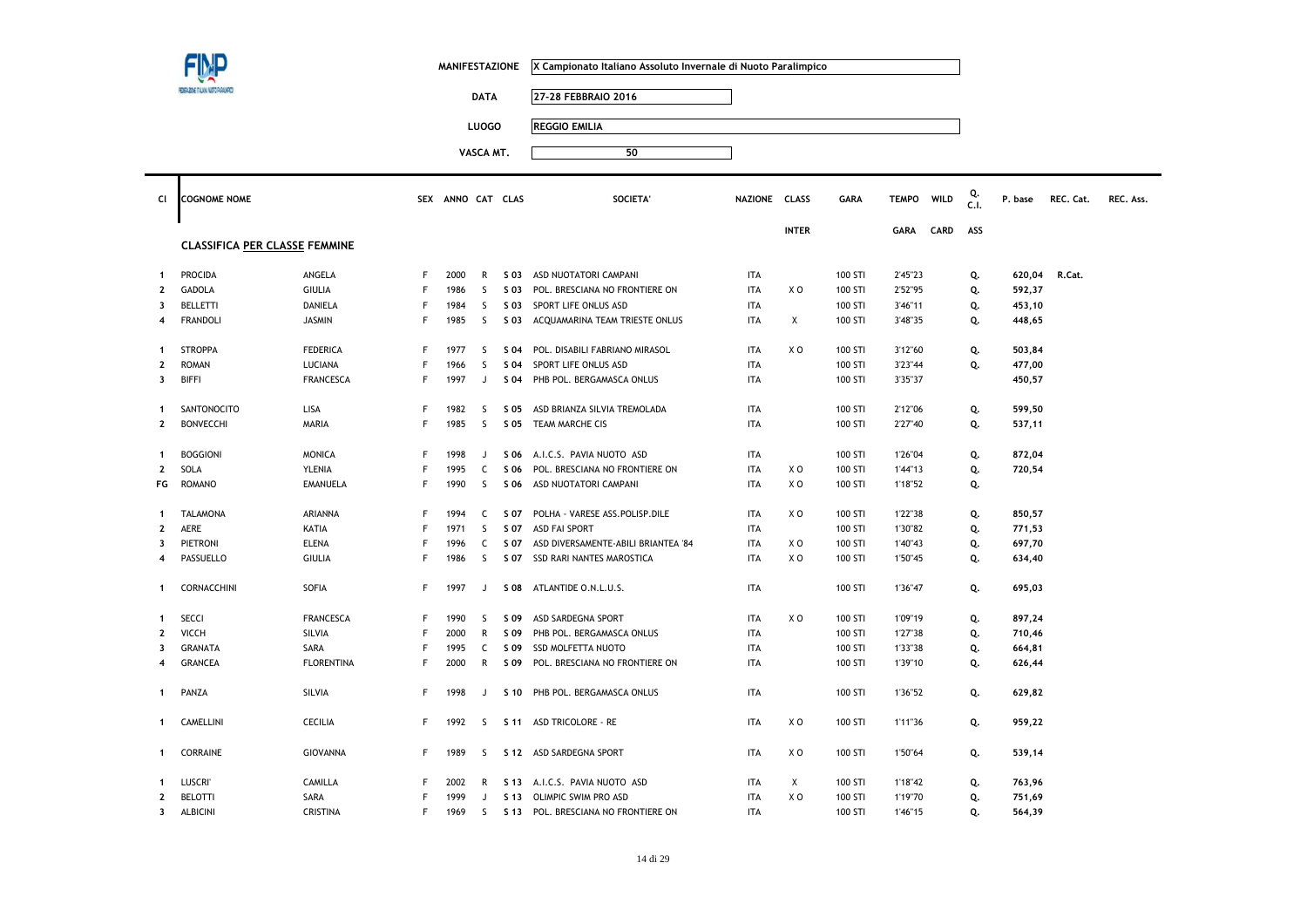|                              |                                      |                         |                   | <b>MANIFESTAZIONE</b> |                   |              | X Campionato Italiano Assoluto Invernale di Nuoto Paralimpico |                          |                |                    |                    |      |            |                  |           |           |
|------------------------------|--------------------------------------|-------------------------|-------------------|-----------------------|-------------------|--------------|---------------------------------------------------------------|--------------------------|----------------|--------------------|--------------------|------|------------|------------------|-----------|-----------|
|                              | EGADE TAAN NOT PAGAM                 |                         |                   |                       |                   |              |                                                               |                          |                |                    |                    |      |            |                  |           |           |
|                              |                                      |                         |                   |                       | <b>DATA</b>       |              | 27-28 FEBBRAIO 2016                                           |                          |                |                    |                    |      |            |                  |           |           |
|                              |                                      |                         |                   |                       | <b>LUOGO</b>      |              | <b>REGGIO EMILIA</b>                                          |                          |                |                    |                    |      |            |                  |           |           |
|                              |                                      |                         |                   |                       |                   |              |                                                               |                          |                |                    |                    |      |            |                  |           |           |
|                              |                                      |                         |                   |                       | VASCA MT.         |              | 50                                                            |                          |                |                    |                    |      |            |                  |           |           |
|                              |                                      |                         |                   |                       |                   |              |                                                               |                          |                |                    |                    |      |            |                  |           |           |
| CI                           | <b>COGNOME NOME</b>                  |                         |                   | SEX ANNO CAT CLAS     |                   |              | <b>SOCIETA</b>                                                | NAZIONE CLASS            |                | <b>GARA</b>        | <b>TEMPO</b>       | WILD | Q.<br>c.i. | P. base          | REC. Cat. | REC. Ass. |
|                              |                                      |                         |                   |                       |                   |              |                                                               |                          |                |                    |                    |      |            |                  |           |           |
|                              |                                      |                         |                   |                       |                   |              |                                                               |                          | <b>INTER</b>   |                    | <b>GARA</b>        | CARD | ASS        |                  |           |           |
|                              | <b>CLASSIFICA PER CLASSE FEMMINE</b> |                         |                   |                       |                   |              |                                                               |                          |                |                    |                    |      |            |                  |           |           |
|                              |                                      |                         |                   |                       |                   |              |                                                               |                          |                |                    |                    |      |            |                  |           |           |
| -1<br>$\mathbf{2}$           | PROCIDA<br><b>GADOLA</b>             | ANGELA<br><b>GIULIA</b> | F<br>$\mathsf{F}$ | 2000<br>1986          | R<br>$\mathsf{S}$ | S 03<br>S 03 | ASD NUOTATORI CAMPANI<br>POL. BRESCIANA NO FRONTIERE ON       | <b>ITA</b><br><b>ITA</b> | XO             | 100 STI            | 2'45"23            |      | Q.         | 620,04           | R.Cat.    |           |
|                              |                                      |                         |                   |                       |                   |              |                                                               |                          |                | 100 STI            | 2'52"95            |      | Q.         | 592,37           |           |           |
| 3                            | <b>BELLETTI</b>                      | DANIELA                 | F<br>F            | 1984                  | S<br>$\mathsf{S}$ | S 03         | SPORT LIFE ONLUS ASD                                          | ITA                      | X              | 100 STI<br>100 STI | 3'46"11<br>3'48"35 |      | Q.         | 453,10           |           |           |
| 4                            | <b>FRANDOLI</b>                      | <b>JASMIN</b>           |                   | 1985                  |                   | S 03         | ACQUAMARINA TEAM TRIESTE ONLUS                                | ITA                      |                |                    |                    |      | Q.         | 448,65           |           |           |
| $\mathbf{1}$                 | <b>STROPPA</b>                       | <b>FEDERICA</b>         | F                 | 1977                  | S.                | S 04         | POL. DISABILI FABRIANO MIRASOL                                | <b>ITA</b>               | X O            | 100 STI            | 3'12"60            |      | Q.         | 503,84           |           |           |
| $\mathbf{2}$                 | <b>ROMAN</b>                         | LUCIANA                 | F                 | 1966                  | S                 | S 04         | SPORT LIFE ONLUS ASD                                          | <b>ITA</b>               |                | 100 STI            | 3'23"44            |      | Q.         | 477,00           |           |           |
| 3                            | <b>BIFFI</b>                         | <b>FRANCESCA</b>        | F                 | 1997                  | J                 | S 04         | PHB POL. BERGAMASCA ONLUS                                     | <b>ITA</b>               |                | 100 STI            | 3'35"37            |      |            | 450,57           |           |           |
|                              |                                      |                         |                   |                       |                   |              |                                                               |                          |                |                    |                    |      |            |                  |           |           |
| $\mathbf{1}$                 | SANTONOCITO                          | LISA                    | F                 | 1982                  | <sub>S</sub>      | S 05         | ASD BRIANZA SILVIA TREMOLADA                                  | <b>ITA</b>               |                | 100 STI            | 2'12"06            |      | Q.         | 599,50           |           |           |
| $\mathbf{2}$                 | <b>BONVECCHI</b>                     | MARIA                   | F                 | 1985                  | $\mathsf{S}$      | S 05         | TEAM MARCHE CIS                                               | <b>ITA</b>               |                | 100 STI            | 2'27"40            |      | Q.         | 537,11           |           |           |
|                              |                                      |                         |                   |                       |                   |              |                                                               |                          |                |                    |                    |      |            |                  |           |           |
| -1                           | <b>BOGGIONI</b>                      | <b>MONICA</b>           | F                 | 1998                  | J                 |              | S 06 A.I.C.S. PAVIA NUOTO ASD                                 | <b>ITA</b>               |                | 100 STI            | 1'26"04            |      | Q.         | 872,04           |           |           |
| $\mathbf{2}$                 | SOLA                                 | <b>YLENIA</b>           | F                 | 1995                  | $\mathsf{C}$      | S 06         | POL. BRESCIANA NO FRONTIERE ON                                | <b>ITA</b>               | XO             | 100 STI            | 1'44"13            |      | Q.         | 720,54           |           |           |
| FG                           | <b>ROMANO</b>                        | <b>EMANUELA</b>         | F                 | 1990                  | <sub>S</sub>      |              | S 06 ASD NUOTATORI CAMPANI                                    | <b>ITA</b>               | X O            | 100 STI            | 1'18"52            |      | Q.         |                  |           |           |
|                              |                                      |                         |                   |                       |                   |              |                                                               |                          |                |                    |                    |      |            |                  |           |           |
| $\mathbf{1}$<br>$\mathbf{2}$ | <b>TALAMONA</b><br>AERE              | ARIANNA                 | $\mathsf{F}$<br>F | 1994<br>1971          | $\mathsf{C}$<br>S | S 07<br>S 07 | POLHA - VARESE ASS.POLISP.DILE<br><b>ASD FAI SPORT</b>        | <b>ITA</b><br><b>ITA</b> | X <sub>0</sub> | 100 STI<br>100 STI | 1'22"38<br>1'30"82 |      | Q.         | 850,57           |           |           |
| 3                            | <b>PIETRONI</b>                      | KATIA<br><b>ELENA</b>   | F                 | 1996                  | $\mathsf{C}$      | S 07         | ASD DIVERSAMENTE-ABILI BRIANTEA '84                           | <b>ITA</b>               | x o            | 100 STI            | 1'40"43            |      | Q.         | 771,53           |           |           |
| 4                            | PASSUELLO                            | <b>GIULIA</b>           | F                 | 1986                  | $\mathsf{S}$      | S 07         | SSD RARI NANTES MAROSTICA                                     | <b>ITA</b>               | XO             | 100 STI            | 1'50"45            |      | Q.<br>Q.   | 697,70<br>634,40 |           |           |
|                              |                                      |                         |                   |                       |                   |              |                                                               |                          |                |                    |                    |      |            |                  |           |           |
| $\mathbf{1}$                 | CORNACCHINI                          | SOFIA                   | F                 | 1997                  | J                 |              | S 08 ATLANTIDE O.N.L.U.S.                                     | <b>ITA</b>               |                | 100 STI            | 1'36"47            |      | Q.         | 695,03           |           |           |
|                              |                                      |                         |                   |                       |                   |              |                                                               |                          |                |                    |                    |      |            |                  |           |           |
| 1                            | SECCI                                | <b>FRANCESCA</b>        | F                 | 1990                  | S                 | S 09         | ASD SARDEGNA SPORT                                            | <b>ITA</b>               | X O            | 100 STI            | 1'09"19            |      | Q.         | 897,24           |           |           |
| $\mathbf{2}$                 | <b>VICCH</b>                         | SILVIA                  | F                 | 2000                  | ${\sf R}$         | S 09         | PHB POL. BERGAMASCA ONLUS                                     | <b>ITA</b>               |                | 100 STI            | 1'27"38            |      | Q.         | 710,46           |           |           |
| 3                            | <b>GRANATA</b>                       | SARA                    | F                 | 1995                  | $\mathsf{C}$      | S 09         | <b>SSD MOLFETTA NUOTO</b>                                     | <b>ITA</b>               |                | 100 STI            | 1'33"38            |      | Q.         | 664,81           |           |           |
| 4                            | <b>GRANCEA</b>                       | <b>FLORENTINA</b>       | F                 | 2000                  | R                 | S 09         | POL. BRESCIANA NO FRONTIERE ON                                | <b>ITA</b>               |                | 100 STI            | 1'39"10            |      | Q.         | 626,44           |           |           |
|                              |                                      |                         |                   |                       |                   |              |                                                               |                          |                |                    |                    |      |            |                  |           |           |
| $\mathbf{1}$                 | PANZA                                | SILVIA                  | F                 | 1998                  | J                 |              | S 10 PHB POL. BERGAMASCA ONLUS                                | <b>ITA</b>               |                | 100 STI            | 1'36"52            |      | Q.         | 629,82           |           |           |
|                              |                                      |                         |                   |                       |                   |              |                                                               |                          |                |                    |                    |      |            |                  |           |           |
| $\mathbf{1}$                 | CAMELLINI                            | CECILIA                 | F                 | 1992                  | S.                |              | S 11 ASD TRICOLORE - RE                                       | <b>ITA</b>               | x o            | 100 STI            | 1'11"36            |      | Q.         | 959,22           |           |           |
|                              |                                      |                         |                   |                       |                   |              |                                                               |                          |                |                    |                    |      |            |                  |           |           |
| $\mathbf{1}$                 | CORRAINE                             | <b>GIOVANNA</b>         | F                 | 1989                  | S.                |              | S 12 ASD SARDEGNA SPORT                                       | <b>ITA</b>               | XO             | 100 STI            | 1'50"64            |      | Q.         | 539,14           |           |           |
| 1                            | <b>LUSCRI'</b>                       | CAMILLA                 | F                 | 2002                  | R                 |              | S 13 A.I.C.S. PAVIA NUOTO ASD                                 | <b>ITA</b>               | Χ              | 100 STI            | 1'18"42            |      | Q.         | 763,96           |           |           |
| 2                            | <b>BELOTTI</b>                       | SARA                    | F                 | 1999                  | J                 |              | S 13 OLIMPIC SWIM PRO ASD                                     | <b>ITA</b>               | X O            | 100 STI            | 1'19"70            |      | Q.         | 751,69           |           |           |
| 3                            | <b>ALBICINI</b>                      | <b>CRISTINA</b>         | $\mathsf F$       | 1969                  | $\mathsf{S}$      |              | S 13 POL. BRESCIANA NO FRONTIERE ON                           | <b>ITA</b>               |                | 100 STI            | 1'46"15            |      | Q.         | 564,39           |           |           |
|                              |                                      |                         |                   |                       |                   |              |                                                               |                          |                |                    |                    |      |            |                  |           |           |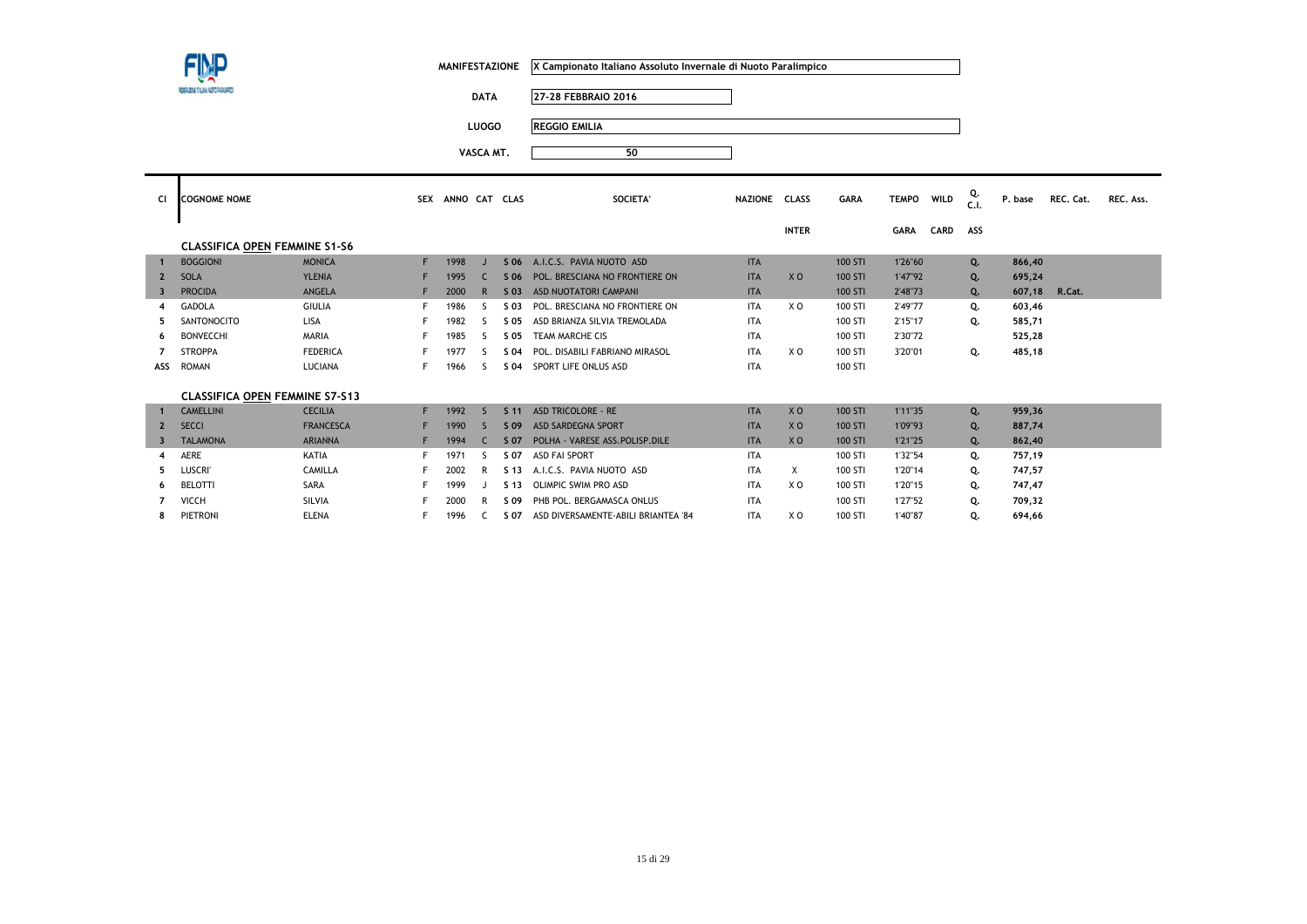| MANIFESTAZIONE X Campionato Italiano Assoluto Invernale di Nuoto Paralimpico |  |
|------------------------------------------------------------------------------|--|
|                                                                              |  |

**DATA 27-28 FEBBRAIO 2016**

**LUOGO REGGIO EMILIA**

| CI                      | <b>COGNOME NOME</b>                   |                  | <b>SEX</b> | ANNO CAT |    | <b>CLAS</b>     | SOCIETA'                         | <b>NAZIONE</b> | <b>CLASS</b>   | <b>GARA</b> | <b>TEMPO</b> | WILD | Q.<br>C.1.     | P. base       | REC. Cat. | REC. Ass. |
|-------------------------|---------------------------------------|------------------|------------|----------|----|-----------------|----------------------------------|----------------|----------------|-------------|--------------|------|----------------|---------------|-----------|-----------|
|                         |                                       |                  |            |          |    |                 |                                  |                | <b>INTER</b>   |             | GARA         | CARD | ASS            |               |           |           |
|                         | <b>CLASSIFICA OPEN FEMMINE S1-S6</b>  |                  |            |          |    |                 |                                  |                |                |             |              |      |                |               |           |           |
| $\mathbf{1}$            | <b>BOGGIONI</b>                       | <b>MONICA</b>    | F.         | 1998     |    | S 06            | A.I.C.S. PAVIA NUOTO ASD         | <b>ITA</b>     |                | 100 STI     | 1'26"60      |      | Q <sub>1</sub> | 866,40        |           |           |
| $\overline{2}$          | <b>SOLA</b>                           | <b>YLENIA</b>    |            | 1995     |    | S 06            | POL. BRESCIANA NO FRONTIERE ON   | <b>ITA</b>     | X <sub>O</sub> | 100 STI     | 1'47"92      |      | Q.             | 695,24        |           |           |
| $\overline{\mathbf{3}}$ | <b>PROCIDA</b>                        | <b>ANGELA</b>    |            | 2000     | R  | $S$ 03          | ASD NUOTATORI CAMPANI            | <b>ITA</b>     |                | 100 STI     | 2'48"73      |      | Q.             | 607,18 R.Cat. |           |           |
| 4                       | <b>GADOLA</b>                         | <b>GIULIA</b>    |            | 1986     |    | S 03            | POL. BRESCIANA NO FRONTIERE ON   | <b>ITA</b>     | X O            | 100 STI     | 2'49"77      |      | Q.             | 603,46        |           |           |
| 5.                      | SANTONOCITO                           | <b>LISA</b>      |            | 1982     | ς. | S 05            | ASD BRIANZA SILVIA TREMOLADA     | <b>ITA</b>     |                | 100 STI     | 2'15"17      |      | Q.             | 585,71        |           |           |
| 6                       | <b>BONVECCHI</b>                      | <b>MARIA</b>     |            | 1985     | ς. | S 05            | TEAM MARCHE CIS                  | <b>ITA</b>     |                | 100 STI     | 2'30"72      |      |                | 525,28        |           |           |
|                         | <b>STROPPA</b>                        | <b>FEDERICA</b>  |            | 1977     |    | S 04            | POL. DISABILI FABRIANO MIRASOL   | <b>ITA</b>     | X O            | 100 STI     | 3'20"01      |      | Q.             | 485,18        |           |           |
| ASS                     | <b>ROMAN</b>                          | LUCIANA          |            | 1966     | ς. | S 04            | SPORT LIFE ONLUS ASD             | <b>ITA</b>     |                | 100 STI     |              |      |                |               |           |           |
|                         |                                       |                  |            |          |    |                 |                                  |                |                |             |              |      |                |               |           |           |
|                         | <b>CLASSIFICA OPEN FEMMINE S7-S13</b> |                  |            |          |    |                 |                                  |                |                |             |              |      |                |               |           |           |
|                         | <b>CAMELLINI</b>                      | <b>CECILIA</b>   |            | 1992     |    | S <sub>11</sub> | <b>ASD TRICOLORE - RE</b>        | <b>ITA</b>     | X <sub>O</sub> | 100 STI     | 1'11"35      |      | Q.             | 959,36        |           |           |
|                         | <b>SECCI</b>                          | <b>FRANCESCA</b> |            | 1990     |    | S 09            | <b>ASD SARDEGNA SPORT</b>        | <b>ITA</b>     | X <sub>O</sub> | 100 STI     | 1'09"93      |      | Q.             | 887,74        |           |           |
|                         | <b>TALAMONA</b>                       | <b>ARIANNA</b>   |            | 1994     |    | S 07            | POLHA - VARESE ASS. POLISP. DILE | <b>ITA</b>     | X <sub>O</sub> | 100 STI     | 1'21"25      |      | Q.             | 862,40        |           |           |
| 4                       | AERE                                  | KATIA            |            | 1971     | S  | S 07            | <b>ASD FAI SPORT</b>             | <b>ITA</b>     |                | 100 STI     | 1'32"54      |      | Q.             | 757,19        |           |           |

| <b>AERE</b>     | KATIA        | 1971 | S 07 | ASD FAI SPORT                       | <b>ITA</b> |    | 100 STI | 1'32"54 | 757,19 |
|-----------------|--------------|------|------|-------------------------------------|------------|----|---------|---------|--------|
| Luscri'         | CAMILLA      | 2002 | S 13 | A.I.C.S. PAVIA NUOTO ASD            | ITA        |    | 100 STI | 1'20"14 | 747,57 |
| <b>BELOTTI</b>  | <b>SARA</b>  | 1999 | S 13 | OLIMPIC SWIM PRO ASD                | <b>ITA</b> | χo | 100 STI | 1'20"15 | 747.47 |
| <b>VICCH</b>    | SILVIA       | 2000 | S 09 | PHB POL. BERGAMASCA ONLUS           | <b>ITA</b> |    | 100 STI | 1'27"52 | 709.32 |
| <b>PIETRONI</b> | <b>ELENA</b> | 1996 | S 07 | ASD DIVERSAMENTE-ABILI BRIANTEA '84 | ITA        | xο | 100 STI | 1'40"87 | 694,66 |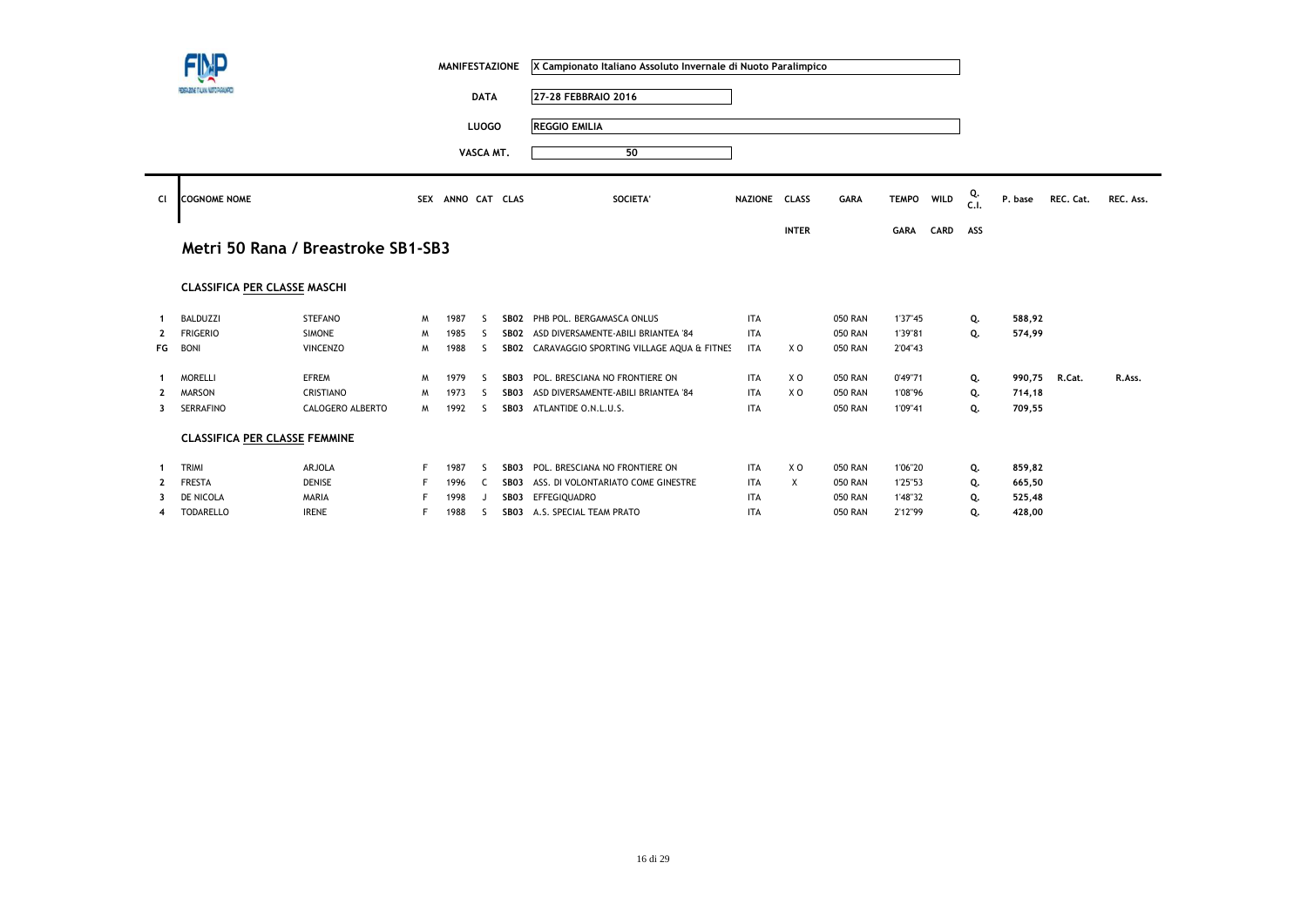|                         |                                      |                                    |    | <b>MANIFESTAZIONE</b> |              |             | X Campionato Italiano Assoluto Invernale di Nuoto Paralimpico |               |              |                |              |             |           |         |           |           |
|-------------------------|--------------------------------------|------------------------------------|----|-----------------------|--------------|-------------|---------------------------------------------------------------|---------------|--------------|----------------|--------------|-------------|-----------|---------|-----------|-----------|
|                         | FEDERADNE ITALIANA NUETO PARALMPOS   |                                    |    |                       | <b>DATA</b>  |             | 27-28 FEBBRAIO 2016                                           |               |              |                |              |             |           |         |           |           |
|                         |                                      |                                    |    |                       | <b>LUOGO</b> |             | <b>REGGIO EMILIA</b>                                          |               |              |                |              |             |           |         |           |           |
|                         |                                      |                                    |    |                       | VASCA MT.    |             | 50                                                            |               |              |                |              |             |           |         |           |           |
| Cl                      | <b>COGNOME NOME</b>                  |                                    |    | SEX ANNO CAT CLAS     |              |             | <b>SOCIETA'</b>                                               | NAZIONE CLASS |              | <b>GARA</b>    | <b>TEMPO</b> | <b>WILD</b> | Q.<br>C.1 | P. base | REC. Cat. | REC. Ass. |
|                         |                                      |                                    |    |                       |              |             |                                                               |               | <b>INTER</b> |                | <b>GARA</b>  | CARD        | ASS       |         |           |           |
|                         |                                      | Metri 50 Rana / Breastroke SB1-SB3 |    |                       |              |             |                                                               |               |              |                |              |             |           |         |           |           |
|                         | <b>CLASSIFICA PER CLASSE MASCHI</b>  |                                    |    |                       |              |             |                                                               |               |              |                |              |             |           |         |           |           |
|                         | <b>BALDUZZI</b>                      | <b>STEFANO</b>                     | M  | 1987                  | -S           | SB02        | PHB POL. BERGAMASCA ONLUS                                     | <b>ITA</b>    |              | <b>050 RAN</b> | 1'37"45      |             | Q.        | 588,92  |           |           |
| $\overline{2}$          | <b>FRIGERIO</b>                      | <b>SIMONE</b>                      | M  | 1985                  | -S           | <b>SB02</b> | ASD DIVERSAMENTE-ABILI BRIANTEA '84                           | <b>ITA</b>    |              | <b>050 RAN</b> | 1'39"81      |             | Q.        | 574,99  |           |           |
| FG                      | <b>BONI</b>                          | <b>VINCENZO</b>                    | м  | 1988                  | S            |             | SB02 CARAVAGGIO SPORTING VILLAGE AQUA & FITNES                | <b>ITA</b>    | X O          | <b>050 RAN</b> | 2'04"43      |             |           |         |           |           |
|                         | <b>MORELLI</b>                       | <b>EFREM</b>                       | M  | 1979                  | <sub>S</sub> | SB03        | POL. BRESCIANA NO FRONTIERE ON                                | <b>ITA</b>    | X O          | <b>050 RAN</b> | 0'49"71      |             | Q.        | 990,75  | R.Cat.    | R.Ass.    |
| $\overline{2}$          | <b>MARSON</b>                        | CRISTIANO                          | M  | 1973                  | -S           | SB03        | ASD DIVERSAMENTE-ABILI BRIANTEA '84                           | <b>ITA</b>    | X O          | <b>050 RAN</b> | 1'08"96      |             | Q.        | 714,18  |           |           |
| 3                       | SERRAFINO                            | CALOGERO ALBERTO                   | M  | 1992                  | <sub>S</sub> |             | SB03 ATLANTIDE O.N.L.U.S.                                     | <b>ITA</b>    |              | <b>050 RAN</b> | 1'09"41      |             | Q.        | 709,55  |           |           |
|                         | <b>CLASSIFICA PER CLASSE FEMMINE</b> |                                    |    |                       |              |             |                                                               |               |              |                |              |             |           |         |           |           |
|                         | TRIMI                                | ARJOLA                             | F. | 1987                  | -S           | SB03        | POL. BRESCIANA NO FRONTIERE ON                                | <b>ITA</b>    | X O          | 050 RAN        | 1'06"20      |             | Q.        | 859,82  |           |           |
| $\overline{\mathbf{2}}$ | <b>FRESTA</b>                        | <b>DENISE</b>                      |    | 1996                  | C            | SBO3        | ASS. DI VOLONTARIATO COME GINESTRE                            | <b>ITA</b>    | $\times$     | <b>050 RAN</b> | 1'25"53      |             | Q.        | 665,50  |           |           |
|                         | DE NICOLA                            | MARIA                              |    | 1998                  |              | SB03        | EFFEGIQUADRO                                                  | <b>ITA</b>    |              | <b>050 RAN</b> | 1'48"32      |             | Q.        | 525,48  |           |           |
| 4                       | <b>TODARELLO</b>                     | <b>IRENE</b>                       |    | 1988                  | <sub>S</sub> |             | SB03 A.S. SPECIAL TEAM PRATO                                  | <b>ITA</b>    |              | <b>050 RAN</b> | 2'12"99      |             | Q.        | 428,00  |           |           |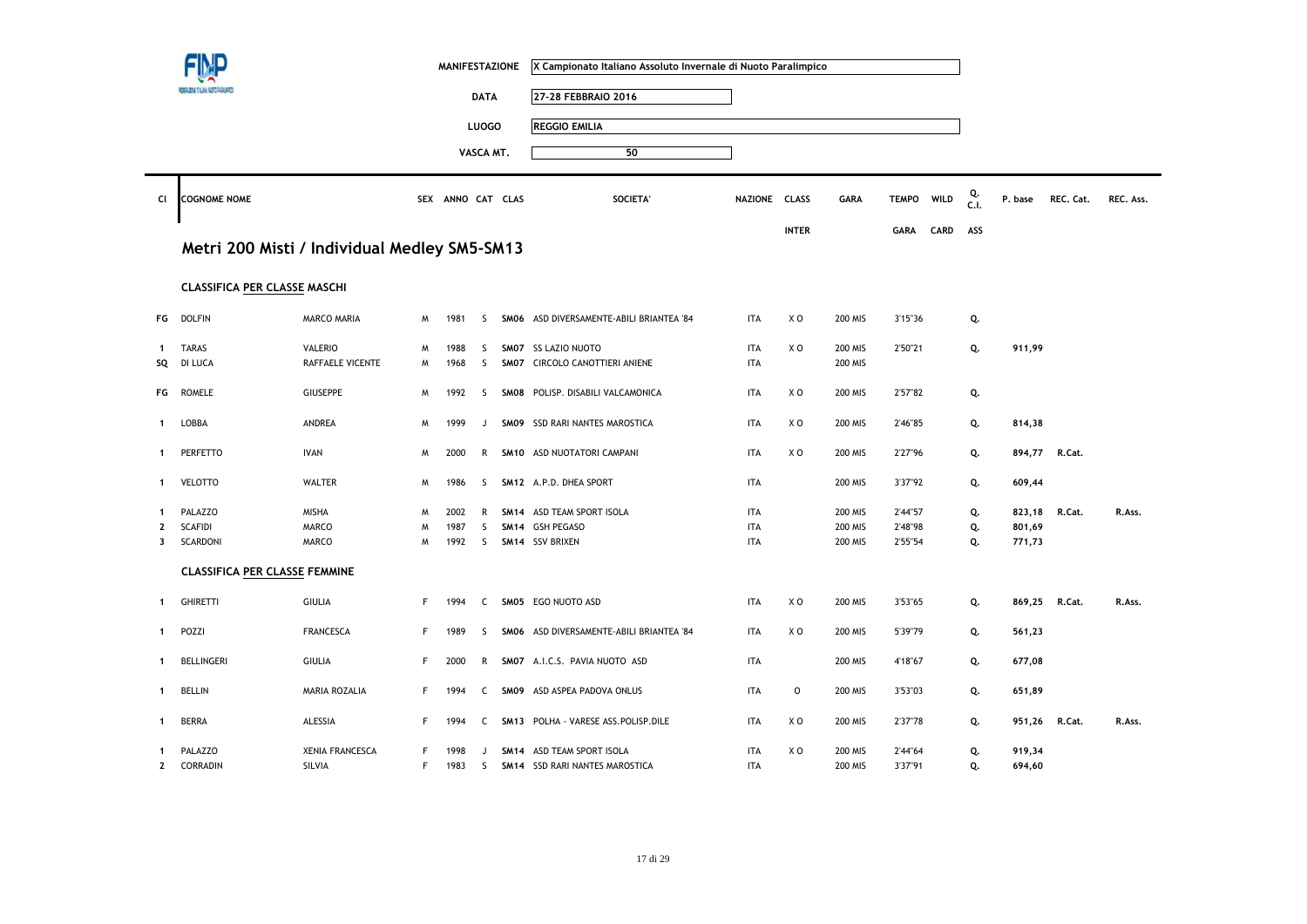| 27-28 FEBBRAIO 2016<br><b>DATA</b><br><b>REGGIO EMILIA</b><br><b>LUOGO</b><br>50<br>VASCA MT.<br>Cl<br><b>COGNOME NOME</b><br>SEX ANNO CAT CLAS<br><b>SOCIETA'</b><br>NAZIONE CLASS<br>Metri 200 Misti / Individual Medley SM5-SM13<br>CLASSIFICA PER CLASSE MASCHI<br><b>DOLFIN</b><br>X <sub>0</sub><br><b>MARCO MARIA</b><br>1981<br>SMO6 ASD DIVERSAMENTE-ABILI BRIANTEA '84<br><b>ITA</b><br>FG<br>-S<br>M<br><b>TARAS</b><br><b>ITA</b><br>XO<br><b>VALERIO</b><br>1988<br>SM07 SS LAZIO NUOTO<br>M<br>S<br>$\mathbf{1}$<br>DI LUCA<br>RAFFAELE VICENTE<br>1968<br>S<br>SM07 CIRCOLO CANOTTIERI ANIENE<br><b>ITA</b><br>SQ<br>M<br><b>ROMELE</b><br><b>GIUSEPPE</b><br>SM08 POLISP. DISABILI VALCAMONICA<br><b>ITA</b><br>XO<br>FG<br>M<br>1992<br>-S<br>ANDREA<br>XO<br>LOBBA<br>1999<br>SMO9 SSD RARI NANTES MAROSTICA<br><b>ITA</b><br>M<br>$\mathbf{1}$<br>J |                                     |                                                 |
|------------------------------------------------------------------------------------------------------------------------------------------------------------------------------------------------------------------------------------------------------------------------------------------------------------------------------------------------------------------------------------------------------------------------------------------------------------------------------------------------------------------------------------------------------------------------------------------------------------------------------------------------------------------------------------------------------------------------------------------------------------------------------------------------------------------------------------------------------------------------|-------------------------------------|-------------------------------------------------|
|                                                                                                                                                                                                                                                                                                                                                                                                                                                                                                                                                                                                                                                                                                                                                                                                                                                                        |                                     |                                                 |
|                                                                                                                                                                                                                                                                                                                                                                                                                                                                                                                                                                                                                                                                                                                                                                                                                                                                        |                                     |                                                 |
|                                                                                                                                                                                                                                                                                                                                                                                                                                                                                                                                                                                                                                                                                                                                                                                                                                                                        |                                     |                                                 |
|                                                                                                                                                                                                                                                                                                                                                                                                                                                                                                                                                                                                                                                                                                                                                                                                                                                                        |                                     |                                                 |
|                                                                                                                                                                                                                                                                                                                                                                                                                                                                                                                                                                                                                                                                                                                                                                                                                                                                        | WILD<br><b>GARA</b><br><b>TEMPO</b> | Q.<br>C.I.<br>REC. Ass.<br>P. base<br>REC. Cat. |
|                                                                                                                                                                                                                                                                                                                                                                                                                                                                                                                                                                                                                                                                                                                                                                                                                                                                        | <b>INTER</b><br>CARD<br><b>GARA</b> | ASS                                             |
|                                                                                                                                                                                                                                                                                                                                                                                                                                                                                                                                                                                                                                                                                                                                                                                                                                                                        |                                     |                                                 |
|                                                                                                                                                                                                                                                                                                                                                                                                                                                                                                                                                                                                                                                                                                                                                                                                                                                                        |                                     |                                                 |
|                                                                                                                                                                                                                                                                                                                                                                                                                                                                                                                                                                                                                                                                                                                                                                                                                                                                        | <b>200 MIS</b><br>3'15"36           | Q.                                              |
|                                                                                                                                                                                                                                                                                                                                                                                                                                                                                                                                                                                                                                                                                                                                                                                                                                                                        | <b>200 MIS</b><br>2'50"21           | Q.<br>911,99                                    |
|                                                                                                                                                                                                                                                                                                                                                                                                                                                                                                                                                                                                                                                                                                                                                                                                                                                                        | <b>200 MIS</b>                      |                                                 |
|                                                                                                                                                                                                                                                                                                                                                                                                                                                                                                                                                                                                                                                                                                                                                                                                                                                                        | <b>200 MIS</b><br>2'57"82           | Q.                                              |
|                                                                                                                                                                                                                                                                                                                                                                                                                                                                                                                                                                                                                                                                                                                                                                                                                                                                        | <b>200 MIS</b><br>2'46"85           | Q.<br>814,38                                    |
| <b>IVAN</b><br><b>ITA</b><br>X <sub>0</sub><br>PERFETTO<br>2000<br>$\mathsf{R}$<br>SM10 ASD NUOTATORI CAMPANI<br>M<br>$\mathbf 1$                                                                                                                                                                                                                                                                                                                                                                                                                                                                                                                                                                                                                                                                                                                                      | 2'27"96<br><b>200 MIS</b>           | Q.<br>894,77<br>R.Cat.                          |
| <b>VELOTTO</b><br><b>WALTER</b><br><b>ITA</b><br>M<br>1986<br>S.<br>SM12 A.P.D. DHEA SPORT<br>$\mathbf{1}$                                                                                                                                                                                                                                                                                                                                                                                                                                                                                                                                                                                                                                                                                                                                                             | <b>200 MIS</b><br>3'37"92           | Q.<br>609,44                                    |
| <b>ITA</b><br>PALAZZO<br>MISHA<br>M<br>2002<br>SM14 ASD TEAM SPORT ISOLA<br>R<br>-1                                                                                                                                                                                                                                                                                                                                                                                                                                                                                                                                                                                                                                                                                                                                                                                    | <b>200 MIS</b><br>2'44"57           | Q.<br>823,18<br>R.Cat.<br>R.Ass.                |
| <b>SCAFIDI</b><br><b>MARCO</b><br>SM14 GSH PEGASO<br><b>ITA</b><br>M<br>1987<br>S<br>2                                                                                                                                                                                                                                                                                                                                                                                                                                                                                                                                                                                                                                                                                                                                                                                 | 200 MIS<br>2'48"98                  | Q.<br>801,69                                    |
| SCARDONI<br><b>MARCO</b><br>1992<br>SM14 SSV BRIXEN<br><b>ITA</b><br>M<br>S.<br>3                                                                                                                                                                                                                                                                                                                                                                                                                                                                                                                                                                                                                                                                                                                                                                                      | 200 MIS<br>2'55"54                  | 771,73<br>Q.                                    |
| <b>CLASSIFICA PER CLASSE FEMMINE</b>                                                                                                                                                                                                                                                                                                                                                                                                                                                                                                                                                                                                                                                                                                                                                                                                                                   |                                     |                                                 |
| <b>ITA</b><br>XO<br><b>GHIRETTI</b><br><b>GIULIA</b><br>F<br>SM05 EGO NUOTO ASD<br>1994<br>C<br>$\mathbf{1}$                                                                                                                                                                                                                                                                                                                                                                                                                                                                                                                                                                                                                                                                                                                                                           | <b>200 MIS</b><br>3'53"65           | Q.<br>R.Cat.<br>869,25<br>R.Ass.                |
| <b>FRANCESCA</b><br>XO<br>POZZI<br>F<br>1989<br>S<br>SMO6 ASD DIVERSAMENTE-ABILI BRIANTEA '84<br><b>ITA</b><br>-1                                                                                                                                                                                                                                                                                                                                                                                                                                                                                                                                                                                                                                                                                                                                                      | <b>200 MIS</b><br>5'39"79           | Q.<br>561,23                                    |
| <b>BELLINGERI</b><br><b>GIULIA</b><br>F<br>SM07 A.I.C.S. PAVIA NUOTO ASD<br><b>ITA</b><br>2000<br>R<br>-1                                                                                                                                                                                                                                                                                                                                                                                                                                                                                                                                                                                                                                                                                                                                                              | <b>200 MIS</b><br>4'18"67           | 677,08<br>Q.                                    |
| <b>BELLIN</b><br>MARIA ROZALIA<br>ASD ASPEA PADOVA ONLUS<br><b>ITA</b><br>F<br>1994<br>SM09<br>C<br>$\mathbf 1$                                                                                                                                                                                                                                                                                                                                                                                                                                                                                                                                                                                                                                                                                                                                                        | $\mathsf O$<br>200 MIS<br>3'53"03   | Q.<br>651,89                                    |
| <b>BERRA</b><br>ALESSIA<br>SM13 POLHA - VARESE ASS.POLISP.DILE<br><b>ITA</b><br>XO<br>F<br>1994<br>C<br>-1                                                                                                                                                                                                                                                                                                                                                                                                                                                                                                                                                                                                                                                                                                                                                             | 200 MIS<br>2'37"78                  | Q.<br>951,26<br>R.Cat.<br>R.Ass.                |
| <b>XENIA FRANCESCA</b><br>SM14 ASD TEAM SPORT ISOLA<br><b>ITA</b><br>xо<br>PALAZZO<br>1998<br>F                                                                                                                                                                                                                                                                                                                                                                                                                                                                                                                                                                                                                                                                                                                                                                        | <b>200 MIS</b><br>2'44"64           |                                                 |
| SILVIA<br>F<br>SM14 SSD RARI NANTES MAROSTICA<br><b>ITA</b><br>$\mathbf{2}$<br>CORRADIN<br>1983<br>S.                                                                                                                                                                                                                                                                                                                                                                                                                                                                                                                                                                                                                                                                                                                                                                  |                                     | Q.<br>919,34                                    |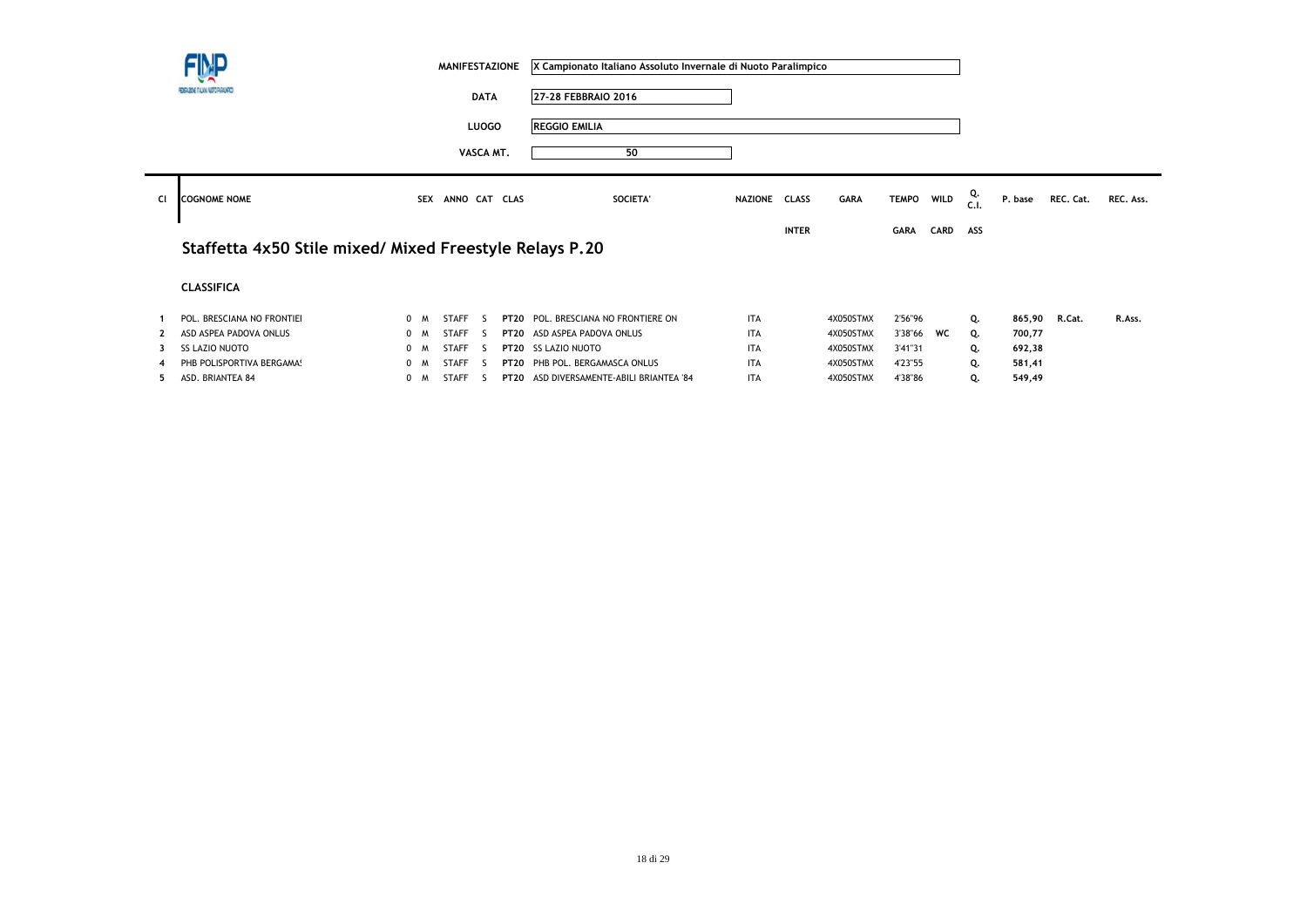|    | FIMP                                                    |     |            | <b>MANIFESTAZIONE</b> |              |             | X Campionato Italiano Assoluto Invernale di Nuoto Paralimpico |               |              |             |              |      |            |         |           |           |
|----|---------------------------------------------------------|-----|------------|-----------------------|--------------|-------------|---------------------------------------------------------------|---------------|--------------|-------------|--------------|------|------------|---------|-----------|-----------|
|    | FEDERAZIONE ITALIANA NUOTO PARALMPOS                    |     |            |                       | <b>DATA</b>  |             | 27-28 FEBBRAIO 2016                                           |               |              |             |              |      |            |         |           |           |
|    |                                                         |     |            |                       | <b>LUOGO</b> |             | <b>REGGIO EMILIA</b>                                          |               |              |             |              |      |            |         |           |           |
|    |                                                         |     |            |                       | VASCA MT.    |             | 50                                                            |               |              |             |              |      |            |         |           |           |
| Cl | <b>COGNOME NOME</b>                                     |     | <b>SEX</b> | ANNO CAT CLAS         |              |             | SOCIETA'                                                      | NAZIONE CLASS |              | <b>GARA</b> | <b>TEMPO</b> | WILD | Q.<br>C.I. | P. base | REC. Cat. | REC. Ass. |
|    |                                                         |     |            |                       |              |             |                                                               |               | <b>INTER</b> |             | <b>GARA</b>  | CARD | ASS        |         |           |           |
|    | Staffetta 4x50 Stile mixed/ Mixed Freestyle Relays P.20 |     |            |                       |              |             |                                                               |               |              |             |              |      |            |         |           |           |
|    | <b>CLASSIFICA</b>                                       |     |            |                       |              |             |                                                               |               |              |             |              |      |            |         |           |           |
|    | POL. BRESCIANA NO FRONTIEI                              | 0 M |            | <b>STAFF</b>          | $\sim$       | <b>PT20</b> | POL. BRESCIANA NO FRONTIERE ON                                | <b>ITA</b>    |              | 4X050STMX   | 2'56"96      |      | Q.         | 865,90  | R.Cat.    | R.Ass.    |
|    | ASD ASPEA PADOVA ONLUS                                  | 0 M |            | <b>STAFF</b>          | - 5          | <b>PT20</b> | ASD ASPEA PADOVA ONLUS                                        | <b>ITA</b>    |              | 4X050STMX   | 3'38"66      | WC   | Q.         | 700,77  |           |           |
|    | <b>SS LAZIO NUOTO</b>                                   | 0 M |            | <b>STAFF</b>          | -S           | <b>PT20</b> | <b>SS LAZIO NUOTO</b>                                         | <b>ITA</b>    |              | 4X050STMX   | 3'41"31      |      | Q.         | 692,38  |           |           |
|    | PHB POLISPORTIVA BERGAMA!                               | 0 M |            | <b>STAFF</b>          | $\sim$       |             | PT20 PHB POL. BERGAMASCA ONLUS                                | <b>ITA</b>    |              | 4X050STMX   | 4'23"55      |      | Q.         | 581,41  |           |           |
|    | ASD. BRIANTEA 84                                        | 0 M |            | STAFF                 | -5           |             | PT20 ASD DIVERSAMENTE-ABILI BRIANTEA '84                      | <b>ITA</b>    |              | 4X050STMX   | 4'38"86      |      | Q.         | 549,49  |           |           |

**Contract Contract** 

18 di 29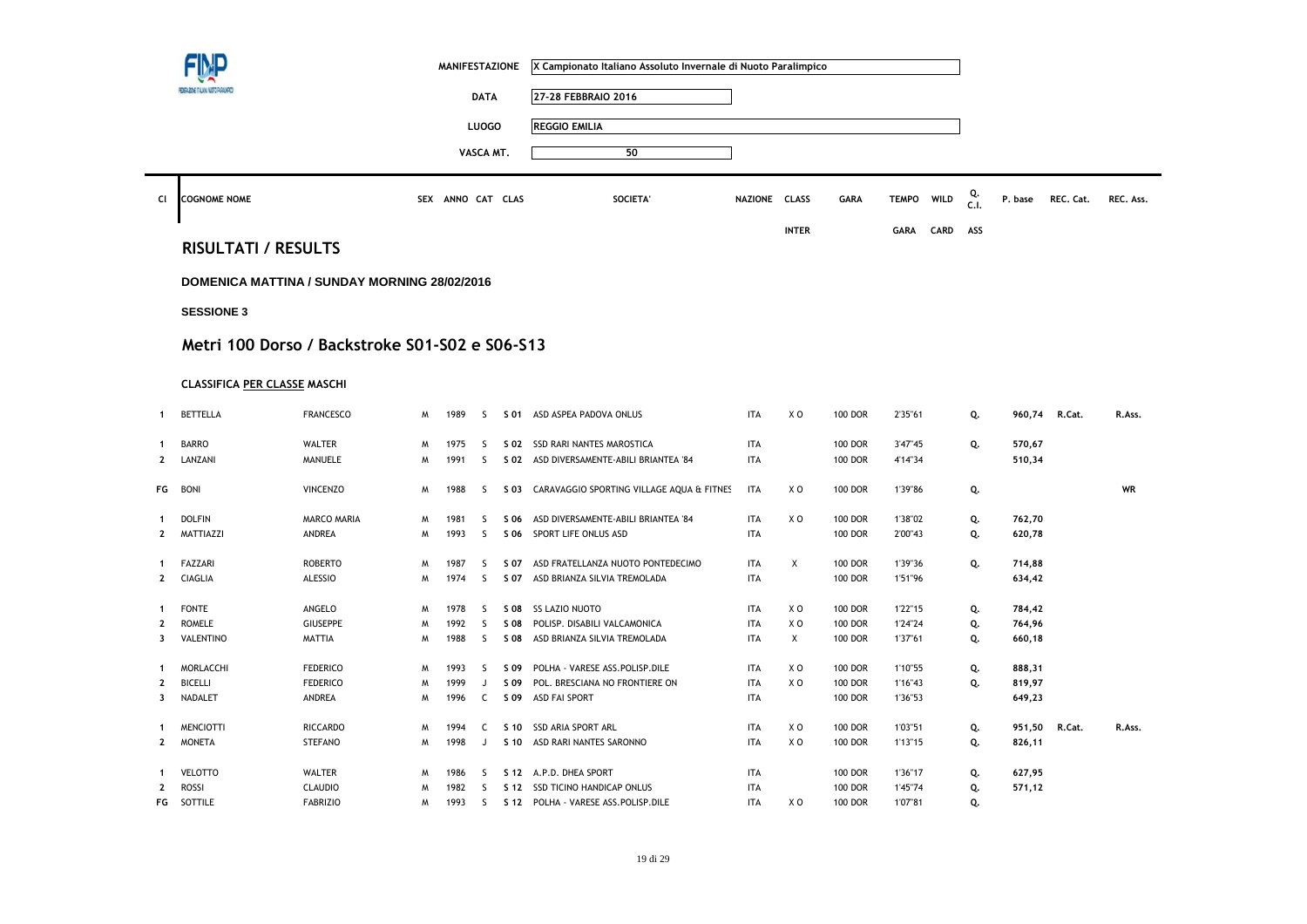|                |                                     |                                                |   | <b>MANIFESTAZIONE</b> |              |      | X Campionato Italiano Assoluto Invernale di Nuoto Paralimpico |               |                |                |              |      |            |         |           |           |
|----------------|-------------------------------------|------------------------------------------------|---|-----------------------|--------------|------|---------------------------------------------------------------|---------------|----------------|----------------|--------------|------|------------|---------|-----------|-----------|
|                | ANE DAVA METORI                     |                                                |   |                       | <b>DATA</b>  |      | 27-28 FEBBRAIO 2016                                           |               |                |                |              |      |            |         |           |           |
|                |                                     |                                                |   |                       | <b>LUOGO</b> |      | <b>REGGIO EMILIA</b>                                          |               |                |                |              |      |            |         |           |           |
|                |                                     |                                                |   |                       |              |      |                                                               |               |                |                |              |      |            |         |           |           |
|                |                                     |                                                |   |                       | VASCA MT.    |      | 50                                                            |               |                |                |              |      |            |         |           |           |
| CI             | <b>COGNOME NOME</b>                 |                                                |   | SEX ANNO CAT CLAS     |              |      | <b>SOCIETA'</b>                                               | NAZIONE CLASS |                | <b>GARA</b>    | <b>TEMPO</b> | WILD | Q.<br>C.1. | P. base | REC. Cat. | REC. Ass. |
|                |                                     |                                                |   |                       |              |      |                                                               |               | <b>INTER</b>   |                | <b>GARA</b>  | CARD | ASS        |         |           |           |
|                | <b>RISULTATI / RESULTS</b>          |                                                |   |                       |              |      |                                                               |               |                |                |              |      |            |         |           |           |
|                |                                     | DOMENICA MATTINA / SUNDAY MORNING 28/02/2016   |   |                       |              |      |                                                               |               |                |                |              |      |            |         |           |           |
|                | <b>SESSIONE 3</b>                   |                                                |   |                       |              |      |                                                               |               |                |                |              |      |            |         |           |           |
|                |                                     |                                                |   |                       |              |      |                                                               |               |                |                |              |      |            |         |           |           |
|                |                                     | Metri 100 Dorso / Backstroke S01-S02 e S06-S13 |   |                       |              |      |                                                               |               |                |                |              |      |            |         |           |           |
|                | <b>CLASSIFICA PER CLASSE MASCHI</b> |                                                |   |                       |              |      |                                                               |               |                |                |              |      |            |         |           |           |
| $\mathbf{1}$   | <b>BETTELLA</b>                     | <b>FRANCESCO</b>                               | M | 1989                  | S.           | S 01 | ASD ASPEA PADOVA ONLUS                                        | <b>ITA</b>    | X O            | <b>100 DOR</b> | 2'35"61      |      | Q.         | 960,74  | R.Cat.    | R.Ass.    |
| 1              | <b>BARRO</b>                        | <b>WALTER</b>                                  | M | 1975                  | S.           | S 02 | SSD RARI NANTES MAROSTICA                                     | <b>ITA</b>    |                | <b>100 DOR</b> | 3'47"45      |      | Q.         | 570,67  |           |           |
| $\overline{2}$ | LANZANI                             | MANUELE                                        | M | 1991                  | S            | S 02 | ASD DIVERSAMENTE-ABILI BRIANTEA '84                           | <b>ITA</b>    |                | <b>100 DOR</b> | 4'14"34      |      |            | 510,34  |           |           |
| FG             | <b>BONI</b>                         | <b>VINCENZO</b>                                | M | 1988                  | <sub>S</sub> | S 03 | CARAVAGGIO SPORTING VILLAGE AQUA & FITNES                     | <b>ITA</b>    | X O            | <b>100 DOR</b> | 1'39"86      |      | Q.         |         |           | <b>WR</b> |
| $\mathbf 1$    | <b>DOLFIN</b>                       | <b>MARCO MARIA</b>                             | M | 1981                  | S            | S 06 | ASD DIVERSAMENTE-ABILI BRIANTEA '84                           | <b>ITA</b>    | X O            | <b>100 DOR</b> | 1'38"02      |      | Q.         | 762,70  |           |           |
| $\overline{2}$ | MATTIAZZI                           | ANDREA                                         | M | 1993                  | <sub>S</sub> | S 06 | SPORT LIFE ONLUS ASD                                          | <b>ITA</b>    |                | <b>100 DOR</b> | 2'00"43      |      | Q.         | 620,78  |           |           |
| -1             | <b>FAZZARI</b>                      | <b>ROBERTO</b>                                 | M | 1987                  | S            | S 07 | ASD FRATELLANZA NUOTO PONTEDECIMO                             | <b>ITA</b>    | Х              | <b>100 DOR</b> | 1'39"36      |      | Q.         | 714,88  |           |           |
| 2              | <b>CIAGLIA</b>                      | <b>ALESSIO</b>                                 | M | 1974                  | S            | S 07 | ASD BRIANZA SILVIA TREMOLADA                                  | <b>ITA</b>    |                | <b>100 DOR</b> | 1'51"96      |      |            | 634,42  |           |           |
| -1             | <b>FONTE</b>                        | ANGELO                                         | M | 1978                  | S.           | S 08 | <b>SS LAZIO NUOTO</b>                                         | <b>ITA</b>    | X O            | <b>100 DOR</b> | 1'22"15      |      | Q.         | 784,42  |           |           |
| $\mathbf{2}$   | <b>ROMELE</b>                       | <b>GIUSEPPE</b>                                | M | 1992                  | S            | S 08 | POLISP. DISABILI VALCAMONICA                                  | <b>ITA</b>    | XO             | <b>100 DOR</b> | 1'24"24      |      | Q.         | 764,96  |           |           |
| 3              | VALENTINO                           | <b>MATTIA</b>                                  | M | 1988                  | S            | S 08 | ASD BRIANZA SILVIA TREMOLADA                                  | <b>ITA</b>    | X              | 100 DOR        | 1'37"61      |      | Q.         | 660,18  |           |           |
| $\mathbf 1$    | <b>MORLACCHI</b>                    | <b>FEDERICO</b>                                | M | 1993                  | S            | S 09 | POLHA - VARESE ASS.POLISP.DILE                                | <b>ITA</b>    | X O            | <b>100 DOR</b> | 1'10"55      |      | Q.         | 888,31  |           |           |
| $\mathbf{2}$   | <b>BICELLI</b>                      | <b>FEDERICO</b>                                | M | 1999                  | J            | S 09 | POL. BRESCIANA NO FRONTIERE ON                                | <b>ITA</b>    | XO             | <b>100 DOR</b> | 1'16"43      |      | Q.         | 819,97  |           |           |
| 3              | NADALET                             | ANDREA                                         | W | 1996                  | C            | S 09 | ASD FAI SPORT                                                 | <b>ITA</b>    |                | <b>100 DOR</b> | 1'36"53      |      |            | 649,23  |           |           |
| $\mathbf 1$    | <b>MENCIOTTI</b>                    | <b>RICCARDO</b>                                | M | 1994                  | C            | S 10 | <b>SSD ARIA SPORT ARL</b>                                     | <b>ITA</b>    | X O            | <b>100 DOR</b> | 1'03"51      |      | Q.         | 951,50  | R.Cat.    | R.Ass.    |
| $\mathbf{2}$   | <b>MONETA</b>                       | <b>STEFANO</b>                                 | M | 1998                  | J            | S 10 | ASD RARI NANTES SARONNO                                       | <b>ITA</b>    | X <sub>0</sub> | <b>100 DOR</b> | 1'13"15      |      | Q.         | 826,11  |           |           |
| 1              | <b>VELOTTO</b>                      | <b>WALTER</b>                                  | M | 1986                  | -S           | S 12 | A.P.D. DHEA SPORT                                             | <b>ITA</b>    |                | <b>100 DOR</b> | 1'36"17      |      | Q.         | 627,95  |           |           |
| $\mathbf{2}$   | <b>ROSSI</b>                        | <b>CLAUDIO</b>                                 | M | 1982                  | S            | S 12 | SSD TICINO HANDICAP ONLUS                                     | <b>ITA</b>    |                | <b>100 DOR</b> | 1'45"74      |      | Q.         | 571,12  |           |           |
| FG             | SOTTILE                             | <b>FABRIZIO</b>                                | M | 1993                  | S            |      | S 12 POLHA - VARESE ASS.POLISP.DILE                           | <b>ITA</b>    | X O            | <b>100 DOR</b> | 1'07"81      |      | Q.         |         |           |           |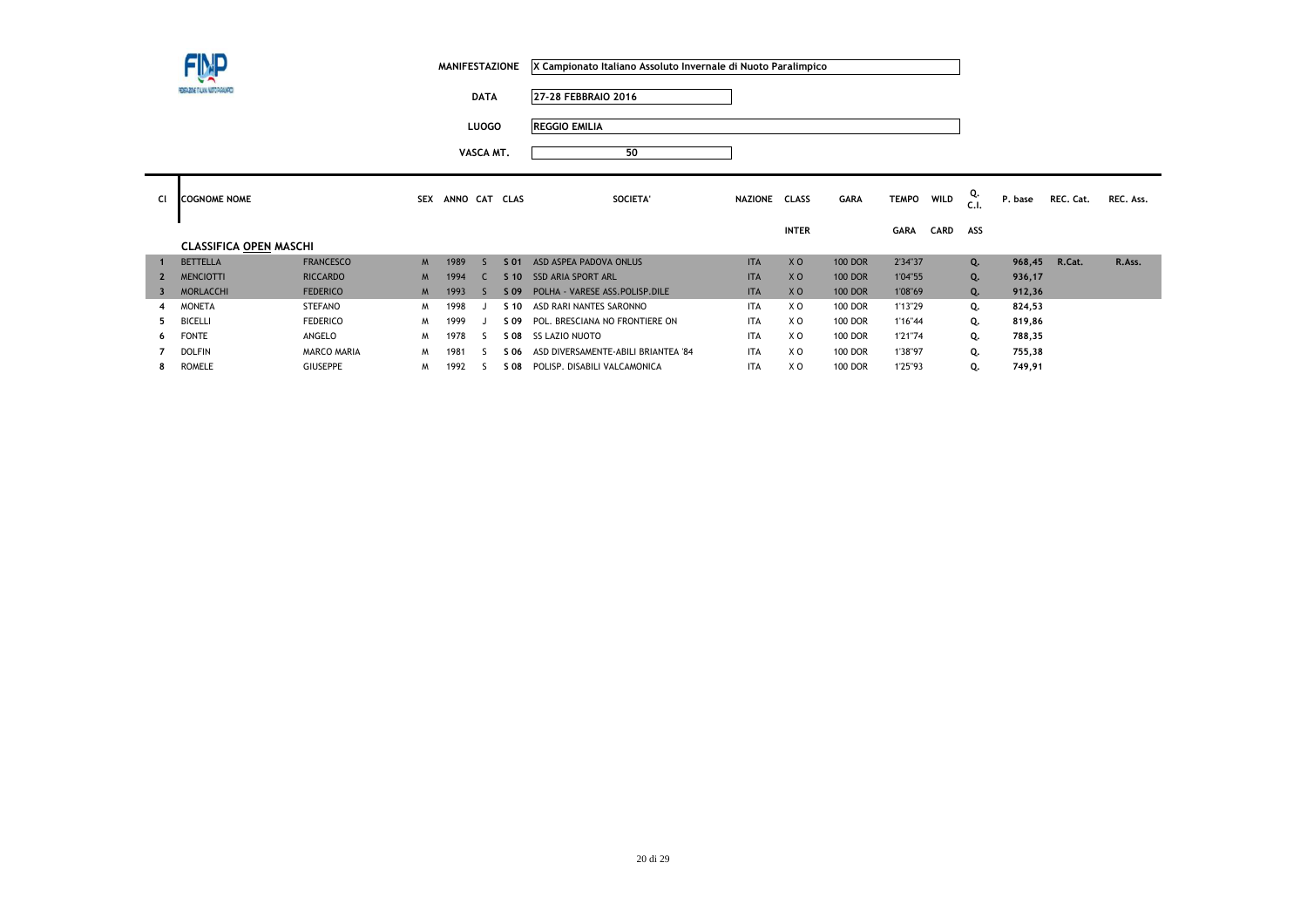**DATA 27-28 FEBBRAIO 2016**

**LUOGO REGGIO EMILIA**

| <b>CI</b> | <b>COGNOME NOME</b>           |                  | <b>SEX</b> | ANNO CAT CLAS |                 | SOCIETA'                            | <b>NAZIONE</b> | <b>CLASS</b>   | <b>GARA</b>    | <b>TEMPO</b> | <b>WILD</b> | Q.<br>C.I. | P. base | REC. Cat. | REC. Ass. |
|-----------|-------------------------------|------------------|------------|---------------|-----------------|-------------------------------------|----------------|----------------|----------------|--------------|-------------|------------|---------|-----------|-----------|
|           |                               |                  |            |               |                 |                                     |                | <b>INTER</b>   |                | <b>GARA</b>  | <b>CARD</b> | ASS        |         |           |           |
|           | <b>CLASSIFICA OPEN MASCHI</b> |                  |            |               |                 |                                     |                |                |                |              |             |            |         |           |           |
|           | <b>BETTELLA</b>               | <b>FRANCESCO</b> | M          | 1989          | S 01            | ASD ASPEA PADOVA ONLUS              | <b>ITA</b>     | X <sub>O</sub> | <b>100 DOR</b> | 2'34"37      |             | Q.         | 968.45  | R.Cat.    | R.Ass.    |
|           | <b>MENCIOTTI</b>              | <b>RICCARDO</b>  | M          | 1994          | S <sub>10</sub> | <b>SSD ARIA SPORT ARL</b>           | <b>ITA</b>     | X <sub>0</sub> | <b>100 DOR</b> | 1'04"55      |             | Q.         | 936,17  |           |           |
| 3         | <b>MORLACCHI</b>              | <b>FEDERICO</b>  | M          | 1993          | S 09            | POLHA - VARESE ASS. POLISP. DILE    | <b>ITA</b>     | X <sub>O</sub> | <b>100 DOR</b> | 1'08"69      |             | Q.         | 912,36  |           |           |
| 4         | <b>MONETA</b>                 | <b>STEFANO</b>   | M          | 1998          | $S$ 10          | ASD RARI NANTES SARONNO             | <b>ITA</b>     | X <sub>0</sub> | <b>100 DOR</b> | 1'13"29      |             | Q.         | 824,53  |           |           |
| 5.        | <b>BICELLI</b>                | <b>FEDERICO</b>  | M          | 1999          | S 09            | POL. BRESCIANA NO FRONTIERE ON      | <b>ITA</b>     | X <sub>0</sub> | <b>100 DOR</b> | 1'16"44      |             | Q.         | 819,86  |           |           |
| 6         | <b>FONTE</b>                  | ANGELO           | M          | 1978          | S 08            | <b>SS LAZIO NUOTO</b>               | <b>ITA</b>     | X <sub>0</sub> | <b>100 DOR</b> | 1'21"74      |             | Q.         | 788,35  |           |           |
|           | <b>DOLFIN</b>                 | MARCO MARIA      | M          | 1981          | S 06            | ASD DIVERSAMENTE-ABILI BRIANTEA '84 | <b>ITA</b>     | X <sub>0</sub> | <b>100 DOR</b> | 1'38"97      |             | Q.         | 755,38  |           |           |
| 8.        | <b>ROMELE</b>                 | <b>GIUSEPPE</b>  | M          | 1992          | S 08            | POLISP. DISABILI VALCAMONICA        | <b>ITA</b>     | X O            | <b>100 DOR</b> | 1'25"93      |             | Q.         | 749,91  |           |           |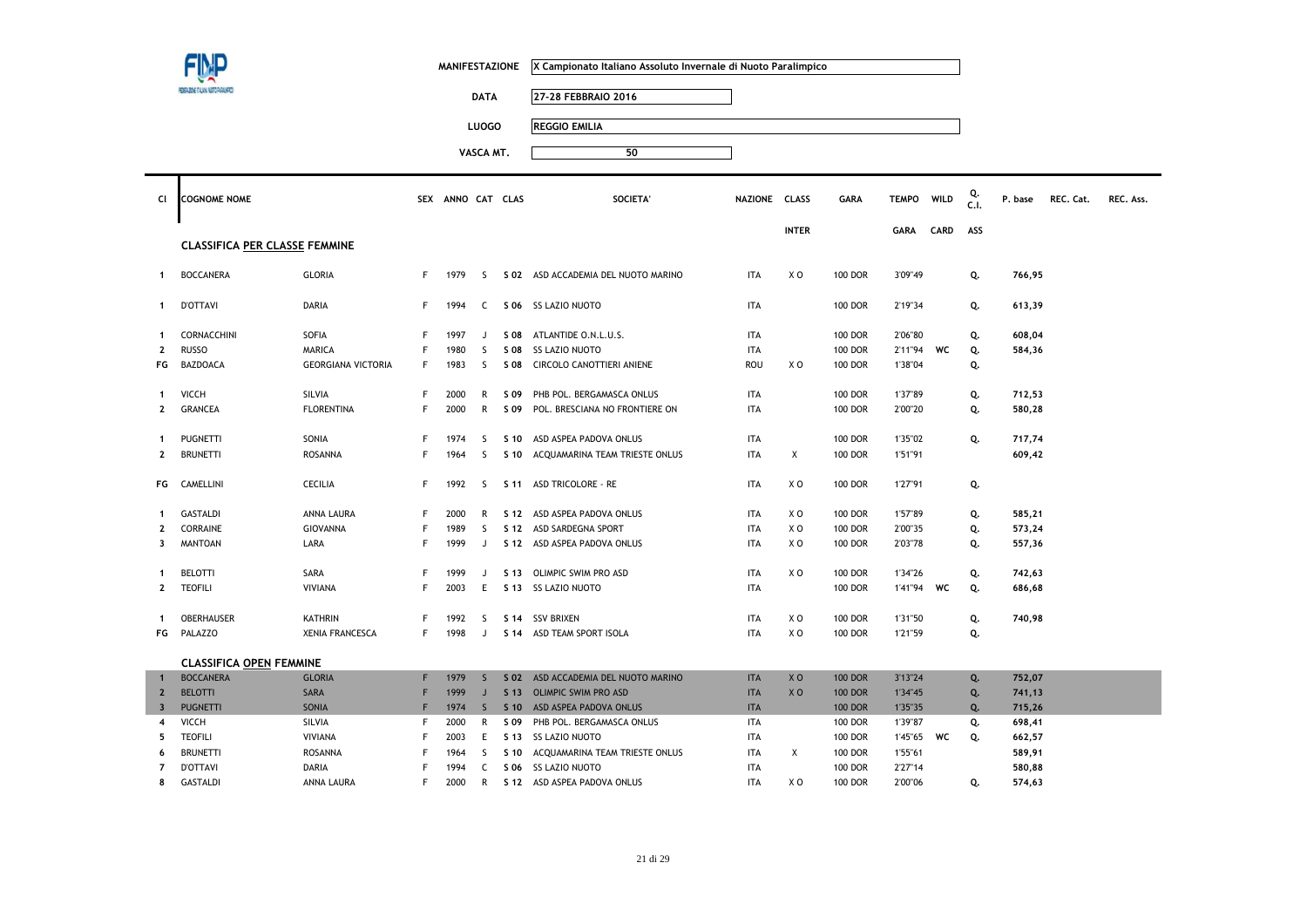|                         | SAZINE TALAM MUTO PARAMP             |                           |    | <b>MANIFESTAZIONE</b> |                             |                 | X Campionato Italiano Assoluto Invernale di Nuoto Paralimpico |               |                |                |              |             |            |         |           |           |
|-------------------------|--------------------------------------|---------------------------|----|-----------------------|-----------------------------|-----------------|---------------------------------------------------------------|---------------|----------------|----------------|--------------|-------------|------------|---------|-----------|-----------|
|                         |                                      |                           |    |                       | <b>DATA</b><br><b>LUOGO</b> |                 | 27-28 FEBBRAIO 2016<br><b>REGGIO EMILIA</b>                   |               |                |                |              |             |            |         |           |           |
|                         |                                      |                           |    |                       | VASCA MT.                   |                 | 50                                                            |               |                |                |              |             |            |         |           |           |
| CI                      | <b>COGNOME NOME</b>                  |                           |    | SEX ANNO CAT CLAS     |                             |                 | SOCIETA'                                                      | NAZIONE CLASS |                | GARA           | <b>TEMPO</b> | <b>WILD</b> | Q.<br>C.I. | P. base | REC. Cat. | REC. Ass. |
|                         | <b>CLASSIFICA PER CLASSE FEMMINE</b> |                           |    |                       |                             |                 |                                                               |               | <b>INTER</b>   |                | <b>GARA</b>  | CARD        | ASS        |         |           |           |
| $\mathbf{1}$            | <b>BOCCANERA</b>                     | <b>GLORIA</b>             | F. | 1979                  | S.                          |                 | S 02 ASD ACCADEMIA DEL NUOTO MARINO                           | ITA           | X O            | <b>100 DOR</b> | 3'09"49      |             | Q.         | 766,95  |           |           |
| $\mathbf{1}$            | <b>D'OTTAVI</b>                      | DARIA                     | F  | 1994                  | $\mathsf{C}$                |                 | S 06 SS LAZIO NUOTO                                           | <b>ITA</b>    |                | <b>100 DOR</b> | 2'19"34      |             | Q.         | 613,39  |           |           |
| $\mathbf{1}$            | CORNACCHINI                          | SOFIA                     | F  | 1997                  | J                           | S 08            | ATLANTIDE O.N.L.U.S.                                          | <b>ITA</b>    |                | <b>100 DOR</b> | 2'06"80      |             | Q.         | 608,04  |           |           |
| $\mathbf{2}$            | <b>RUSSO</b>                         | <b>MARICA</b>             | F  | 1980                  | <sub>S</sub>                | S 08            | <b>SS LAZIO NUOTO</b>                                         | <b>ITA</b>    |                | <b>100 DOR</b> | 2'11"94      | WC          | Q.         | 584,36  |           |           |
| FG                      | <b>BAZDOACA</b>                      | <b>GEORGIANA VICTORIA</b> | F  | 1983                  | <sub>S</sub>                | S 08            | CIRCOLO CANOTTIERI ANIENE                                     | ROU           | X <sub>0</sub> | <b>100 DOR</b> | 1'38"04      |             | Q.         |         |           |           |
| 1                       | <b>VICCH</b>                         | SILVIA                    | F  | 2000                  | R                           | S 09            | PHB POL. BERGAMASCA ONLUS                                     | <b>ITA</b>    |                | <b>100 DOR</b> | 1'37"89      |             | Q.         | 712,53  |           |           |
| $\mathbf{2}$            | <b>GRANCEA</b>                       | <b>FLORENTINA</b>         | F  | 2000                  | $\mathsf{R}$                | S 09            | POL. BRESCIANA NO FRONTIERE ON                                | <b>ITA</b>    |                | <b>100 DOR</b> | 2'00"20      |             | Q.         | 580,28  |           |           |
| 1                       | <b>PUGNETTI</b>                      | SONIA                     | F  | 1974                  | S                           | S 10            | ASD ASPEA PADOVA ONLUS                                        | <b>ITA</b>    |                | <b>100 DOR</b> | 1'35"02      |             | Q.         | 717,74  |           |           |
| $\mathbf{2}$            | <b>BRUNETTI</b>                      | <b>ROSANNA</b>            | F  | 1964                  | S                           | S 10            | ACQUAMARINA TEAM TRIESTE ONLUS                                | <b>ITA</b>    | X              | <b>100 DOR</b> | 1'51"91      |             |            | 609,42  |           |           |
| FG                      | CAMELLINI                            | <b>CECILIA</b>            | F  | 1992                  | S.                          | S 11            | <b>ASD TRICOLORE - RE</b>                                     | <b>ITA</b>    | X <sub>0</sub> | <b>100 DOR</b> | 1'27"91      |             | Q.         |         |           |           |
| $\mathbf{1}$            | <b>GASTALDI</b>                      | ANNA LAURA                | F  | 2000                  | R                           |                 | S 12 ASD ASPEA PADOVA ONLUS                                   | <b>ITA</b>    | X <sub>0</sub> | <b>100 DOR</b> | 1'57"89      |             | Q.         | 585,21  |           |           |
| $\overline{2}$          | CORRAINE                             | GIOVANNA                  | F  | 1989                  | S.                          | S 12            | ASD SARDEGNA SPORT                                            | <b>ITA</b>    | X O            | 100 DOR        | 2'00"35      |             | Q.         | 573,24  |           |           |
| 3                       | <b>MANTOAN</b>                       | LARA                      | F  | 1999                  | J                           |                 | S 12 ASD ASPEA PADOVA ONLUS                                   | <b>ITA</b>    | X O            | <b>100 DOR</b> | 2'03"78      |             | Q.         | 557,36  |           |           |
| 1                       | <b>BELOTTI</b>                       | SARA                      | F  | 1999                  | J                           | S 13            | OLIMPIC SWIM PRO ASD                                          | <b>ITA</b>    | X <sub>0</sub> | <b>100 DOR</b> | 1'34"26      |             | Q.         | 742,63  |           |           |
| $\mathbf{2}$            | <b>TEOFILI</b>                       | <b>VIVIANA</b>            | F  | 2003                  | E                           | S 13            | <b>SS LAZIO NUOTO</b>                                         | <b>ITA</b>    |                | <b>100 DOR</b> | 1'41"94      | WC          | Q.         | 686,68  |           |           |
| $\mathbf{1}$            | OBERHAUSER                           | <b>KATHRIN</b>            | F  | 1992                  | S                           | S 14            | <b>SSV BRIXEN</b>                                             | <b>ITA</b>    | X <sub>0</sub> | <b>100 DOR</b> | 1'31"50      |             | Q.         | 740,98  |           |           |
| FG                      | PALAZZO                              | <b>XENIA FRANCESCA</b>    | F  | 1998                  | J                           |                 | S 14 ASD TEAM SPORT ISOLA                                     | ITA           | XO             | <b>100 DOR</b> | 1'21"59      |             | Q.         |         |           |           |
|                         | <b>CLASSIFICA OPEN FEMMINE</b>       |                           |    |                       |                             |                 |                                                               |               |                |                |              |             |            |         |           |           |
| $\mathbf{1}$            | <b>BOCCANERA</b>                     | <b>GLORIA</b>             | F  | 1979                  | $\mathsf{S}$                | S 02            | ASD ACCADEMIA DEL NUOTO MARINO                                | <b>ITA</b>    | X <sub>0</sub> | <b>100 DOR</b> | 3'13"24      |             | Q.         | 752,07  |           |           |
| $\overline{2}$          | <b>BELOTTI</b>                       | SARA                      | F  | 1999                  | J                           | S <sub>13</sub> | <b>OLIMPIC SWIM PRO ASD</b>                                   | <b>ITA</b>    | X <sub>0</sub> | <b>100 DOR</b> | 1'34"45      |             | Q.         | 741,13  |           |           |
| $\overline{\mathbf{3}}$ | <b>PUGNETTI</b>                      | SONIA                     |    | 1974                  | $\mathsf{S}$                | S <sub>10</sub> | ASD ASPEA PADOVA ONLUS                                        | <b>ITA</b>    |                | <b>100 DOR</b> | 1'35"35      |             | Q.         | 715,26  |           |           |
| 4                       | VICCH                                | SILVIA                    | F  | 2000                  | $\mathsf{R}$                | S 09            | PHB POL. BERGAMASCA ONLUS                                     | <b>ITA</b>    |                | <b>100 DOR</b> | 1'39"87      |             | Q.         | 698,41  |           |           |
| 5                       | <b>TEOFILI</b>                       | VIVIANA                   | F  | 2003                  | E                           | S 13            | <b>SS LAZIO NUOTO</b>                                         | ITA           |                | 100 DOR        | 1'45"65      | WC          | Q.         | 662,57  |           |           |
| 6                       | <b>BRUNETTI</b>                      | <b>ROSANNA</b>            | F  | 1964                  | <sub>S</sub>                | S 10            | ACQUAMARINA TEAM TRIESTE ONLUS                                | <b>ITA</b>    | Χ              | <b>100 DOR</b> | 1'55"61      |             |            | 589,91  |           |           |
| $\overline{7}$          | <b>D'OTTAVI</b>                      | DARIA                     | F  | 1994                  | C                           | S 06            | <b>SS LAZIO NUOTO</b>                                         | <b>ITA</b>    |                | <b>100 DOR</b> | 2'27"14      |             |            | 580,88  |           |           |
| 8                       | <b>GASTALDI</b>                      | ANNA LAURA                | F  | 2000                  | $\mathsf{R}$                |                 | S 12 ASD ASPEA PADOVA ONLUS                                   | <b>ITA</b>    | X <sub>0</sub> | <b>100 DOR</b> | 2'00"06      |             | Q.         | 574,63  |           |           |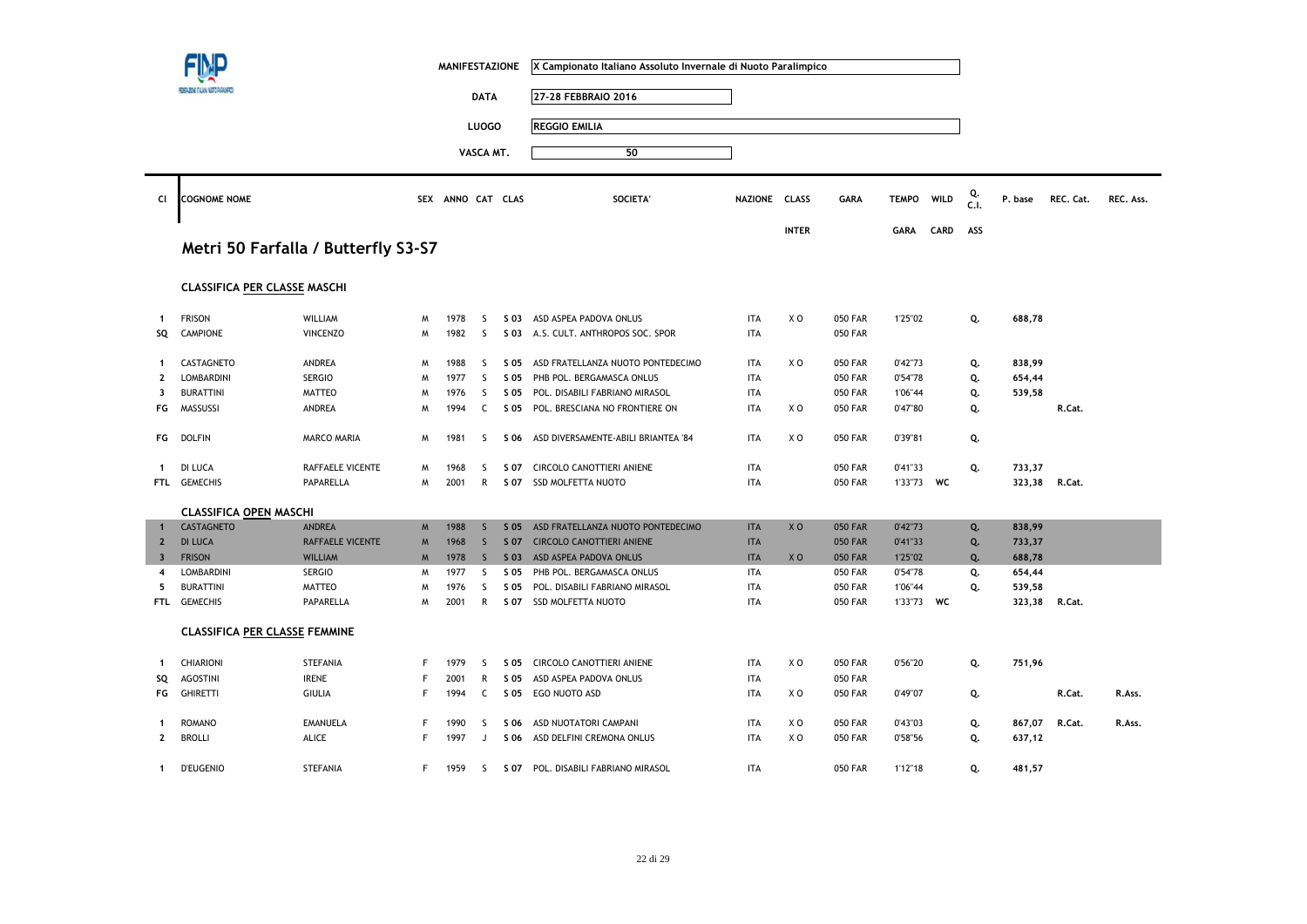|                         |                                      |                                     |   | <b>MANIFESTAZIONE</b> |              |      | X Campionato Italiano Assoluto Invernale di Nuoto Paralimpico |               |                |                |              |      |            |               |           |           |
|-------------------------|--------------------------------------|-------------------------------------|---|-----------------------|--------------|------|---------------------------------------------------------------|---------------|----------------|----------------|--------------|------|------------|---------------|-----------|-----------|
|                         |                                      |                                     |   |                       | <b>DATA</b>  |      | 27-28 FEBBRAIO 2016                                           |               |                |                |              |      |            |               |           |           |
|                         |                                      |                                     |   |                       | <b>LUOGO</b> |      | <b>REGGIO EMILIA</b>                                          |               |                |                |              |      |            |               |           |           |
|                         |                                      |                                     |   |                       |              |      |                                                               |               |                |                |              |      |            |               |           |           |
|                         |                                      |                                     |   |                       | VASCA MT.    |      | 50                                                            |               |                |                |              |      |            |               |           |           |
| Cl                      | <b>COGNOME NOME</b>                  |                                     |   | SEX ANNO CAT CLAS     |              |      | <b>SOCIETA</b>                                                | NAZIONE CLASS |                | <b>GARA</b>    | <b>TEMPO</b> | WILD | Q.<br>C.I. | P. base       | REC. Cat. | REC. Ass. |
|                         |                                      | Metri 50 Farfalla / Butterfly S3-S7 |   |                       |              |      |                                                               |               | <b>INTER</b>   |                | <b>GARA</b>  | CARD | ASS        |               |           |           |
|                         | <b>CLASSIFICA PER CLASSE MASCHI</b>  |                                     |   |                       |              |      |                                                               |               |                |                |              |      |            |               |           |           |
| 1                       | <b>FRISON</b>                        | WILLIAM                             | M | 1978                  | -S           |      | S 03 ASD ASPEA PADOVA ONLUS                                   | <b>ITA</b>    | XO             | <b>050 FAR</b> | 1'25"02      |      | Q.         | 688,78        |           |           |
| SQ                      | CAMPIONE                             | <b>VINCENZO</b>                     | M | 1982                  | S.           |      | S 03 A.S. CULT. ANTHROPOS SOC. SPOR                           | <b>ITA</b>    |                | <b>050 FAR</b> |              |      |            |               |           |           |
|                         |                                      |                                     |   |                       |              |      |                                                               |               |                |                |              |      |            |               |           |           |
| -1                      | CASTAGNETO                           | ANDREA                              | M | 1988                  | S.           | S 05 | ASD FRATELLANZA NUOTO PONTEDECIMO                             | <b>ITA</b>    | XO             | <b>050 FAR</b> | 0'42"73      |      | Q.         | 838,99        |           |           |
| $\mathbf{2}$            | <b>LOMBARDINI</b>                    | <b>SERGIO</b>                       | M | 1977                  | S            | S 05 | PHB POL. BERGAMASCA ONLUS                                     | <b>ITA</b>    |                | <b>050 FAR</b> | 0'54"78      |      | Q.         | 654,44        |           |           |
| 3                       | <b>BURATTINI</b>                     | <b>MATTEO</b>                       | M | 1976                  | S            | S 05 | POL. DISABILI FABRIANO MIRASOL                                | <b>ITA</b>    |                | <b>050 FAR</b> | 1'06"44      |      | Q.         | 539,58        |           |           |
| FG                      | MASSUSSI                             | ANDREA                              | M | 1994                  | C            | S 05 | POL. BRESCIANA NO FRONTIERE ON                                | <b>ITA</b>    | X O            | <b>050 FAR</b> | 0'47"80      |      | Q.         |               | R.Cat.    |           |
| FG                      | <b>DOLFIN</b>                        | MARCO MARIA                         | M | 1981                  | -S           | S 06 | ASD DIVERSAMENTE-ABILI BRIANTEA '84                           | <b>ITA</b>    | X O            | <b>050 FAR</b> | 0'39"81      |      | Q.         |               |           |           |
| 1                       | <b>DI LUCA</b>                       | RAFFAELE VICENTE                    | M | 1968                  | S            | S 07 | CIRCOLO CANOTTIERI ANIENE                                     | <b>ITA</b>    |                | <b>050 FAR</b> | 0'41"33      |      | Q.         | 733,37        |           |           |
| <b>FTL</b>              | <b>GEMECHIS</b>                      | PAPARELLA                           | M | 2001                  | $\mathsf{R}$ |      | S 07 SSD MOLFETTA NUOTO                                       | <b>ITA</b>    |                | 050 FAR        | 1'33"73 WC   |      |            | 323,38 R.Cat. |           |           |
|                         | <b>CLASSIFICA OPEN MASCHI</b>        |                                     |   |                       |              |      |                                                               |               |                |                |              |      |            |               |           |           |
| $\mathbf 1$             | <b>CASTAGNETO</b>                    | <b>ANDREA</b>                       | M | 1988                  | $\mathsf{S}$ | S 05 | ASD FRATELLANZA NUOTO PONTEDECIMO                             | <b>ITA</b>    | X <sub>0</sub> | <b>050 FAR</b> | 0'42"73      |      | Q.         | 838,99        |           |           |
| $\mathbf{2}$            | <b>DI LUCA</b>                       | RAFFAELE VICENTE                    | M | 1968                  | $\mathsf{S}$ | S 07 | <b>CIRCOLO CANOTTIERI ANIENE</b>                              | <b>ITA</b>    |                | <b>050 FAR</b> | 0'41"33      |      | Q.         | 733,37        |           |           |
| $\overline{\mathbf{3}}$ | <b>FRISON</b>                        | <b>WILLIAM</b>                      | M | 1978                  | $\mathsf{S}$ | S 03 | ASD ASPEA PADOVA ONLUS                                        | <b>ITA</b>    | X <sub>O</sub> | <b>050 FAR</b> | 1'25"02      |      | Q.         | 688,78        |           |           |
| 4                       | <b>LOMBARDINI</b>                    | <b>SERGIO</b>                       | M | 1977                  | S            | S 05 | PHB POL. BERGAMASCA ONLUS                                     | <b>ITA</b>    |                | <b>050 FAR</b> | 0'54"78      |      | Q.         | 654,44        |           |           |
| 5                       | <b>BURATTINI</b>                     | <b>MATTEO</b>                       | M | 1976                  | S            | S 05 | POL. DISABILI FABRIANO MIRASOL                                | <b>ITA</b>    |                | <b>050 FAR</b> | 1'06"44      |      | Q.         | 539,58        |           |           |
| FTL.                    | <b>GEMECHIS</b>                      | PAPARELLA                           | W | 2001                  | R            | S 07 | SSD MOLFETTA NUOTO                                            | <b>ITA</b>    |                | <b>050 FAR</b> | 1'33"73      | WC   |            | 323,38        | R.Cat.    |           |
|                         | <b>CLASSIFICA PER CLASSE FEMMINE</b> |                                     |   |                       |              |      |                                                               |               |                |                |              |      |            |               |           |           |
| -1                      | CHIARIONI                            | STEFANIA                            | F | 1979                  | -S           | S 05 | CIRCOLO CANOTTIERI ANIENE                                     | <b>ITA</b>    | X O            | <b>050 FAR</b> | 0'56"20      |      | Q.         | 751,96        |           |           |
| SQ                      | <b>AGOSTINI</b>                      | <b>IRENE</b>                        | F | 2001                  | R            | S 05 | ASD ASPEA PADOVA ONLUS                                        | <b>ITA</b>    |                | <b>050 FAR</b> |              |      |            |               |           |           |
| FG                      | <b>GHIRETTI</b>                      | <b>GIULIA</b>                       | F | 1994                  | C            | S 05 | EGO NUOTO ASD                                                 | <b>ITA</b>    | X O            | <b>050 FAR</b> | 0'49"07      |      | Q.         |               | R.Cat.    | R.Ass.    |
|                         |                                      |                                     |   |                       |              |      |                                                               |               |                |                |              |      |            |               |           |           |
| -1                      | <b>ROMANO</b>                        | <b>EMANUELA</b>                     | F | 1990                  | S            | S 06 | ASD NUOTATORI CAMPANI                                         | <b>ITA</b>    | X O            | <b>050 FAR</b> | 0'43"03      |      | Q.         | 867,07        | R.Cat.    | R.Ass.    |
| $\mathbf{2}$            | <b>BROLLI</b>                        | <b>ALICE</b>                        | F | 1997                  | J            | S 06 | ASD DELFINI CREMONA ONLUS                                     | <b>ITA</b>    | XO             | <b>050 FAR</b> | 0'58"56      |      | Q.         | 637,12        |           |           |
| 1                       | <b>D'EUGENIO</b>                     | <b>STEFANIA</b>                     | F | 1959                  | S            | S 07 | POL. DISABILI FABRIANO MIRASOL                                | <b>ITA</b>    |                | 050 FAR        | 1'12"18      |      | Q.         | 481,57        |           |           |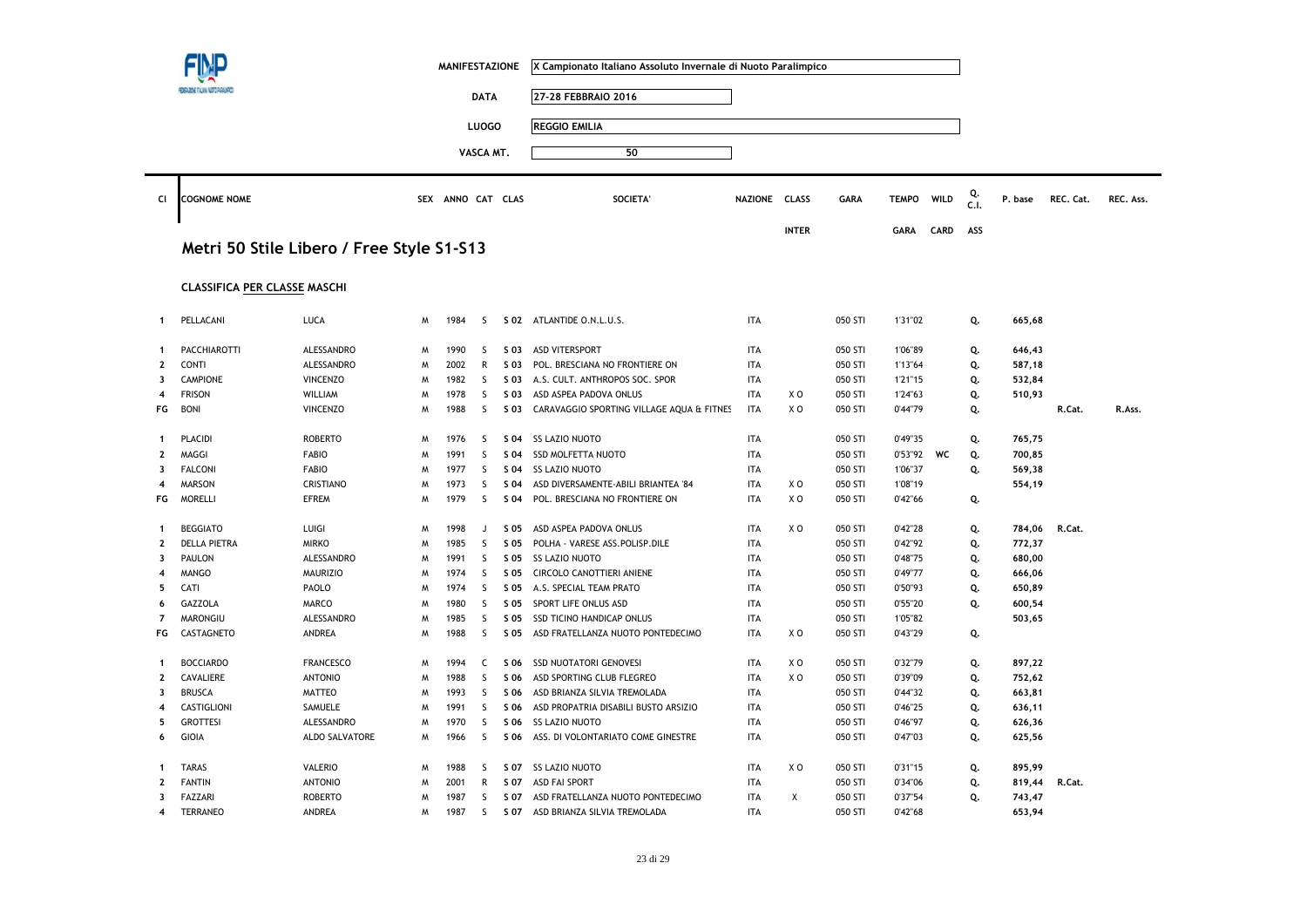|                  |                                     |                                           |   | <b>MANIFESTAZIONE</b> |              |      | X Campionato Italiano Assoluto Invernale di Nuoto Paralimpico |               |                |             |              |      |            |         |           |           |
|------------------|-------------------------------------|-------------------------------------------|---|-----------------------|--------------|------|---------------------------------------------------------------|---------------|----------------|-------------|--------------|------|------------|---------|-----------|-----------|
|                  |                                     |                                           |   |                       | <b>DATA</b>  |      | 27-28 FEBBRAIO 2016                                           |               |                |             |              |      |            |         |           |           |
|                  |                                     |                                           |   |                       | <b>LUOGO</b> |      | <b>REGGIO EMILIA</b>                                          |               |                |             |              |      |            |         |           |           |
|                  |                                     |                                           |   |                       |              |      |                                                               |               |                |             |              |      |            |         |           |           |
|                  |                                     |                                           |   |                       | VASCA MT.    |      | 50                                                            |               |                |             |              |      |            |         |           |           |
| CI               | <b>COGNOME NOME</b>                 |                                           |   | SEX ANNO CAT CLAS     |              |      | <b>SOCIETA</b>                                                | NAZIONE CLASS |                | <b>GARA</b> | <b>TEMPO</b> | WILD | Q.<br>C.I. | P. base | REC. Cat. | REC. Ass. |
|                  |                                     | Metri 50 Stile Libero / Free Style S1-S13 |   |                       |              |      |                                                               |               | <b>INTER</b>   |             | <b>GARA</b>  | CARD | ASS        |         |           |           |
|                  | <b>CLASSIFICA PER CLASSE MASCHI</b> |                                           |   |                       |              |      |                                                               |               |                |             |              |      |            |         |           |           |
| 1                | PELLACANI                           | LUCA                                      | M | 1984                  | <sub>S</sub> |      | S 02 ATLANTIDE O.N.L.U.S.                                     | <b>ITA</b>    |                | 050 STI     | 1'31"02      |      | Q.         | 665,68  |           |           |
| $\mathbf 1$      | <b>PACCHIAROTTI</b>                 | ALESSANDRO                                | M | 1990                  | <sub>S</sub> | S 03 | <b>ASD VITERSPORT</b>                                         | <b>ITA</b>    |                | 050 STI     | 1'06"89      |      | Q.         | 646,43  |           |           |
| $\mathbf{2}$     | <b>CONTI</b>                        | ALESSANDRO                                | М | 2002                  | $\mathsf{R}$ | S 03 | POL. BRESCIANA NO FRONTIERE ON                                | <b>ITA</b>    |                | 050 STI     | 1'13"64      |      | Q.         | 587,18  |           |           |
| 3                | <b>CAMPIONE</b>                     | <b>VINCENZO</b>                           | M | 1982                  | S            | S 03 | A.S. CULT. ANTHROPOS SOC. SPOR                                | <b>ITA</b>    |                | 050 STI     | 1'21"15      |      | Q.         | 532,84  |           |           |
| 4                | <b>FRISON</b>                       | WILLIAM                                   | М | 1978                  | S            | S 03 | ASD ASPEA PADOVA ONLUS                                        | ITA           | X O            | 050 STI     | 1'24"63      |      | Q.         | 510,93  |           |           |
| FG               | <b>BONI</b>                         | <b>VINCENZO</b>                           | M | 1988                  | <sub>S</sub> | S 03 | CARAVAGGIO SPORTING VILLAGE AQUA & FITNES                     | <b>ITA</b>    | X <sub>0</sub> | 050 STI     | 0'44"79      |      | Q.         |         | R.Cat.    | R.Ass.    |
| -1               | PLACIDI                             | <b>ROBERTO</b>                            | M | 1976                  | -S           | S 04 | <b>SS LAZIO NUOTO</b>                                         | <b>ITA</b>    |                | 050 STI     | 0'49"35      |      | Q.         | 765,75  |           |           |
| $\mathbf{2}$     | MAGGI                               | <b>FABIO</b>                              | W | 1991                  | S            | S 04 | <b>SSD MOLFETTA NUOTO</b>                                     | <b>ITA</b>    |                | 050 STI     | 0'53"92      | WC   | Q.         | 700,85  |           |           |
| 3                | <b>FALCONI</b>                      | <b>FABIO</b>                              | Μ | 1977                  | S            | S 04 | <b>SS LAZIO NUOTO</b>                                         | <b>ITA</b>    |                | 050 STI     | 1'06"37      |      | Q.         | 569,38  |           |           |
| 4                | <b>MARSON</b>                       | <b>CRISTIANO</b>                          | W | 1973                  | S            | S 04 | ASD DIVERSAMENTE-ABILI BRIANTEA '84                           | <b>ITA</b>    | X O            | 050 STI     | 1'08"19      |      |            | 554,19  |           |           |
| FG               | <b>MORELLI</b>                      | <b>EFREM</b>                              | M | 1979                  | S            | S 04 | POL. BRESCIANA NO FRONTIERE ON                                | <b>ITA</b>    | XO             | 050 STI     | 0'42"66      |      | Q.         |         |           |           |
| $\mathbf{1}$     | <b>BEGGIATO</b>                     | LUIGI                                     | W | 1998                  | J            | S 05 | ASD ASPEA PADOVA ONLUS                                        | <b>ITA</b>    | X O            | 050 STI     | 0'42"28      |      | Q.         | 784,06  | R.Cat.    |           |
| $\mathbf{2}$     | <b>DELLA PIETRA</b>                 | <b>MIRKO</b>                              | W | 1985                  | S            | S 05 | POLHA - VARESE ASS.POLISP.DILE                                | <b>ITA</b>    |                | 050 STI     | 0'42"92      |      | Q.         | 772,37  |           |           |
| 3                | PAULON                              | ALESSANDRO                                | M | 1991                  | <sub>S</sub> | S 05 | <b>SS LAZIO NUOTO</b>                                         | <b>ITA</b>    |                | 050 STI     | 0'48"75      |      | Q.         | 680,00  |           |           |
| 4                | <b>MANGO</b>                        | <b>MAURIZIO</b>                           | M | 1974                  | S            | S 05 | CIRCOLO CANOTTIERI ANIENE                                     | ITA           |                | 050 STI     | 0'49"77      |      | Q.         | 666,06  |           |           |
| 5                | CATI                                | PAOLO                                     | M | 1974                  | S            | S 05 | A.S. SPECIAL TEAM PRATO                                       | <b>ITA</b>    |                | 050 STI     | 0'50"93      |      | Q.         | 650,89  |           |           |
| 6                | GAZZOLA                             | MARCO                                     | Μ | 1980                  | S            | S 05 | SPORT LIFE ONLUS ASD                                          | <b>ITA</b>    |                | 050 STI     | 0'55"20      |      | Q.         | 600,54  |           |           |
| $\overline{7}$   | MARONGIU                            | ALESSANDRO                                | M | 1985                  | S            | S 05 | SSD TICINO HANDICAP ONLUS                                     | <b>ITA</b>    |                | 050 STI     | 1'05"82      |      |            | 503,65  |           |           |
| FG               | CASTAGNETO                          | ANDREA                                    | M | 1988                  | <sub>S</sub> | S 05 | ASD FRATELLANZA NUOTO PONTEDECIMO                             | <b>ITA</b>    | X <sub>0</sub> | 050 STI     | 0'43"29      |      | Q.         |         |           |           |
| $\mathbf{1}$     | <b>BOCCIARDO</b>                    | <b>FRANCESCO</b>                          | M | 1994                  | C            | S 06 | SSD NUOTATORI GENOVESI                                        | <b>ITA</b>    | X O            | 050 STI     | 0'32"79      |      | Q.         | 897,22  |           |           |
| $\mathbf{2}$     | CAVALIERE                           | <b>ANTONIO</b>                            | W | 1988                  | S            | S 06 | ASD SPORTING CLUB FLEGREO                                     | <b>ITA</b>    | X <sub>O</sub> | 050 STI     | 0'39"09      |      | Q.         | 752,62  |           |           |
| 3                | <b>BRUSCA</b>                       | <b>MATTEO</b>                             | W | 1993                  | S            | S 06 | ASD BRIANZA SILVIA TREMOLADA                                  | <b>ITA</b>    |                | 050 STI     | 0'44"32      |      | Q.         | 663,81  |           |           |
| $\boldsymbol{4}$ | CASTIGLIONI                         | SAMUELE                                   | W | 1991                  | S            | S 06 | ASD PROPATRIA DISABILI BUSTO ARSIZIO                          | <b>ITA</b>    |                | 050 STI     | 0'46"25      |      | Q.         | 636,11  |           |           |
| 5                | <b>GROTTESI</b>                     | ALESSANDRO                                | M | 1970                  | S            | S 06 | <b>SS LAZIO NUOTO</b>                                         | <b>ITA</b>    |                | 050 STI     | 0'46"97      |      | Q.         | 626,36  |           |           |
| 6                | <b>GIOIA</b>                        | ALDO SALVATORE                            | M | 1966                  | S            | S 06 | ASS. DI VOLONTARIATO COME GINESTRE                            | <b>ITA</b>    |                | 050 STI     | 0'47"03      |      | Q.         | 625,56  |           |           |
| -1               | <b>TARAS</b>                        | VALERIO                                   | M | 1988                  | S            | S 07 | <b>SS LAZIO NUOTO</b>                                         | <b>ITA</b>    | X O            | 050 STI     | 0'31"15      |      | Q.         | 895,99  |           |           |
| $\overline{2}$   | <b>FANTIN</b>                       | <b>ANTONIO</b>                            | M | 2001                  | R            | S 07 | <b>ASD FAI SPORT</b>                                          | ITA           |                | 050 STI     | 0'34"06      |      | Q.         | 819,44  | R.Cat.    |           |
| 3                | FAZZARI                             | <b>ROBERTO</b>                            | M | 1987                  | S            | S 07 | ASD FRATELLANZA NUOTO PONTEDECIMO                             | <b>ITA</b>    | X              | 050 STI     | 0'37"54      |      | Q.         | 743,47  |           |           |
| 4                | <b>TERRANEO</b>                     | ANDREA                                    | M | 1987                  | S            | S 07 | ASD BRIANZA SILVIA TREMOLADA                                  | <b>ITA</b>    |                | 050 STI     | 0'42"68      |      |            | 653,94  |           |           |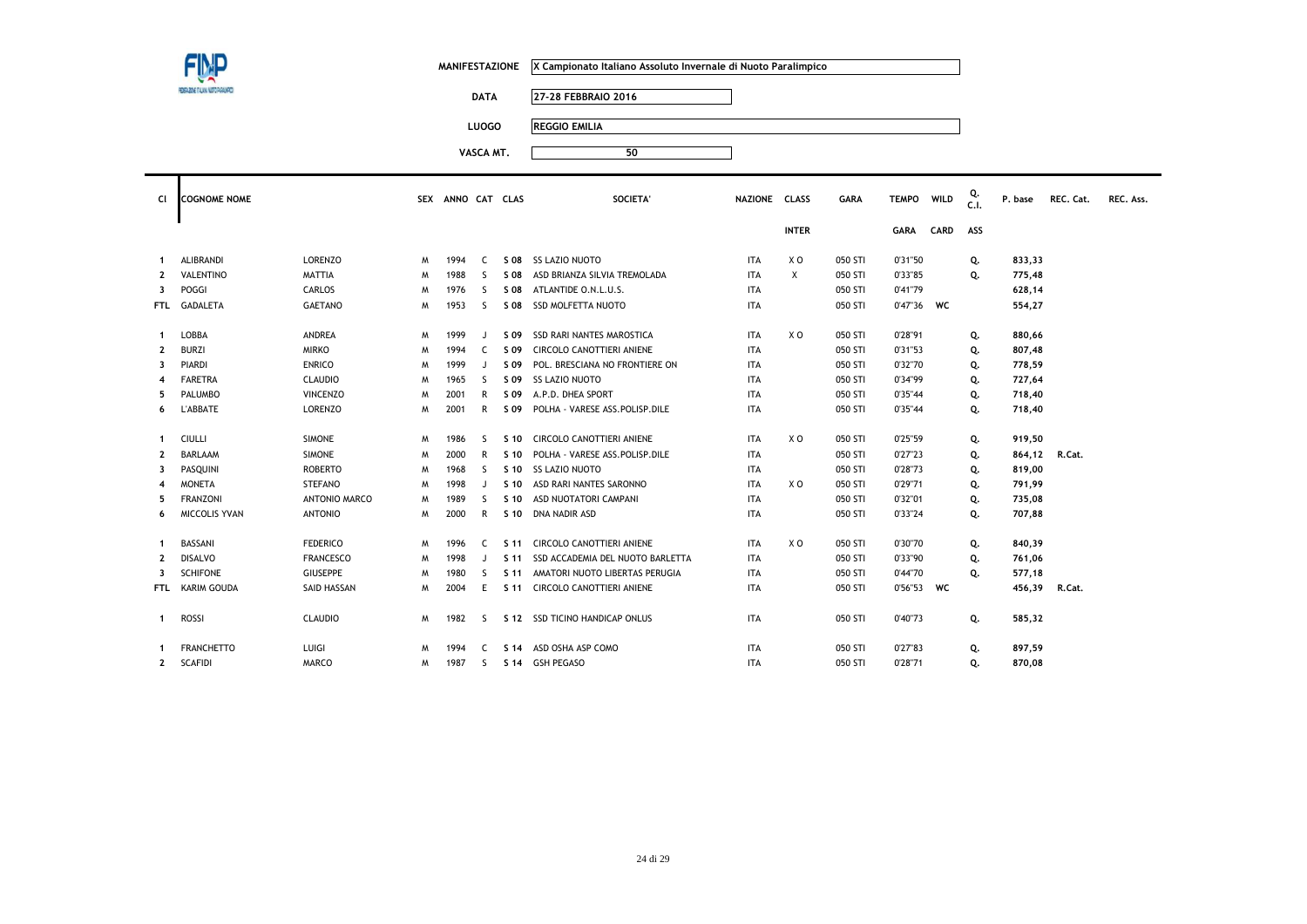

**DATA 27-28 FEBBRAIO 2016**

**LUOGO REGGIO EMILIA**

| <b>CI</b>               | <b>COGNOME NOME</b> |                  |   | SEX ANNO CAT CLAS |              |                 | SOCIETA'                         | <b>NAZIONE</b> | <b>CLASS</b>   | <b>GARA</b> | <b>TEMPO</b> | WILD        | C.1. | P. base | REC. Cat. | REC. Ass. |
|-------------------------|---------------------|------------------|---|-------------------|--------------|-----------------|----------------------------------|----------------|----------------|-------------|--------------|-------------|------|---------|-----------|-----------|
|                         |                     |                  |   |                   |              |                 |                                  |                | <b>INTER</b>   |             | <b>GARA</b>  | <b>CARD</b> | ASS  |         |           |           |
| -1                      | <b>ALIBRANDI</b>    | <b>LORENZO</b>   | M | 1994              | C.           |                 | S 08 SS LAZIO NUOTO              | <b>ITA</b>     | X O            | 050 STI     | 0'31"50      |             | Q.   | 833,33  |           |           |
| $\overline{2}$          | <b>VALENTINO</b>    | <b>MATTIA</b>    | M | 1988              | S.           | S 08            | ASD BRIANZA SILVIA TREMOLADA     | <b>ITA</b>     | X              | 050 STI     | 0'33"85      |             | Q.   | 775,48  |           |           |
| 3                       | POGGI               | CARLOS           | M | 1976              | <sub>S</sub> | S 08            | ATLANTIDE O.N.L.U.S.             | <b>ITA</b>     |                | 050 STI     | 0'41"79      |             |      | 628,14  |           |           |
| <b>FTL</b>              | <b>GADALETA</b>     | <b>GAETANO</b>   | M | 1953              | -S           |                 | S 08 SSD MOLFETTA NUOTO          | <b>ITA</b>     |                | 050 STI     | 0'47"36      | <b>WC</b>   |      | 554,27  |           |           |
| $\mathbf{1}$            | LOBBA               | <b>ANDREA</b>    | M | 1999              | $\mathbf{J}$ | S 09            | <b>SSD RARI NANTES MAROSTICA</b> | <b>ITA</b>     | X O            | 050 STI     | 0'28"91      |             | Q.   | 880,66  |           |           |
| $\mathbf{2}$            | <b>BURZI</b>        | <b>MIRKO</b>     | M | 1994              | C            | S 09            | CIRCOLO CANOTTIERI ANIENE        | <b>ITA</b>     |                | 050 STI     | 0'31"53      |             | Q.   | 807,48  |           |           |
| 3                       | <b>PIARDI</b>       | <b>ENRICO</b>    | M | 1999              | $\cdot$      | S 09            | POL. BRESCIANA NO FRONTIERE ON   | <b>ITA</b>     |                | 050 STI     | 0'32"70      |             | Q.   | 778,59  |           |           |
| 4                       | <b>FARETRA</b>      | <b>CLAUDIO</b>   | M | 1965              | S.           | S 09            | <b>SS LAZIO NUOTO</b>            | <b>ITA</b>     |                | 050 STI     | 0'34"99      |             | Q.   | 727,64  |           |           |
| 5.                      | PALUMBO             | <b>VINCENZO</b>  | M | 2001              | R            | S 09            | A.P.D. DHEA SPORT                | <b>ITA</b>     |                | 050 STI     | 0'35"44      |             | Q.   | 718,40  |           |           |
| 6                       | <b>L'ABBATE</b>     | LORENZO          | M | 2001              | R            | S 09            | POLHA - VARESE ASS.POLISP.DILE   | <b>ITA</b>     |                | 050 STI     | 0'35"44      |             | Q.   | 718,40  |           |           |
| 1                       | CIULLI              | <b>SIMONE</b>    | M | 1986              | -S           | S 10            | CIRCOLO CANOTTIERI ANIENE        | <b>ITA</b>     | X O            | 050 STI     | 0'25"59      |             | Q.   | 919,50  |           |           |
| $\mathbf{2}$            | <b>BARLAAM</b>      | <b>SIMONE</b>    | M | 2000              | R            | S <sub>10</sub> | POLHA - VARESE ASS.POLISP.DILE   | <b>ITA</b>     |                | 050 STI     | 0'27"23      |             | Q.   | 864,12  | R.Cat.    |           |
| 3                       | PASQUINI            | <b>ROBERTO</b>   | M | 1968              | S.           | S 10            | <b>SS LAZIO NUOTO</b>            | <b>ITA</b>     |                | 050 STI     | 0'28"73      |             | Q.   | 819,00  |           |           |
| 4                       | <b>MONETA</b>       | <b>STEFANO</b>   | M | 1998              | $\mathbf{J}$ | S 10            | ASD RARI NANTES SARONNO          | <b>ITA</b>     | X O            | 050 STI     | 0'29"71      |             | Q.   | 791,99  |           |           |
| 5                       | <b>FRANZONI</b>     | ANTONIO MARCO    | M | 1989              | S.           | S 10            | ASD NUOTATORI CAMPANI            | <b>ITA</b>     |                | 050 STI     | 0'32"01      |             | Q.   | 735,08  |           |           |
| 6                       | MICCOLIS YVAN       | <b>ANTONIO</b>   | M | 2000              | R            | S 10            | DNA NADIR ASD                    | <b>ITA</b>     |                | 050 STI     | 0'33"24      |             | Q.   | 707,88  |           |           |
| -1                      | BASSANI             | <b>FEDERICO</b>  | M | 1996              | C.           | S 11            | <b>CIRCOLO CANOTTIERI ANIENE</b> | <b>ITA</b>     | X <sub>0</sub> | 050 STI     | 0'30"70      |             | Q.   | 840,39  |           |           |
| $\mathbf{2}$            | <b>DISALVO</b>      | <b>FRANCESCO</b> | M | 1998              | $\cdot$      | S 11            | SSD ACCADEMIA DEL NUOTO BARLETTA | <b>ITA</b>     |                | 050 STI     | 0'33"90      |             | Q.   | 761,06  |           |           |
| $\overline{\mathbf{3}}$ | <b>SCHIFONE</b>     | <b>GIUSEPPE</b>  | M | 1980              | -S           | S 11            | AMATORI NUOTO LIBERTAS PERUGIA   | <b>ITA</b>     |                | 050 STI     | 0'44"70      |             | Q.   | 577,18  |           |           |
| FTL.                    | KARIM GOUDA         | SAID HASSAN      | M | 2004              | E            | S 11            | CIRCOLO CANOTTIERI ANIENE        | <b>ITA</b>     |                | 050 STI     | 0'56"53 WC   |             |      | 456,39  | R.Cat.    |           |
| $\mathbf{1}$            | <b>ROSSI</b>        | <b>CLAUDIO</b>   | M | 1982              | -S           |                 | S 12 SSD TICINO HANDICAP ONLUS   | <b>ITA</b>     |                | 050 STI     | 0'40"73      |             | Q.   | 585,32  |           |           |
|                         | <b>FRANCHETTO</b>   | LUIGI            | M | 1994              | C.           |                 | S 14 ASD OSHA ASP COMO           | <b>ITA</b>     |                | 050 STI     | 0'27"83      |             | Q.   | 897,59  |           |           |
| $\mathbf{2}$            | <b>SCAFIDI</b>      | <b>MARCO</b>     | M | 1987              | S.           |                 | S 14 GSH PEGASO                  | <b>ITA</b>     |                | 050 STI     | 0'28"71      |             | Q.   | 870,08  |           |           |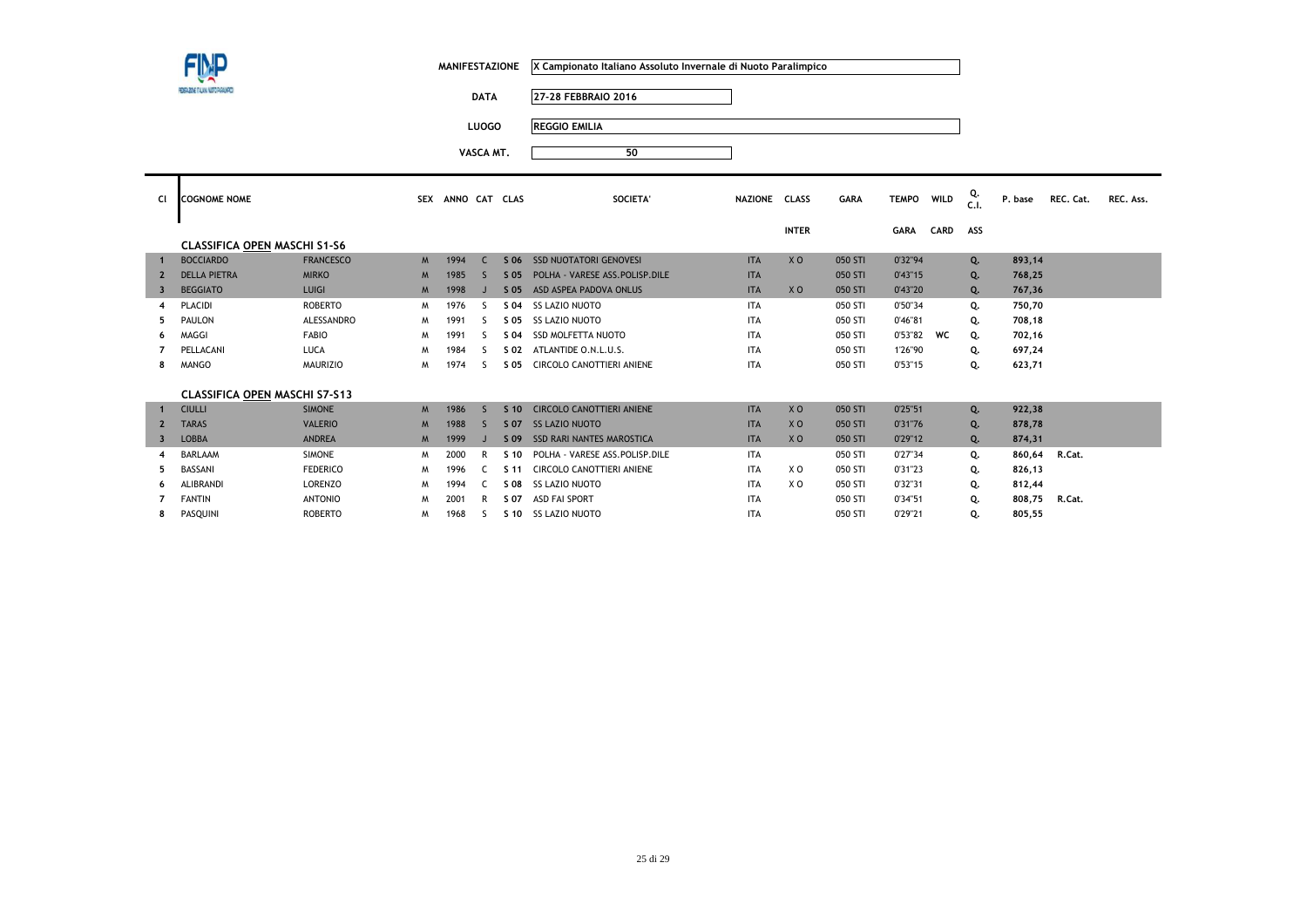**DATA 27-28 FEBBRAIO 2016**

**LUOGO REGGIO EMILIA**

| Cl                      | <b>COGNOME NOME</b>                  |                  | <b>SEX</b> | ANNO CAT CLAS |                          |                 | SOCIETA'                         | NAZIONE CLASS |                | <b>GARA</b> | <b>TEMPO</b> | WILD        | Q.<br>C.1. | P. base | REC. Cat. | REC. Ass. |
|-------------------------|--------------------------------------|------------------|------------|---------------|--------------------------|-----------------|----------------------------------|---------------|----------------|-------------|--------------|-------------|------------|---------|-----------|-----------|
|                         |                                      |                  |            |               |                          |                 |                                  |               | <b>INTER</b>   |             | <b>GARA</b>  | <b>CARD</b> | ASS        |         |           |           |
|                         | <b>CLASSIFICA OPEN MASCHI S1-S6</b>  |                  |            |               |                          |                 |                                  |               |                |             |              |             |            |         |           |           |
|                         | <b>BOCCIARDO</b>                     | <b>FRANCESCO</b> | M          | 1994          | C                        | S 06            | <b>SSD NUOTATORI GENOVESI</b>    | <b>ITA</b>    | X <sub>O</sub> | 050 STI     | 0'32"94      |             | Q.         | 893,14  |           |           |
| $\overline{2}$          | <b>DELLA PIETRA</b>                  | <b>MIRKO</b>     | M          | 1985          | $\overline{\phantom{0}}$ | $S$ 05          | POLHA - VARESE ASS. POLISP. DILE | <b>ITA</b>    |                | 050 STI     | 0'43''15     |             | Q.         | 768,25  |           |           |
| 3                       | <b>BEGGIATO</b>                      | LUIGI            | M          | 1998          | J                        | S 05            | ASD ASPEA PADOVA ONLUS           | <b>ITA</b>    | X <sub>0</sub> | 050 STI     | 0'43"20      |             | Q.         | 767,36  |           |           |
| 4                       | PLACIDI                              | ROBERTO          | M          | 1976          | ς                        | S 04            | <b>SS LAZIO NUOTO</b>            | <b>ITA</b>    |                | 050 STI     | 0'50"34      |             | Q.         | 750,70  |           |           |
| 5                       | <b>PAULON</b>                        | ALESSANDRO       | M          | 1991          | ς                        | S 05            | <b>SS LAZIO NUOTO</b>            | <b>ITA</b>    |                | 050 STI     | 0'46"81      |             | Q.         | 708,18  |           |           |
| 6                       | MAGGI                                | <b>FABIO</b>     | M          | 1991          | ς                        | S 04            | <b>SSD MOLFETTA NUOTO</b>        | <b>ITA</b>    |                | 050 STI     | 0'53"82      | <b>WC</b>   | Q.         | 702,16  |           |           |
|                         | PELLACANI                            | LUCA             | M          | 1984          | ς.                       | S 02            | ATLANTIDE O.N.L.U.S.             | <b>ITA</b>    |                | 050 STI     | 1'26"90      |             | Q.         | 697,24  |           |           |
| 8                       | <b>MANGO</b>                         | <b>MAURIZIO</b>  | M          | 1974          | ς                        | S 05            | CIRCOLO CANOTTIERI ANIENE        | <b>ITA</b>    |                | 050 STI     | 0'53"15      |             | Q.         | 623,71  |           |           |
|                         |                                      |                  |            |               |                          |                 |                                  |               |                |             |              |             |            |         |           |           |
|                         | <b>CLASSIFICA OPEN MASCHI S7-S13</b> |                  |            |               |                          |                 |                                  |               |                |             |              |             |            |         |           |           |
|                         | <b>CIULLI</b>                        | <b>SIMONE</b>    | M          | 1986          | $\varsigma$              | S <sub>10</sub> | CIRCOLO CANOTTIERI ANIENE        | <b>ITA</b>    | X <sub>O</sub> | 050 STI     | 0'25"51      |             | Q.         | 922,38  |           |           |
| $\overline{2}$          | <b>TARAS</b>                         | <b>VALERIO</b>   | M          | 1988          | $\varsigma$              | S 07            | <b>SS LAZIO NUOTO</b>            | <b>ITA</b>    | X <sub>0</sub> | 050 STI     | 0'31"76      |             | Q.         | 878,78  |           |           |
| $\overline{\mathbf{3}}$ | <b>LOBBA</b>                         | <b>ANDREA</b>    | M          | 1999          |                          | S 09            | <b>SSD RARI NANTES MAROSTICA</b> | <b>ITA</b>    | X <sub>0</sub> | 050 STI     | 0'29"12      |             | Q.         | 874,31  |           |           |
| 4                       | <b>BARLAAM</b>                       | <b>SIMONE</b>    | M          | 2000          | R                        | S <sub>10</sub> | POLHA - VARESE ASS.POLISP.DILE   | <b>ITA</b>    |                | 050 STI     | 0'27"34      |             | Q.         | 860,64  | R.Cat.    |           |
| 5                       | <b>BASSANI</b>                       | <b>FEDERICO</b>  | M          | 1996          | C.                       | S <sub>11</sub> | CIRCOLO CANOTTIERI ANIENE        | <b>ITA</b>    | X O            | 050 STI     | 0'31"23      |             | Q.         | 826,13  |           |           |
| 6                       | <b>ALIBRANDI</b>                     | <b>LORENZO</b>   | M          | 1994          | C.                       | S 08            | <b>SS LAZIO NUOTO</b>            | <b>ITA</b>    | X O            | 050 STI     | 0'32"31      |             | Q.         | 812,44  |           |           |
|                         | <b>FANTIN</b>                        | <b>ANTONIO</b>   | M          | 2001          | R                        | S 07            | <b>ASD FAI SPORT</b>             | <b>ITA</b>    |                | 050 STI     | 0'34"51      |             | Q.         | 808,75  | R.Cat.    |           |
| 8                       | PASQUINI                             | <b>ROBERTO</b>   | M          | 1968          | S.                       | S 10            | <b>SS LAZIO NUOTO</b>            | <b>ITA</b>    |                | 050 STI     | 0'29"21      |             | Q.         | 805,55  |           |           |
|                         |                                      |                  |            |               |                          |                 |                                  |               |                |             |              |             |            |         |           |           |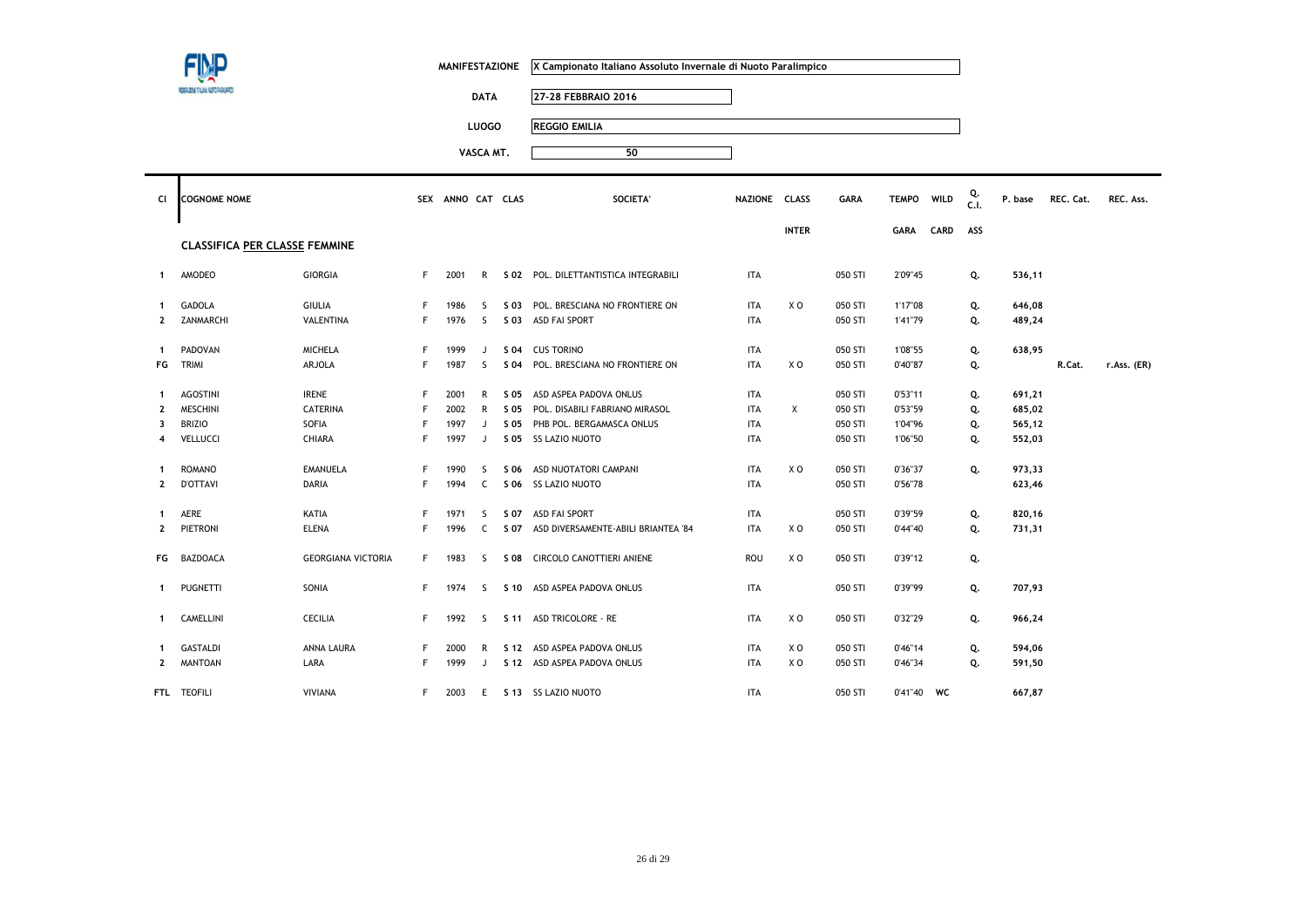|                |                                      |                           |   | <b>MANIFESTAZIONE</b> |              |      | X Campionato Italiano Assoluto Invernale di Nuoto Paralimpico |               |                |         |              |      |            |         |           |             |
|----------------|--------------------------------------|---------------------------|---|-----------------------|--------------|------|---------------------------------------------------------------|---------------|----------------|---------|--------------|------|------------|---------|-----------|-------------|
|                | SIZONE TALIAN NUTO PASAURAD          |                           |   |                       | <b>DATA</b>  |      | 27-28 FEBBRAIO 2016                                           |               |                |         |              |      |            |         |           |             |
|                |                                      |                           |   |                       | <b>LUOGO</b> |      | <b>REGGIO EMILIA</b>                                          |               |                |         |              |      |            |         |           |             |
|                |                                      |                           |   |                       |              |      |                                                               |               |                |         |              |      |            |         |           |             |
|                |                                      |                           |   |                       | VASCA MT.    |      | 50                                                            |               |                |         |              |      |            |         |           |             |
| CI             | <b>COGNOME NOME</b>                  |                           |   | SEX ANNO CAT CLAS     |              |      | <b>SOCIETA'</b>                                               | NAZIONE CLASS |                | GARA    | <b>TEMPO</b> | WILD | Q.<br>C.I. | P. base | REC. Cat. | REC. Ass.   |
|                |                                      |                           |   |                       |              |      |                                                               |               | <b>INTER</b>   |         | GARA         | CARD | ASS        |         |           |             |
|                | <b>CLASSIFICA PER CLASSE FEMMINE</b> |                           |   |                       |              |      |                                                               |               |                |         |              |      |            |         |           |             |
| $\mathbf{1}$   | AMODEO                               | GIORGIA                   | F | 2001                  | $\mathsf{R}$ |      | S 02 POL. DILETTANTISTICA INTEGRABILI                         | <b>ITA</b>    |                | 050 STI | 2'09"45      |      | Q.         | 536,11  |           |             |
| $\mathbf{1}$   | <b>GADOLA</b>                        | <b>GIULIA</b>             | F | 1986                  | S            | S 03 | POL. BRESCIANA NO FRONTIERE ON                                | <b>ITA</b>    | X <sub>0</sub> | 050 STI | 1'17"08      |      | Q.         | 646,08  |           |             |
| $\overline{2}$ | ZANMARCHI                            | VALENTINA                 | F | 1976                  | S.           |      | S 03 ASD FAI SPORT                                            | <b>ITA</b>    |                | 050 STI | 1'41"79      |      | Q.         | 489,24  |           |             |
| $\mathbf{1}$   | PADOVAN                              | <b>MICHELA</b>            | F | 1999                  | J            | S 04 | <b>CUS TORINO</b>                                             | <b>ITA</b>    |                | 050 STI | 1'08"55      |      | Q.         | 638,95  |           |             |
| FG             | TRIMI                                | ARJOLA                    | F | 1987                  | S            | S 04 | POL. BRESCIANA NO FRONTIERE ON                                | <b>ITA</b>    | XO             | 050 STI | 0'40"87      |      | Q.         |         | R.Cat.    | r.Ass. (ER) |
| $\mathbf{1}$   | <b>AGOSTINI</b>                      | <b>IRENE</b>              | F | 2001                  | R            | S 05 | ASD ASPEA PADOVA ONLUS                                        | <b>ITA</b>    |                | 050 STI | 0'53"11      |      | Q.         | 691,21  |           |             |
| $\mathbf{2}$   | <b>MESCHINI</b>                      | <b>CATERINA</b>           | F | 2002                  | $\mathsf{R}$ | S 05 | POL. DISABILI FABRIANO MIRASOL                                | <b>ITA</b>    | Χ              | 050 STI | 0'53"59      |      | Q.         | 685,02  |           |             |
| 3              | <b>BRIZIO</b>                        | SOFIA                     | F | 1997                  | J            | S 05 | PHB POL. BERGAMASCA ONLUS                                     | <b>ITA</b>    |                | 050 STI | 1'04"96      |      | Q.         | 565,12  |           |             |
| $\overline{4}$ | VELLUCCI                             | CHIARA                    | F | 1997                  | J            |      | S 05 SS LAZIO NUOTO                                           | <b>ITA</b>    |                | 050 STI | 1'06"50      |      | Q.         | 552,03  |           |             |
| -1             | <b>ROMANO</b>                        | <b>EMANUELA</b>           | F | 1990                  | S            | S 06 | ASD NUOTATORI CAMPANI                                         | <b>ITA</b>    | X O            | 050 STI | 0'36"37      |      | Q.         | 973,33  |           |             |
| $\mathbf{2}$   | <b>D'OTTAVI</b>                      | DARIA                     | F | 1994                  | $\mathsf{C}$ |      | S 06 SS LAZIO NUOTO                                           | <b>ITA</b>    |                | 050 STI | 0'56"78      |      |            | 623,46  |           |             |
| $\mathbf{1}$   | AERE                                 | KATIA                     | F | 1971                  | S.           |      | S 07 ASD FAI SPORT                                            | <b>ITA</b>    |                | 050 STI | 0'39"59      |      | Q.         | 820,16  |           |             |
| $\mathbf{2}$   | PIETRONI                             | <b>ELENA</b>              | F | 1996                  | $\mathsf{C}$ |      | S 07 ASD DIVERSAMENTE-ABILI BRIANTEA '84                      | <b>ITA</b>    | XO             | 050 STI | 0'44"40      |      | Q.         | 731,31  |           |             |
| FG             | BAZDOACA                             | <b>GEORGIANA VICTORIA</b> | F | 1983                  | <sub>S</sub> |      | S 08 CIRCOLO CANOTTIERI ANIENE                                | ROU           | X <sub>0</sub> | 050 STI | 0'39"12      |      | Q.         |         |           |             |
| -1             | <b>PUGNETTI</b>                      | SONIA                     | F | 1974                  | S.           |      | S 10 ASD ASPEA PADOVA ONLUS                                   | <b>ITA</b>    |                | 050 STI | 0'39"99      |      | Q.         | 707,93  |           |             |
| $\mathbf{1}$   | CAMELLINI                            | <b>CECILIA</b>            | F | 1992                  | S.           |      | S 11 ASD TRICOLORE - RE                                       | <b>ITA</b>    | X O            | 050 STI | 0'32"29      |      | Q.         | 966,24  |           |             |
| -1             | <b>GASTALDI</b>                      | ANNA LAURA                | F | 2000                  | R            |      | S 12 ASD ASPEA PADOVA ONLUS                                   | ITA           | X O            | 050 STI | 0'46''14     |      | Q.         | 594,06  |           |             |
| $\mathbf{2}$   | <b>MANTOAN</b>                       | LARA                      | F | 1999                  | J            |      | S 12 ASD ASPEA PADOVA ONLUS                                   | <b>ITA</b>    | XO             | 050 STI | 0'46"34      |      | Q.         | 591,50  |           |             |
|                | FTL TEOFILI                          | <b>VIVIANA</b>            | F | 2003                  | E            |      | S 13 SS LAZIO NUOTO                                           | <b>ITA</b>    |                | 050 STI | 0'41"40      | WC   |            | 667,87  |           |             |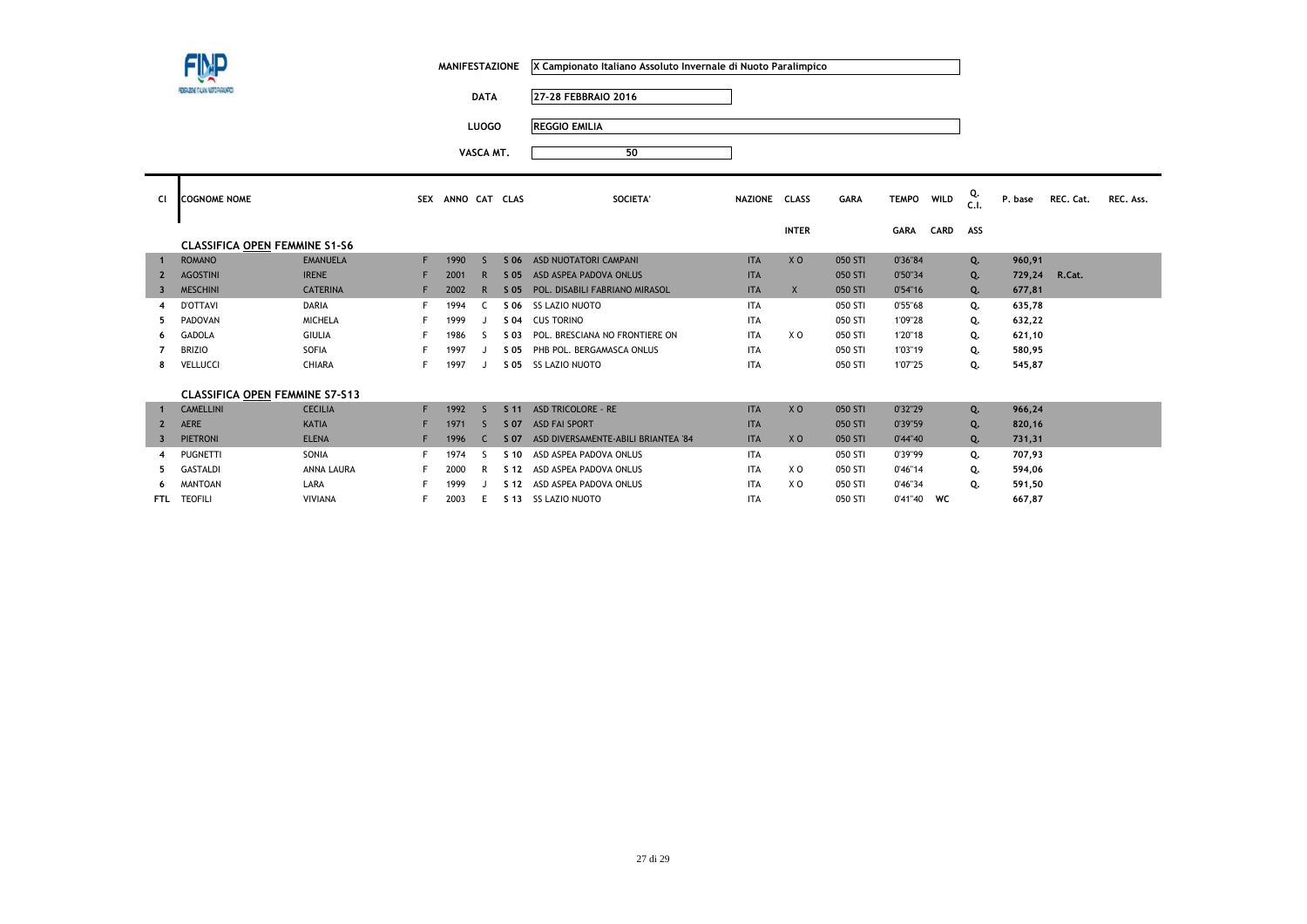**DATA 27-28 FEBBRAIO 2016**

**LUOGO REGGIO EMILIA**

| <b>CI</b>      | <b>COGNOME NOME</b>                   |                   |    | SEX ANNO CAT CLAS |              |                 | SOCIETA'                            | NAZIONE CLASS |                | <b>GARA</b> | <b>TEMPO</b> | <b>WILD</b> | Q.<br>C.1. | P. base | REC. Cat. | REC. Ass. |
|----------------|---------------------------------------|-------------------|----|-------------------|--------------|-----------------|-------------------------------------|---------------|----------------|-------------|--------------|-------------|------------|---------|-----------|-----------|
|                |                                       |                   |    |                   |              |                 |                                     |               | <b>INTER</b>   |             | GARA         | <b>CARD</b> | ASS        |         |           |           |
|                | <b>CLASSIFICA OPEN FEMMINE S1-S6</b>  |                   |    |                   |              |                 |                                     |               |                |             |              |             |            |         |           |           |
|                | <b>ROMANO</b>                         | <b>EMANUELA</b>   |    | 1990              | $\varsigma$  | S 06            | ASD NUOTATORI CAMPANI               | <b>ITA</b>    | X <sub>O</sub> | 050 STI     | 0'36"84      |             | Q.         | 960,91  |           |           |
| $\overline{2}$ | <b>AGOSTINI</b>                       | <b>IRENE</b>      |    | 2001              | $\mathsf{R}$ | S 05            | ASD ASPEA PADOVA ONLUS              | <b>ITA</b>    |                | 050 STI     | 0'50"34      |             | Q.         | 729,24  | R.Cat.    |           |
| 3              | <b>MESCHINI</b>                       | <b>CATERINA</b>   |    | 2002              | R            | $S$ 05          | POL. DISABILI FABRIANO MIRASOL      | <b>ITA</b>    | $\mathsf{X}$   | 050 STI     | 0'54"16      |             | Q.         | 677,81  |           |           |
|                | <b>D'OTTAVI</b>                       | <b>DARIA</b>      |    | 1994              |              | S 06            | <b>SS LAZIO NUOTO</b>               | <b>ITA</b>    |                | 050 STI     | 0'55"68      |             | Q.         | 635,78  |           |           |
| 5              | PADOVAN                               | <b>MICHELA</b>    |    | 1999              |              | S 04            | <b>CUS TORINO</b>                   | <b>ITA</b>    |                | 050 STI     | 1'09"28      |             | Q.         | 632,22  |           |           |
| -6             | <b>GADOLA</b>                         | <b>GIULIA</b>     |    | 1986              |              | S 03            | POL. BRESCIANA NO FRONTIERE ON      | <b>ITA</b>    | X <sub>0</sub> | 050 STI     | 1'20"18      |             | Q.         | 621,10  |           |           |
|                | <b>BRIZIO</b>                         | SOFIA             |    | 1997              |              | S 05            | PHB POL. BERGAMASCA ONLUS           | <b>ITA</b>    |                | 050 STI     | 1'03"19      |             | Q.         | 580,95  |           |           |
| 8              | <b>VELLUCCI</b>                       | CHIARA            |    | 1997              |              | S 05            | <b>SS LAZIO NUOTO</b>               | <b>ITA</b>    |                | 050 STI     | 1'07"25      |             | Q.         | 545,87  |           |           |
|                |                                       |                   |    |                   |              |                 |                                     |               |                |             |              |             |            |         |           |           |
|                | <b>CLASSIFICA OPEN FEMMINE S7-S13</b> |                   |    |                   |              |                 |                                     |               |                |             |              |             |            |         |           |           |
| $\mathbf{1}$   | <b>CAMELLINI</b>                      | <b>CECILIA</b>    | F. | 1992              | $\varsigma$  | S <sub>11</sub> | <b>ASD TRICOLORE - RE</b>           | <b>ITA</b>    | X <sub>O</sub> | 050 STI     | 0'32"29      |             | Q.         | 966,24  |           |           |
| $\overline{2}$ | <b>AERE</b>                           | <b>KATIA</b>      |    | 1971              | <sub>S</sub> | S 07            | <b>ASD FAI SPORT</b>                | <b>ITA</b>    |                | 050 STI     | 0'39"59      |             | Q.         | 820,16  |           |           |
| -3             | <b>PIETRONI</b>                       | <b>ELENA</b>      |    | 1996              |              | S 07            | ASD DIVERSAMENTE-ABILI BRIANTEA '84 | <b>ITA</b>    | X <sub>0</sub> | 050 STI     | 0'44''40     |             | Q.         | 731,31  |           |           |
|                | <b>PUGNETTI</b>                       | SONIA             |    | 1974              | S            | S <sub>10</sub> | ASD ASPEA PADOVA ONLUS              | <b>ITA</b>    |                | 050 STI     | 0'39"99      |             | Q.         | 707,93  |           |           |
| 5              | <b>GASTALDI</b>                       | <b>ANNA LAURA</b> |    | 2000              | R            | S 12            | ASD ASPEA PADOVA ONLUS              | <b>ITA</b>    | X <sub>0</sub> | 050 STI     | 0'46"14      |             | Q.         | 594,06  |           |           |
|                | <b>MANTOAN</b>                        | LARA              |    | 1999              |              | S 12            | ASD ASPEA PADOVA ONLUS              | <b>ITA</b>    | X O            | 050 STI     | 0'46"34      |             | Q.         | 591,50  |           |           |
| <b>FTL</b>     | <b>TEOFILI</b>                        | <b>VIVIANA</b>    |    | 2003              | E            | S 13            | <b>SS LAZIO NUOTO</b>               | <b>ITA</b>    |                | 050 STI     | 0'41"40 WC   |             |            | 667,87  |           |           |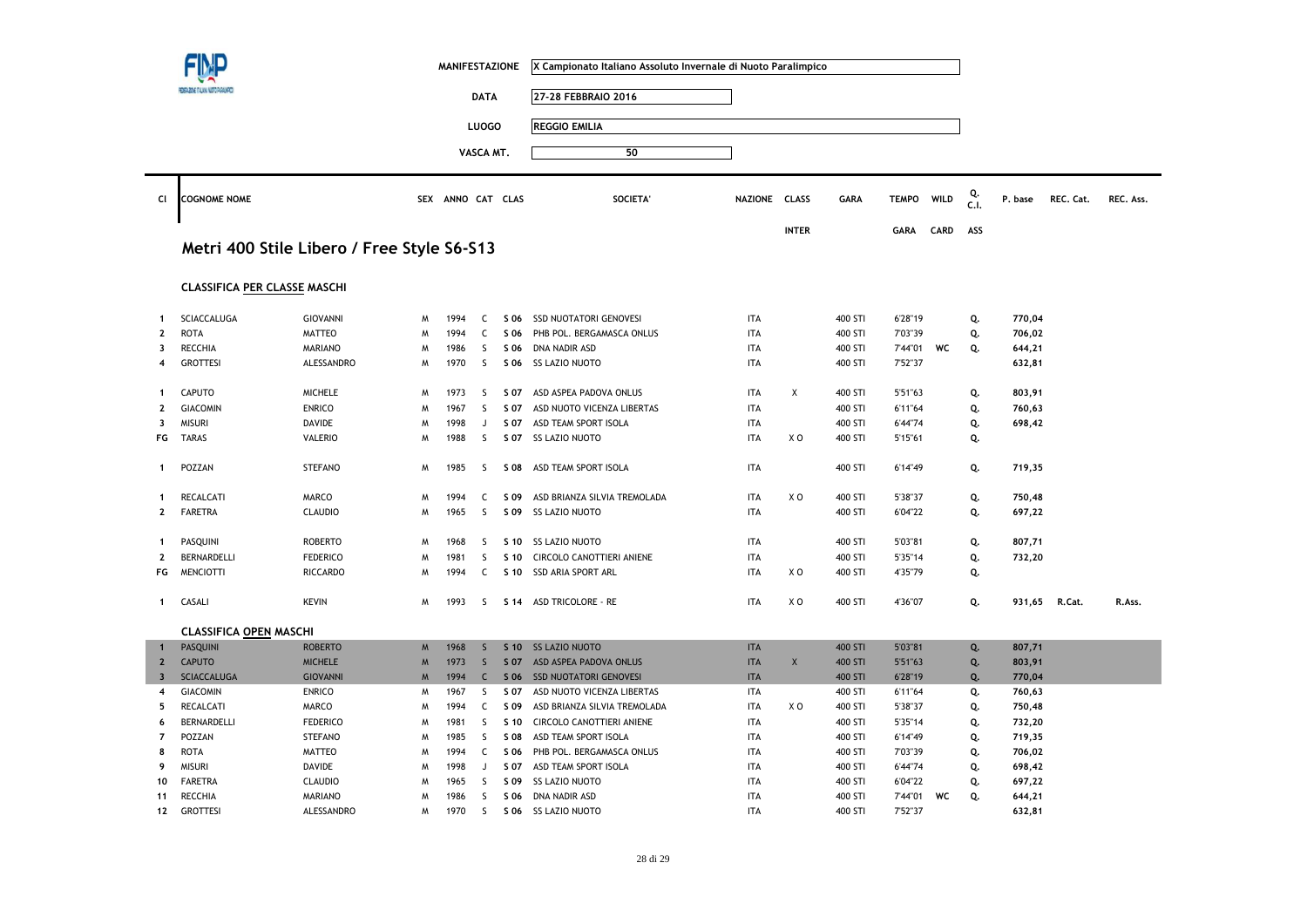|                |                                            |                 |   | <b>MANIFESTAZIONE</b> |              |                 | X Campionato Italiano Assoluto Invernale di Nuoto Paralimpico |               |                |             |              |             |            |         |           |           |
|----------------|--------------------------------------------|-----------------|---|-----------------------|--------------|-----------------|---------------------------------------------------------------|---------------|----------------|-------------|--------------|-------------|------------|---------|-----------|-----------|
|                |                                            |                 |   |                       | <b>DATA</b>  |                 | 27-28 FEBBRAIO 2016                                           |               |                |             |              |             |            |         |           |           |
|                |                                            |                 |   |                       |              |                 |                                                               |               |                |             |              |             |            |         |           |           |
|                |                                            |                 |   |                       | <b>LUOGO</b> |                 | <b>REGGIO EMILIA</b>                                          |               |                |             |              |             |            |         |           |           |
|                |                                            |                 |   |                       | VASCA MT.    |                 | 50                                                            |               |                |             |              |             |            |         |           |           |
|                |                                            |                 |   |                       |              |                 |                                                               |               |                |             |              |             |            |         |           |           |
| Cl             | <b>COGNOME NOME</b>                        |                 |   | SEX ANNO CAT CLAS     |              |                 | <b>SOCIETA</b>                                                | NAZIONE CLASS |                | <b>GARA</b> | <b>TEMPO</b> | <b>WILD</b> | Q.<br>C.I. | P. base | REC. Cat. | REC. Ass. |
|                | Metri 400 Stile Libero / Free Style S6-S13 |                 |   |                       |              |                 |                                                               |               | <b>INTER</b>   |             | <b>GARA</b>  | <b>CARD</b> | ASS        |         |           |           |
|                | <b>CLASSIFICA PER CLASSE MASCHI</b>        |                 |   |                       |              |                 |                                                               |               |                |             |              |             |            |         |           |           |
| $\mathbf{1}$   | SCIACCALUGA                                | <b>GIOVANNI</b> | M | 1994                  | C            | S 06            | <b>SSD NUOTATORI GENOVESI</b>                                 | <b>ITA</b>    |                | 400 STI     | 6'28"19      |             |            | 770,04  |           |           |
| $\mathbf{2}$   | <b>ROTA</b>                                | <b>MATTEO</b>   | W | 1994                  | $\mathsf{C}$ | S 06            | PHB POL. BERGAMASCA ONLUS                                     | <b>ITA</b>    |                | 400 STI     | 7'03"39      |             | Q.<br>Q.   | 706,02  |           |           |
| 3              | <b>RECCHIA</b>                             | <b>MARIANO</b>  | M | 1986                  | S            | S 06            | DNA NADIR ASD                                                 | <b>ITA</b>    |                | 400 STI     | 7'44"01      | WC          | Q.         | 644,21  |           |           |
| 4              | <b>GROTTESI</b>                            | ALESSANDRO      | Μ | 1970                  | S            | S 06            | <b>SS LAZIO NUOTO</b>                                         | <b>ITA</b>    |                | 400 STI     | 7'52"37      |             |            | 632,81  |           |           |
|                |                                            |                 |   |                       |              |                 |                                                               |               |                |             |              |             |            |         |           |           |
| 1              | <b>CAPUTO</b>                              | <b>MICHELE</b>  | M | 1973                  | <sub>S</sub> | S 07            | ASD ASPEA PADOVA ONLUS                                        | <b>ITA</b>    | X              | 400 STI     | 5'51"63      |             | Q.         | 803,91  |           |           |
| 2              | <b>GIACOMIN</b>                            | <b>ENRICO</b>   | M | 1967                  | S            | S 07            | ASD NUOTO VICENZA LIBERTAS                                    | <b>ITA</b>    |                | 400 STI     | 6'11"64      |             | Q.         | 760,63  |           |           |
| 3              | <b>MISURI</b>                              | <b>DAVIDE</b>   | W | 1998                  | J            | S 07            | ASD TEAM SPORT ISOLA                                          | <b>ITA</b>    |                | 400 STI     | 6'44"74      |             | Q.         | 698,42  |           |           |
| FG             | <b>TARAS</b>                               | <b>VALERIO</b>  | W | 1988                  | S            | S 07            | SS LAZIO NUOTO                                                | <b>ITA</b>    | X <sub>0</sub> | 400 STI     | 5'15"61      |             | Q.         |         |           |           |
| $\mathbf 1$    | POZZAN                                     | <b>STEFANO</b>  | W | 1985                  | <sub>S</sub> | <b>SO8</b>      | ASD TEAM SPORT ISOLA                                          | <b>ITA</b>    |                | 400 STI     | 6'14"49      |             | Q.         | 719,35  |           |           |
| $\mathbf{1}$   | RECALCATI                                  | MARCO           | Μ | 1994                  | C            | S 09            | ASD BRIANZA SILVIA TREMOLADA                                  | <b>ITA</b>    | XO             | 400 STI     | 5'38"37      |             | Q.         | 750,48  |           |           |
| $\mathbf{2}$   | <b>FARETRA</b>                             | <b>CLAUDIO</b>  | M | 1965                  | S            | S 09            | <b>SS LAZIO NUOTO</b>                                         | <b>ITA</b>    |                | 400 STI     | 6'04"22      |             | Q.         | 697,22  |           |           |
|                |                                            |                 |   |                       |              |                 |                                                               |               |                |             |              |             |            |         |           |           |
| 1              | PASQUINI                                   | <b>ROBERTO</b>  | W | 1968                  | S            | S 10            | <b>SS LAZIO NUOTO</b>                                         | <b>ITA</b>    |                | 400 STI     | 5'03"81      |             | Q.         | 807,71  |           |           |
| $\overline{2}$ | BERNARDELLI                                | <b>FEDERICO</b> | M | 1981                  | S            | S 10            | CIRCOLO CANOTTIERI ANIENE                                     | <b>ITA</b>    |                | 400 STI     | 5'35"14      |             | Q.         | 732,20  |           |           |
| FG             | <b>MENCIOTTI</b>                           | <b>RICCARDO</b> | W | 1994                  | C            | S 10            | <b>SSD ARIA SPORT ARL</b>                                     | <b>ITA</b>    | X O            | 400 STI     | 4'35"79      |             | Q.         |         |           |           |
| $\mathbf 1$    | CASALI                                     | <b>KEVIN</b>    | W | 1993                  | S.           | S 14            | ASD TRICOLORE - RE                                            | <b>ITA</b>    | X O            | 400 STI     | 4'36"07      |             | Q.         | 931,65  | R.Cat.    | R.Ass.    |
|                | <b>CLASSIFICA OPEN MASCHI</b>              |                 |   |                       |              |                 |                                                               |               |                |             |              |             |            |         |           |           |
| $\mathbf{1}$   | <b>PASQUINI</b>                            | <b>ROBERTO</b>  | M | 1968                  | $\mathsf{S}$ | S <sub>10</sub> | <b>SS LAZIO NUOTO</b>                                         | <b>ITA</b>    |                | 400 STI     | 5'03"81      |             | Q.         | 807,71  |           |           |
| $\overline{2}$ | <b>CAPUTO</b>                              | <b>MICHELE</b>  | M | 1973                  | $\mathsf{S}$ | S 07            | ASD ASPEA PADOVA ONLUS                                        | <b>ITA</b>    | X              | 400 STI     | 5'51"63      |             | Q.         | 803,91  |           |           |
| $\mathbf{3}$   | <b>SCIACCALUGA</b>                         | <b>GIOVANNI</b> | M | 1994                  | $\mathsf{C}$ | S 06            | <b>SSD NUOTATORI GENOVESI</b>                                 | <b>ITA</b>    |                | 400 STI     | 6'28"19      |             | Q.         | 770,04  |           |           |
| 4              | <b>GIACOMIN</b>                            | <b>ENRICO</b>   | M | 1967                  | S.           | S 07            | ASD NUOTO VICENZA LIBERTAS                                    | ITA           |                | 400 STI     | 6'11"64      |             | Q.         | 760,63  |           |           |
| 5              | <b>RECALCATI</b>                           | MARCO           | W | 1994                  | C            | S 09            | ASD BRIANZA SILVIA TREMOLADA                                  | <b>ITA</b>    | X O            | 400 STI     | 5'38"37      |             | Q.         | 750,48  |           |           |
| 6              | BERNARDELLI                                | <b>FEDERICO</b> | W | 1981                  | S.           | S 10            | CIRCOLO CANOTTIERI ANIENE                                     | <b>ITA</b>    |                | 400 STI     | 5'35"14      |             | Q.         | 732,20  |           |           |
| $\overline{7}$ | POZZAN                                     | <b>STEFANO</b>  | W | 1985                  | S            | S 08            | ASD TEAM SPORT ISOLA                                          | <b>ITA</b>    |                | 400 STI     | 6'14"49      |             | Q.         | 719,35  |           |           |
| 8              | <b>ROTA</b>                                | <b>MATTEO</b>   | M | 1994                  | C            | S 06            | PHB POL. BERGAMASCA ONLUS                                     | <b>ITA</b>    |                | 400 STI     | 7'03"39      |             | Q.         | 706,02  |           |           |
| 9              | <b>MISURI</b>                              | <b>DAVIDE</b>   | M | 1998                  | J            | S 07            | ASD TEAM SPORT ISOLA                                          | <b>ITA</b>    |                | 400 STI     | 6'44"74      |             | Q.         | 698,42  |           |           |
| 10             | <b>FARETRA</b>                             | <b>CLAUDIO</b>  | M | 1965                  | S            | S 09            | <b>SS LAZIO NUOTO</b>                                         | <b>ITA</b>    |                | 400 STI     | 6'04"22      |             | Q.         | 697,22  |           |           |
| 11             | <b>RECCHIA</b>                             | <b>MARIANO</b>  | W | 1986                  | S            | S 06            | DNA NADIR ASD                                                 | <b>ITA</b>    |                | 400 STI     | 7'44"01      | WC          | Q.         | 644,21  |           |           |
| 12             | <b>GROTTESI</b>                            | ALESSANDRO      | Μ | 1970                  | $\mathsf{S}$ | S 06            | SS LAZIO NUOTO                                                | ITA           |                | 400 STI     | 7'52"37      |             |            | 632,81  |           |           |